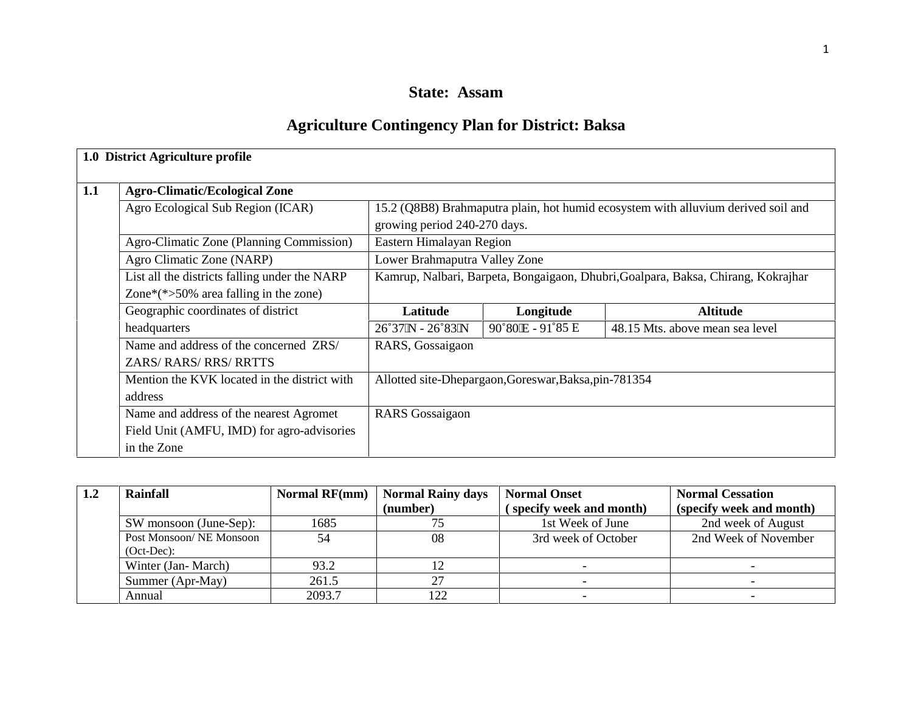# **State: Assam**

# **Agriculture Contingency Plan for District: Baksa**

|     | 1.0 District Agriculture profile              |                                     |                                                       |                                                                                   |
|-----|-----------------------------------------------|-------------------------------------|-------------------------------------------------------|-----------------------------------------------------------------------------------|
| 1.1 | <b>Agro-Climatic/Ecological Zone</b>          |                                     |                                                       |                                                                                   |
|     | Agro Ecological Sub Region (ICAR)             | growing period 240-270 days.        |                                                       | 15.2 (Q8B8) Brahmaputra plain, hot humid ecosystem with alluvium derived soil and |
|     | Agro-Climatic Zone (Planning Commission)      | Eastern Himalayan Region            |                                                       |                                                                                   |
|     | Agro Climatic Zone (NARP)                     | Lower Brahmaputra Valley Zone       |                                                       |                                                                                   |
|     | List all the districts falling under the NARP |                                     |                                                       | Kamrup, Nalbari, Barpeta, Bongaigaon, Dhubri, Goalpara, Baksa, Chirang, Kokrajhar |
|     | Zone*(*>50% area falling in the zone)         |                                     |                                                       |                                                                                   |
|     | Geographic coordinates of district            | Latitude                            | Longitude                                             | <b>Altitude</b>                                                                   |
|     | headquarters                                  | $26^{\circ}37$ N - $26^{\circ}83$ N | 90°80 E - 91°85 E                                     | 48.15 Mts. above mean sea level                                                   |
|     | Name and address of the concerned ZRS/        | RARS, Gossaigaon                    |                                                       |                                                                                   |
|     | <b>ZARS/ RARS/ RRS/ RRTTS</b>                 |                                     |                                                       |                                                                                   |
|     | Mention the KVK located in the district with  |                                     | Allotted site-Dhepargaon, Goreswar, Baksa, pin-781354 |                                                                                   |
|     | address                                       |                                     |                                                       |                                                                                   |
|     | Name and address of the nearest Agromet       | <b>RARS</b> Gossaigaon              |                                                       |                                                                                   |
|     | Field Unit (AMFU, IMD) for agro-advisories    |                                     |                                                       |                                                                                   |
|     | in the Zone                                   |                                     |                                                       |                                                                                   |

| 1.2 | <b>Rainfall</b>         | <b>Normal RF(mm)</b> | <b>Normal Rainy days</b> | <b>Normal Onset</b>      | <b>Normal Cessation</b>  |
|-----|-------------------------|----------------------|--------------------------|--------------------------|--------------------------|
|     |                         |                      | (number)                 | (specify week and month) | (specify week and month) |
|     | SW monsoon (June-Sep):  | 1685                 |                          | 1st Week of June         | 2nd week of August       |
|     | Post Monsoon/NE Monsoon | 54                   | 08                       | 3rd week of October      | 2nd Week of November     |
|     | $(Oct-Dec):$            |                      |                          |                          |                          |
|     | Winter (Jan-March)      | 93.2                 | 12                       |                          |                          |
|     | Summer (Apr-May)        | 261.5                |                          |                          |                          |
|     | Annual                  | 2093.7               | 122                      | $\overline{\phantom{0}}$ |                          |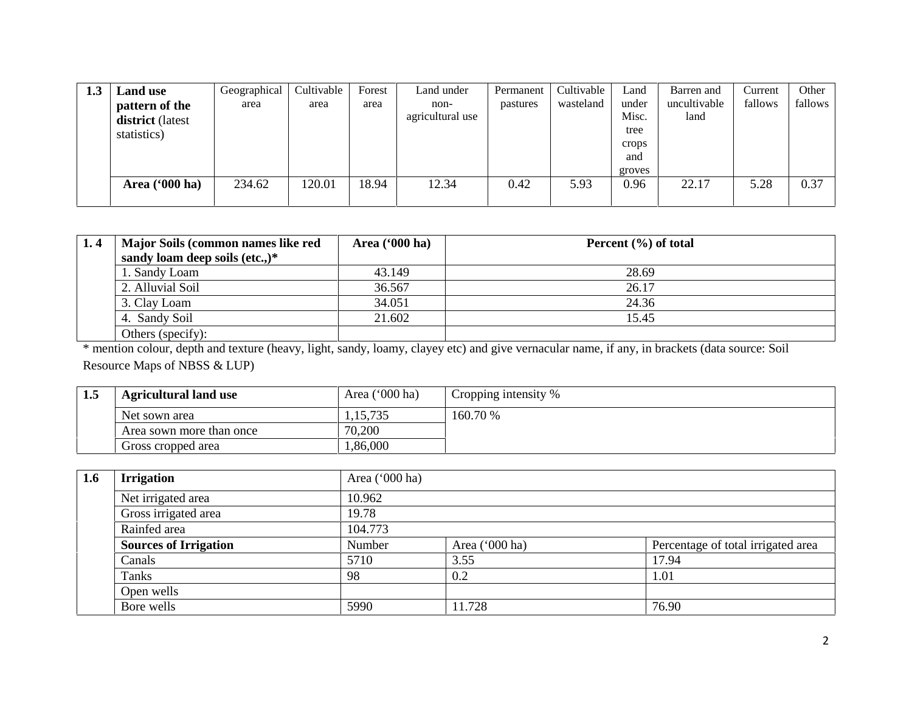| 1.3 | <b>Land use</b>         | Geographical | Cultivable | Forest | Land under       | Permanent | Cultivable | Land          | Barren and   | Current | Other   |
|-----|-------------------------|--------------|------------|--------|------------------|-----------|------------|---------------|--------------|---------|---------|
|     | pattern of the          | area         | area       | area   | non-             | pastures  | wasteland  | under         | uncultivable | fallows | fallows |
|     | district (latest        |              |            |        | agricultural use |           |            | Misc.<br>tree | land         |         |         |
|     | statistics)             |              |            |        |                  |           |            | crops         |              |         |         |
|     |                         |              |            |        |                  |           |            | and           |              |         |         |
|     |                         |              |            |        |                  |           |            | groves        |              |         |         |
|     | Area $(900 \text{ ha})$ | 234.62       | 120.01     | 18.94  | 12.34            | 0.42      | 5.93       | 0.96          | 22.17        | 5.28    | 0.37    |
|     |                         |              |            |        |                  |           |            |               |              |         |         |

| 1.4 | Major Soils (common names like red | Area $(900 \text{ ha})$ | Percent $(\% )$ of total |  |
|-----|------------------------------------|-------------------------|--------------------------|--|
|     | sandy loam deep soils (etc.,) $*$  |                         |                          |  |
|     | 1. Sandy Loam                      | 43.149                  | 28.69                    |  |
|     | 2. Alluvial Soil                   | 36.567                  | 26.17                    |  |
|     | 3. Clay Loam                       | 34.051                  | 24.36                    |  |
|     | 4. Sandy Soil                      | 21.602                  | 15.45                    |  |
|     | Others (specify):                  |                         |                          |  |

\* mention colour, depth and texture (heavy, light, sandy, loamy, clayey etc) and give vernacular name, if any, in brackets (data source: Soil Resource Maps of NBSS & LUP)

| 1.5 | <b>Agricultural land use</b> | Area $('000 ha)$ | Cropping intensity % |
|-----|------------------------------|------------------|----------------------|
|     | Net sown area                | 1,15,735         | 160.70 %             |
|     | Area sown more than once     | 70,200           |                      |
|     | Gross cropped area           | ,86,000          |                      |

| 1.6 | <b>Irrigation</b>            | Area $(000 \text{ ha})$ |                  |                                    |  |  |  |  |
|-----|------------------------------|-------------------------|------------------|------------------------------------|--|--|--|--|
|     | Net irrigated area           | 10.962                  |                  |                                    |  |  |  |  |
|     | Gross irrigated area         | 19.78                   |                  |                                    |  |  |  |  |
|     | Rainfed area                 | 104.773                 |                  |                                    |  |  |  |  |
|     | <b>Sources of Irrigation</b> | Number                  | Area $('000 ha)$ | Percentage of total irrigated area |  |  |  |  |
|     | Canals                       | 5710                    | 3.55             | 17.94                              |  |  |  |  |
|     | Tanks                        | 98                      | 0.2              | 1.01                               |  |  |  |  |
|     | Open wells                   |                         |                  |                                    |  |  |  |  |
|     | Bore wells                   | 5990                    | 11.728           | 76.90                              |  |  |  |  |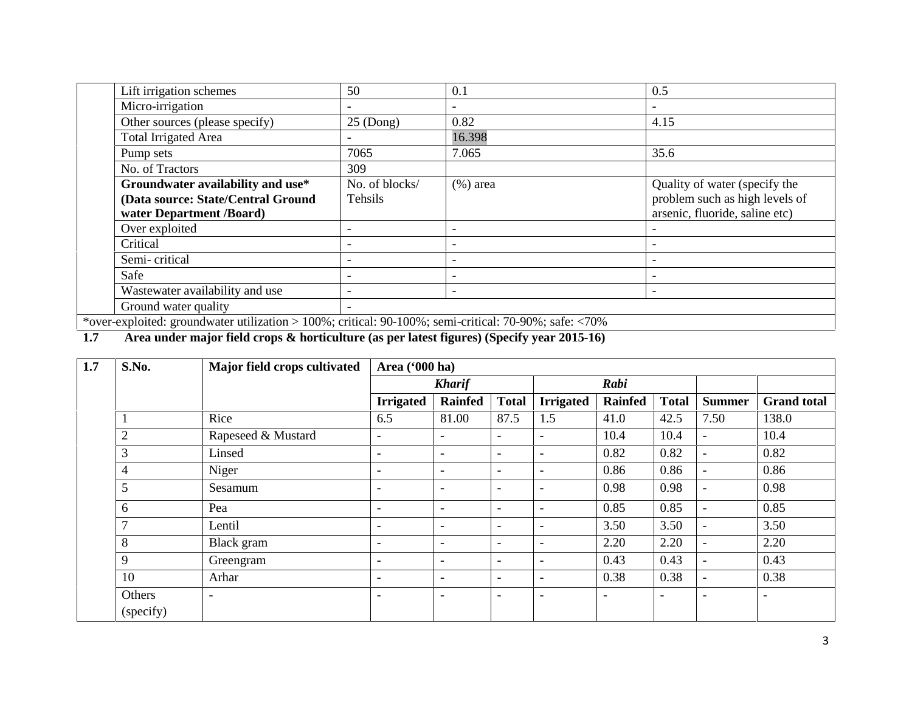| Lift irrigation schemes                                                                                             | 50                       | 0.1                      | 0.5                            |
|---------------------------------------------------------------------------------------------------------------------|--------------------------|--------------------------|--------------------------------|
| Micro-irrigation                                                                                                    |                          |                          |                                |
| Other sources (please specify)                                                                                      | $25$ (Dong)              | 0.82                     | 4.15                           |
| <b>Total Irrigated Area</b>                                                                                         |                          | 16.398                   |                                |
| Pump sets                                                                                                           | 7065                     | 7.065                    | 35.6                           |
| No. of Tractors                                                                                                     | 309                      |                          |                                |
| Groundwater availability and use*                                                                                   | No. of blocks/           | $(% )$ area              | Quality of water (specify the  |
| (Data source: State/Central Ground                                                                                  | Tehsils                  |                          | problem such as high levels of |
| water Department /Board)                                                                                            |                          |                          | arsenic, fluoride, saline etc) |
| Over exploited                                                                                                      |                          | $\qquad \qquad$          |                                |
| Critical                                                                                                            |                          |                          |                                |
| Semi-critical                                                                                                       | $\overline{\phantom{0}}$ | $\qquad \qquad$          |                                |
| Safe                                                                                                                |                          |                          |                                |
| Wastewater availability and use                                                                                     | $\overline{\phantom{0}}$ | $\overline{\phantom{a}}$ |                                |
| Ground water quality                                                                                                |                          |                          |                                |
| $*$ and independent denotes utilization $\frac{1000}{1000}$ outiget 00 1000/ cand outiget 70 000/ $\frac{100}{100}$ |                          |                          |                                |

\*over-exploited: groundwater utilization > 100%; critical: 90-100%; semi-critical: 70-90%; safe: <70%

# **1.7 Area under major field crops & horticulture (as per latest figures) (Specify year 2015-16)**

| 1.7 | S.No.               | Major field crops cultivated | Area ('000 ha)           |                          |                          |                          |                          |                          |                          |                          |
|-----|---------------------|------------------------------|--------------------------|--------------------------|--------------------------|--------------------------|--------------------------|--------------------------|--------------------------|--------------------------|
|     |                     |                              |                          | <b>Kharif</b>            |                          |                          | Rabi                     |                          |                          |                          |
|     |                     |                              | <b>Irrigated</b>         | <b>Rainfed</b>           | <b>Total</b>             | <b>Irrigated</b>         | <b>Rainfed</b>           | <b>Total</b>             | <b>Summer</b>            | <b>Grand</b> total       |
|     |                     | Rice                         | 6.5                      | 81.00                    | 87.5                     | 1.5                      | 41.0                     | 42.5                     | 7.50                     | 138.0                    |
|     | $\overline{2}$      | Rapeseed & Mustard           | $\overline{\phantom{a}}$ | $\overline{\phantom{0}}$ | $\overline{\phantom{a}}$ | $\overline{\phantom{0}}$ | 10.4                     | 10.4                     | $\overline{\phantom{a}}$ | 10.4                     |
|     | 3                   | Linsed                       | $\overline{\phantom{a}}$ | $\overline{\phantom{0}}$ | $\overline{\phantom{0}}$ | $\overline{\phantom{a}}$ | 0.82                     | 0.82                     | $\overline{\phantom{a}}$ | 0.82                     |
|     | 4                   | Niger                        | $\overline{\phantom{a}}$ | $\overline{\phantom{a}}$ | $\overline{\phantom{a}}$ | $\overline{\phantom{a}}$ | 0.86                     | 0.86                     | $\overline{\phantom{a}}$ | 0.86                     |
|     | 5                   | Sesamum                      | $\qquad \qquad -$        | $\overline{\phantom{0}}$ | $\overline{\phantom{0}}$ | $\overline{\phantom{a}}$ | 0.98                     | 0.98                     | $\overline{\phantom{0}}$ | 0.98                     |
|     | 6                   | Pea                          | $\overline{\phantom{0}}$ | $\overline{\phantom{0}}$ | $\overline{\phantom{a}}$ | $\overline{\phantom{a}}$ | 0.85                     | 0.85                     | $\overline{\phantom{a}}$ | 0.85                     |
|     | $\mathbf{r}$        | Lentil                       | $\overline{\phantom{a}}$ | $\overline{\phantom{0}}$ | $\overline{\phantom{a}}$ | $\overline{\phantom{a}}$ | 3.50                     | 3.50                     | $\overline{\phantom{a}}$ | 3.50                     |
|     | 8                   | Black gram                   | $\overline{\phantom{a}}$ | $\overline{\phantom{a}}$ | $\overline{\phantom{a}}$ | $\overline{\phantom{a}}$ | 2.20                     | 2.20                     | $\overline{\phantom{a}}$ | 2.20                     |
|     | 9                   | Greengram                    | $\overline{\phantom{a}}$ | $\overline{\phantom{0}}$ | $\overline{\phantom{a}}$ | $\overline{\phantom{a}}$ | 0.43                     | 0.43                     | $\overline{\phantom{a}}$ | 0.43                     |
|     | 10                  | Arhar                        | $\overline{\phantom{a}}$ | $\overline{\phantom{0}}$ | $\overline{\phantom{a}}$ | $\overline{\phantom{a}}$ | 0.38                     | 0.38                     | $\overline{\phantom{a}}$ | 0.38                     |
|     | Others<br>(specify) | $\overline{\phantom{a}}$     | $\qquad \qquad -$        | $\overline{\phantom{0}}$ | $\overline{\phantom{0}}$ | $\overline{\phantom{a}}$ | $\overline{\phantom{a}}$ | $\overline{\phantom{a}}$ | $\overline{\phantom{a}}$ | $\overline{\phantom{0}}$ |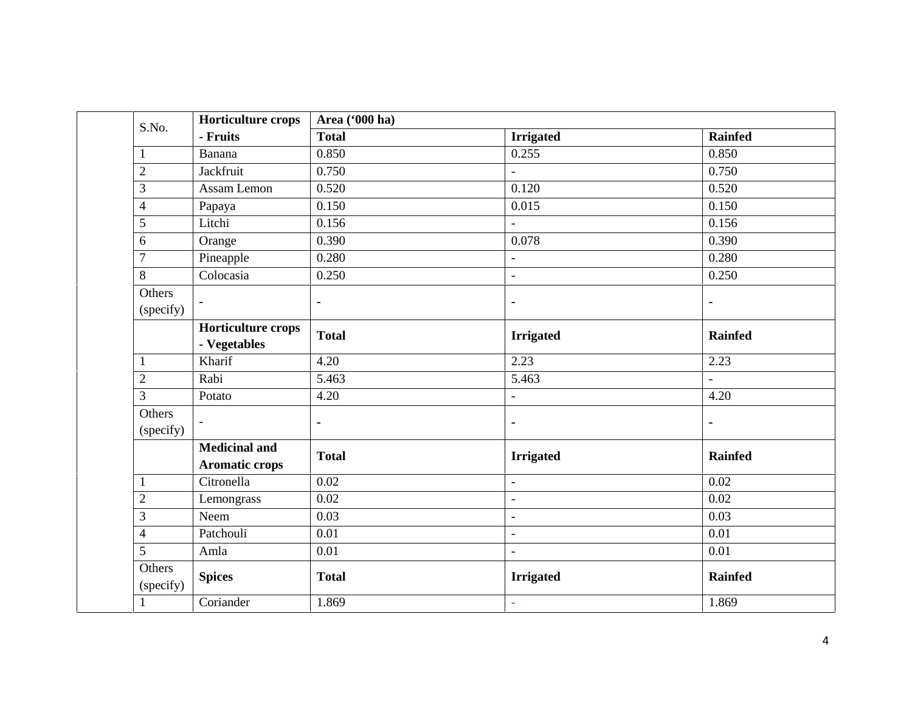| S.No.                    | <b>Horticulture crops</b>                     | Area ('000 ha) |                          |                |
|--------------------------|-----------------------------------------------|----------------|--------------------------|----------------|
|                          | - Fruits                                      | <b>Total</b>   | <b>Irrigated</b>         | <b>Rainfed</b> |
| $\mathbf{1}$             | Banana                                        | 0.850          | 0.255                    | 0.850          |
| $\mathbf{2}$             | Jackfruit                                     | 0.750          | $\overline{a}$           | 0.750          |
| 3                        | Assam Lemon                                   | 0.520          | 0.120                    | 0.520          |
| $\overline{\mathcal{L}}$ | Papaya                                        | 0.150          | 0.015                    | 0.150          |
| 5                        | Litchi                                        | 0.156          | $\overline{a}$           | 0.156          |
| 6                        | Orange                                        | 0.390          | 0.078                    | 0.390          |
| $\boldsymbol{7}$         | Pineapple                                     | 0.280          | $\overline{\phantom{a}}$ | 0.280          |
| 8                        | Colocasia                                     | 0.250          | $\overline{a}$           | 0.250          |
| Others<br>(specify)      |                                               | $\blacksquare$ | ٠                        | $\blacksquare$ |
|                          | Horticulture crops<br>- Vegetables            | <b>Total</b>   | <b>Irrigated</b>         | <b>Rainfed</b> |
| $\mathbf{1}$             | Kharif                                        | 4.20           | 2.23                     | 2.23           |
| $\overline{c}$           | Rabi                                          | 5.463          | 5.463                    | $\equiv$       |
| 3                        | Potato                                        | 4.20           | $\overline{a}$           | 4.20           |
| Others<br>(specify)      |                                               | ÷,             | ٠                        | ÷              |
|                          | <b>Medicinal and</b><br><b>Aromatic crops</b> | <b>Total</b>   | <b>Irrigated</b>         | <b>Rainfed</b> |
| $\mathbf{1}$             | Citronella                                    | 0.02           | $\overline{\phantom{a}}$ | 0.02           |
| $\overline{c}$           | Lemongrass                                    | $0.02\,$       | $\overline{\phantom{a}}$ | 0.02           |
| 3                        | Neem                                          | 0.03           | $\bar{a}$                | 0.03           |
| $\overline{4}$           | Patchouli                                     | 0.01           | $\overline{\phantom{a}}$ | 0.01           |
| 5                        | Amla                                          | 0.01           | $\overline{a}$           | 0.01           |
| Others<br>(specify)      | <b>Spices</b>                                 | <b>Total</b>   | <b>Irrigated</b>         | <b>Rainfed</b> |
| $\mathbf{1}$             | Coriander                                     | 1.869          |                          | 1.869          |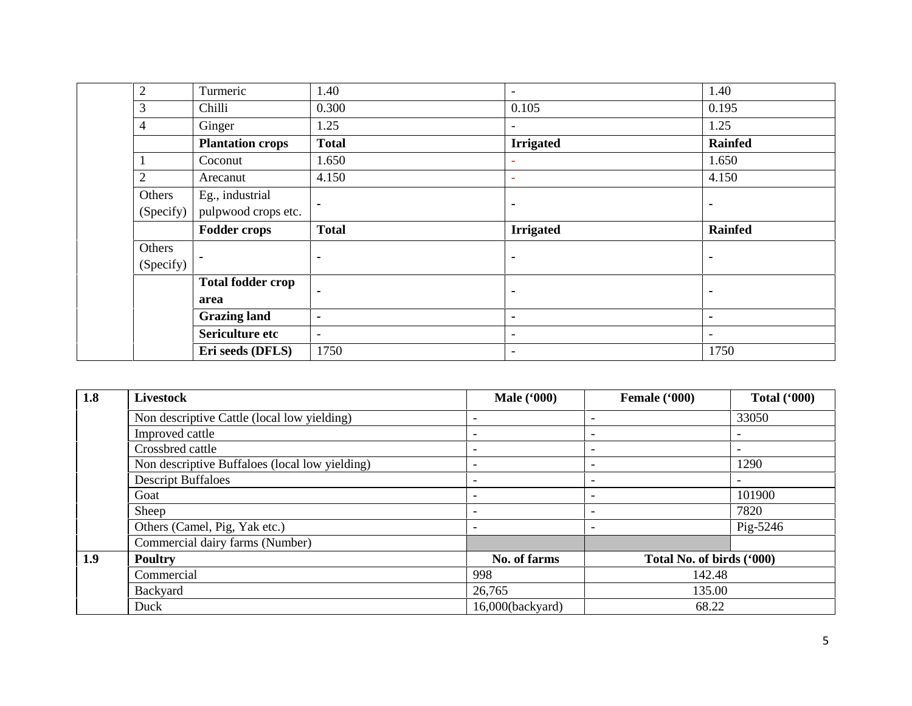| $\mathfrak{2}$ | Turmeric                 | 1.40                     | $\overline{\phantom{a}}$ | 1.40                     |
|----------------|--------------------------|--------------------------|--------------------------|--------------------------|
| 3              | Chilli                   | 0.300                    | 0.105                    | 0.195                    |
| $\overline{4}$ | Ginger                   | 1.25                     |                          | 1.25                     |
|                | <b>Plantation crops</b>  | <b>Total</b>             | <b>Irrigated</b>         | <b>Rainfed</b>           |
|                | Coconut                  | 1.650                    |                          | 1.650                    |
| $\overline{2}$ | Arecanut                 | 4.150                    |                          | 4.150                    |
| Others         | Eg., industrial          |                          |                          |                          |
| (Specify)      | pulpwood crops etc.      | $\blacksquare$           | $\blacksquare$           | ٠                        |
|                | <b>Fodder crops</b>      | <b>Total</b>             | <b>Irrigated</b>         | <b>Rainfed</b>           |
| Others         |                          |                          |                          |                          |
|                |                          |                          |                          |                          |
| (Specify)      | ٠                        | $\blacksquare$           | ٠                        | $\blacksquare$           |
|                | <b>Total fodder crop</b> |                          |                          |                          |
|                | area                     | $\blacksquare$           | $\blacksquare$           | ٠                        |
|                | <b>Grazing land</b>      | $\blacksquare$           | $\blacksquare$           | $\blacksquare$           |
|                | Sericulture etc          | $\overline{\phantom{a}}$ | $\overline{\phantom{a}}$ | $\overline{\phantom{a}}$ |

| 1.8 | <b>Livestock</b>                               | <b>Male</b> ('000)       | Female ('000)             | Total $(900)$ |
|-----|------------------------------------------------|--------------------------|---------------------------|---------------|
|     | Non descriptive Cattle (local low yielding)    | $\overline{\phantom{0}}$ | $\overline{\phantom{0}}$  | 33050         |
|     | Improved cattle                                |                          | $\overline{\phantom{0}}$  |               |
|     | Crossbred cattle                               | $\overline{\phantom{0}}$ | $\overline{\phantom{a}}$  |               |
|     | Non descriptive Buffaloes (local low yielding) | $\overline{\phantom{0}}$ | $\overline{\phantom{a}}$  | 1290          |
|     | <b>Descript Buffaloes</b>                      | $\overline{\phantom{0}}$ | $\overline{\phantom{a}}$  |               |
|     | Goat                                           | $\overline{\phantom{0}}$ | $\overline{\phantom{0}}$  | 101900        |
|     | Sheep                                          | -                        | $\overline{\phantom{0}}$  | 7820          |
|     | Others (Camel, Pig, Yak etc.)                  | $\overline{\phantom{0}}$ | $\overline{\phantom{0}}$  | Pig-5246      |
|     | Commercial dairy farms (Number)                |                          |                           |               |
| 1.9 | <b>Poultry</b>                                 | No. of farms             | Total No. of birds ('000) |               |
|     | Commercial                                     | 998                      | 142.48                    |               |
|     | Backyard                                       | 26,765                   | 135.00                    |               |
|     | Duck                                           | 16,000(backyard)         | 68.22                     |               |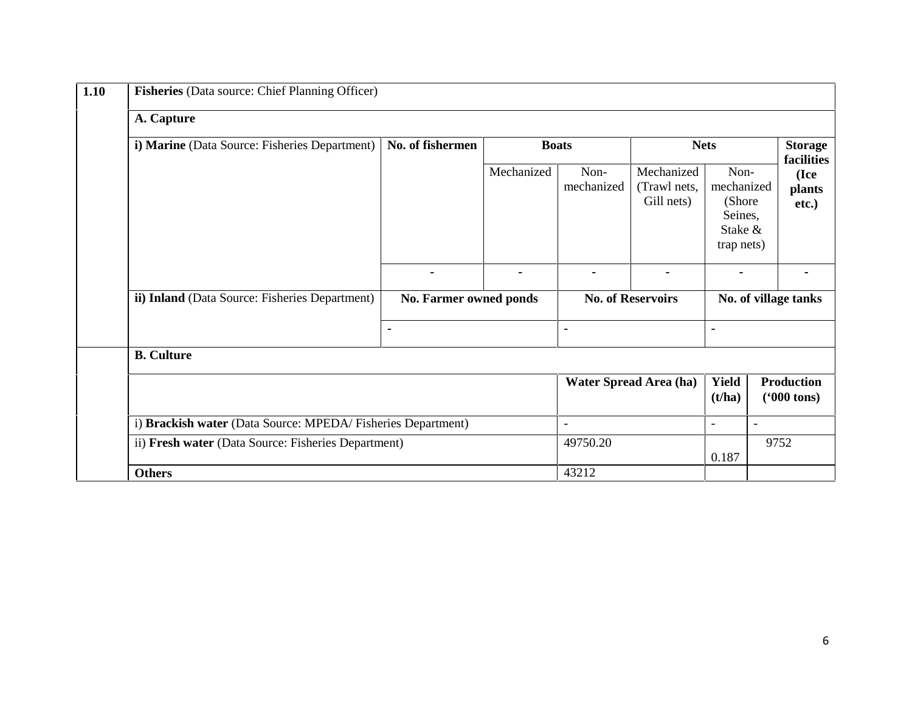| Fisheries (Data source: Chief Planning Officer)             |                        |                |                          |                                          |                                                                   |                                           |  |  |
|-------------------------------------------------------------|------------------------|----------------|--------------------------|------------------------------------------|-------------------------------------------------------------------|-------------------------------------------|--|--|
| A. Capture                                                  |                        |                |                          |                                          |                                                                   |                                           |  |  |
| i) Marine (Data Source: Fisheries Department)               | No. of fishermen       |                | <b>Boats</b>             |                                          | <b>Nets</b>                                                       | <b>Storage</b><br>facilities              |  |  |
|                                                             |                        | Mechanized     | Non-<br>mechanized       | Mechanized<br>(Trawl nets,<br>Gill nets) | Non-<br>mechanized<br>(Shore)<br>Seines,<br>Stake &<br>trap nets) | (Ice<br>plants<br>etc.)                   |  |  |
|                                                             | $\blacksquare$         | $\blacksquare$ | $\blacksquare$           | $\blacksquare$                           | $\blacksquare$                                                    | $\blacksquare$                            |  |  |
| ii) Inland (Data Source: Fisheries Department)              | No. Farmer owned ponds |                |                          | <b>No. of Reservoirs</b>                 |                                                                   | No. of village tanks                      |  |  |
|                                                             | $\blacksquare$         |                | $\blacksquare$           |                                          | $\blacksquare$                                                    |                                           |  |  |
| <b>B.</b> Culture                                           |                        |                |                          |                                          |                                                                   |                                           |  |  |
|                                                             |                        |                |                          | Water Spread Area (ha)                   | <b>Yield</b><br>(t/ha)                                            | <b>Production</b><br>$(900 \text{ tons})$ |  |  |
| i) Brackish water (Data Source: MPEDA/Fisheries Department) |                        |                | $\overline{\phantom{a}}$ |                                          | $\overline{\phantom{0}}$                                          | $\blacksquare$                            |  |  |
| ii) Fresh water (Data Source: Fisheries Department)         |                        |                | 49750.20                 |                                          | 0.187                                                             | 9752                                      |  |  |
| <b>Others</b>                                               |                        |                | 43212                    |                                          |                                                                   |                                           |  |  |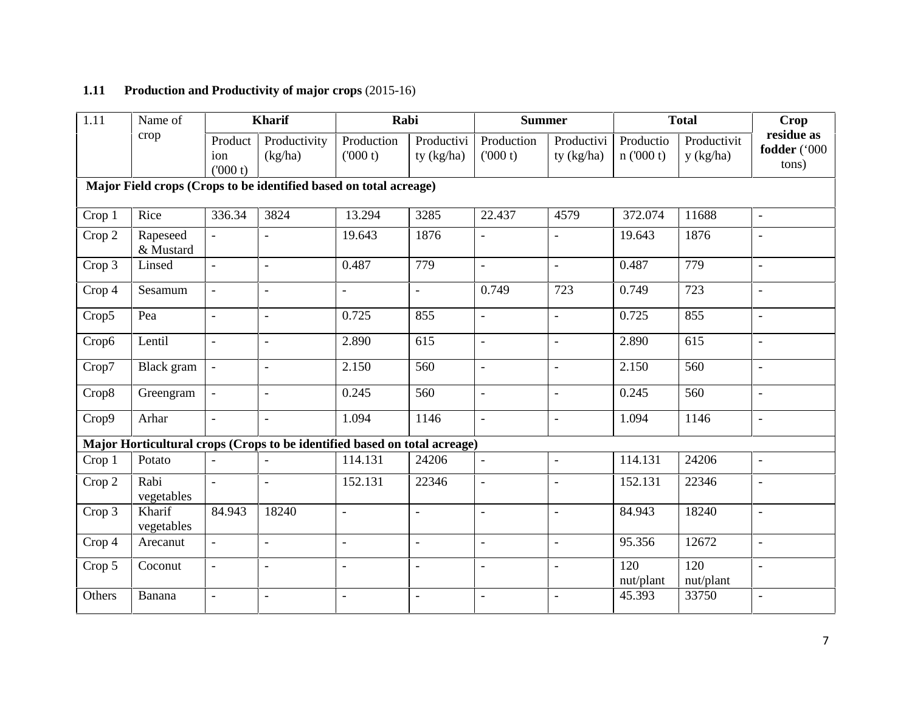# **1.11 Production and Productivity of major crops** (2015-16)

| $\overline{1.11}$ | Name of               |                           | <b>Kharif</b>                                                             | Rabi                  |                          | <b>Summer</b>            |                            |                       | <b>Total</b>             | <b>Crop</b>                         |
|-------------------|-----------------------|---------------------------|---------------------------------------------------------------------------|-----------------------|--------------------------|--------------------------|----------------------------|-----------------------|--------------------------|-------------------------------------|
| crop              |                       | Product<br>ion<br>(000 t) | Productivity<br>(kg/ha)                                                   | Production<br>(000 t) | Productivi<br>ty (kg/ha) | Production<br>(000 t)    | Productivi<br>ty $(kg/ha)$ | Productio<br>n(000 t) | Productivit<br>y (kg/ha) | residue as<br>fodder ('000<br>tons) |
|                   |                       |                           | Major Field crops (Crops to be identified based on total acreage)         |                       |                          |                          |                            |                       |                          |                                     |
| Crop 1            | Rice                  | 336.34                    | 3824                                                                      | 13.294                | 3285                     | 22.437                   | 4579                       | 372.074               | 11688                    | $\overline{\phantom{a}}$            |
| Crop 2            | Rapeseed<br>& Mustard |                           |                                                                           | 19.643                | 1876                     | $\overline{a}$           |                            | 19.643                | 1876                     | $\bar{\phantom{a}}$                 |
| Crop 3            | Linsed                | $\mathbf{r}$              | $\overline{a}$                                                            | 0.487                 | 779                      | $\equiv$                 | $\equiv$                   | 0.487                 | 779                      | $\mathbf{r}$                        |
| Crop 4            | Sesamum               | $\blacksquare$            | $\blacksquare$                                                            | $\overline{a}$        | $\blacksquare$           | 0.749                    | 723                        | 0.749                 | 723                      | $\Box$                              |
| Crop5             | Pea                   | $\overline{a}$            | $\overline{a}$                                                            | 0.725                 | 855                      | $\overline{a}$           | $\overline{a}$             | 0.725                 | 855                      | $\blacksquare$                      |
| Crop6             | Lentil                | $\overline{\phantom{a}}$  | $\overline{\phantom{a}}$                                                  | 2.890                 | 615                      | $\Box$                   | $\overline{a}$             | 2.890                 | 615                      | $\overline{\phantom{a}}$            |
| Crop7             | Black gram            |                           | $\blacksquare$                                                            | 2.150                 | 560                      | $\overline{\phantom{a}}$ | $\overline{\phantom{a}}$   | 2.150                 | 560                      | $\overline{\phantom{a}}$            |
| Crop8             | Greengram             |                           | $\overline{a}$                                                            | 0.245                 | 560                      | $\overline{a}$           | $\equiv$                   | 0.245                 | 560                      | $\overline{a}$                      |
| Crop9             | Arhar                 | $\blacksquare$            | $\blacksquare$                                                            | 1.094                 | 1146                     | $\overline{\phantom{a}}$ | $\equiv$                   | 1.094                 | 1146                     | $\overline{\phantom{a}}$            |
|                   |                       |                           | Major Horticultural crops (Crops to be identified based on total acreage) |                       |                          |                          |                            |                       |                          |                                     |
| Crop 1            | Potato                | $\blacksquare$            |                                                                           | 114.131               | 24206                    | $\equiv$                 | $\equiv$                   | 114.131               | 24206                    | $\overline{\phantom{a}}$            |
| Crop 2            | Rabi<br>vegetables    | $\equiv$                  | $\overline{a}$                                                            | 152.131               | 22346                    | $\overline{a}$           |                            | 152.131               | 22346                    | $\Box$                              |
| Crop 3            | Kharif<br>vegetables  | 84.943                    | 18240                                                                     | $\overline{a}$        | $\equiv$                 | $\overline{a}$           | $\overline{a}$             | 84.943                | 18240                    | $\equiv$                            |
| Crop 4            | Arecanut              | $\blacksquare$            | $\overline{a}$                                                            | $\overline{a}$        | $\blacksquare$           | $\overline{a}$           | $\overline{a}$             | 95.356                | 12672                    | $\overline{a}$                      |
| Crop 5            | Coconut               | $\overline{\phantom{a}}$  | $\overline{a}$                                                            |                       | $\blacksquare$           | $\overline{a}$           | $\overline{a}$             | 120<br>nut/plant      | 120<br>nut/plant         | $\overline{\phantom{a}}$            |
| Others            | Banana                |                           | $\overline{a}$                                                            |                       | $\overline{\phantom{a}}$ | $\blacksquare$           |                            | 45.393                | 33750                    | $\overline{a}$                      |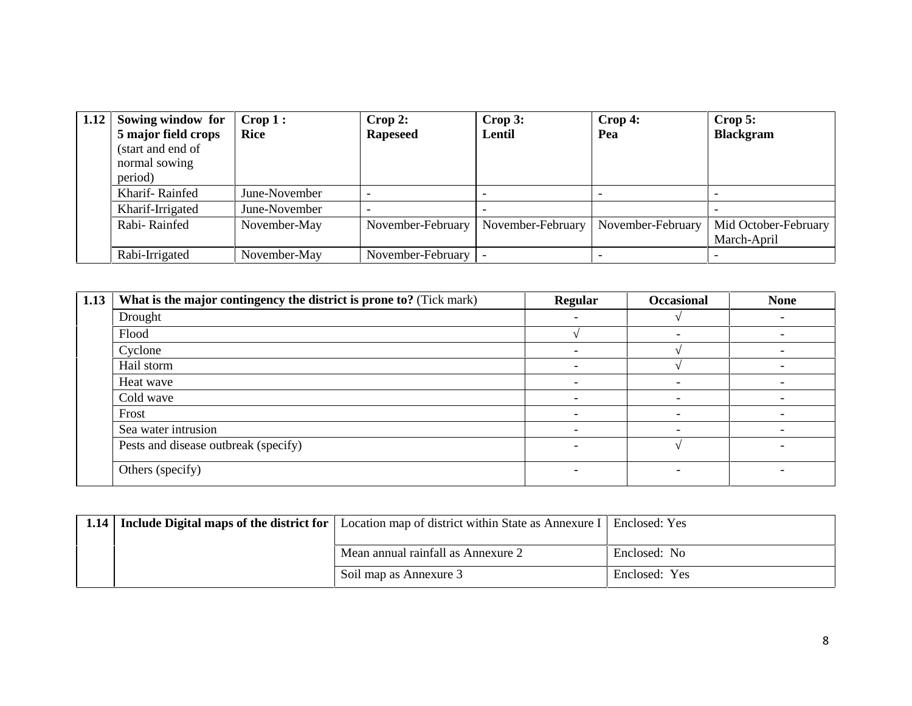| 1.12 | Sowing window for<br>5 major field crops<br>(start and end of<br>normal sowing | $\bf{Crop 1:}$<br><b>Rice</b> | Crop 2:<br><b>Rapeseed</b> | Crop 3:<br>Lentil | $\bf{Crop 4:}$<br>Pea | $\bf{Crop}$ 5:<br><b>Blackgram</b>  |
|------|--------------------------------------------------------------------------------|-------------------------------|----------------------------|-------------------|-----------------------|-------------------------------------|
|      | period)<br>Kharif-Rainfed                                                      | June-November                 |                            |                   |                       |                                     |
|      | Kharif-Irrigated                                                               | June-November                 |                            |                   |                       |                                     |
|      | Rabi-Rainfed                                                                   | November-May                  | November-February          | November-February | November-February     | Mid October-February<br>March-April |
|      | Rabi-Irrigated                                                                 | November-May                  | November-February          |                   |                       |                                     |

| 1.13 | What is the major contingency the district is prone to? (Tick mark) | <b>Regular</b>           | <b>Occasional</b> | <b>None</b> |
|------|---------------------------------------------------------------------|--------------------------|-------------------|-------------|
|      | Drought                                                             | $\overline{\phantom{a}}$ |                   |             |
|      | Flood                                                               |                          |                   |             |
|      | Cyclone                                                             |                          |                   |             |
|      | Hail storm                                                          | $\overline{\phantom{a}}$ |                   | -           |
|      | Heat wave                                                           | $\overline{\phantom{0}}$ |                   |             |
|      | Cold wave                                                           |                          |                   |             |
|      | Frost                                                               |                          |                   |             |
|      | Sea water intrusion                                                 |                          |                   |             |
|      | Pests and disease outbreak (specify)                                | $\overline{\phantom{0}}$ |                   | -           |
|      | Others (specify)                                                    | $\overline{\phantom{0}}$ | ٠                 |             |

| 1.14 | <b>Include Digital maps of the district for</b> Location map of district within State as Annexure I Enclosed: Yes |               |
|------|-------------------------------------------------------------------------------------------------------------------|---------------|
|      | Mean annual rainfall as Annexure 2                                                                                | Enclosed: No  |
|      | Soil map as Annexure 3                                                                                            | Enclosed: Yes |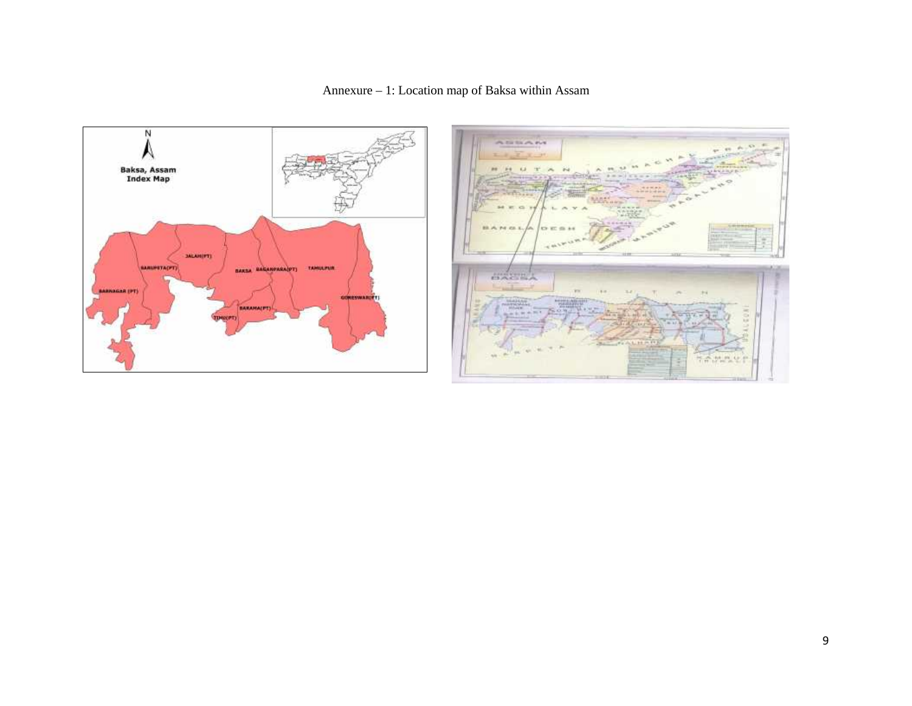

Annexure – 1: Location map of Baksa within Assam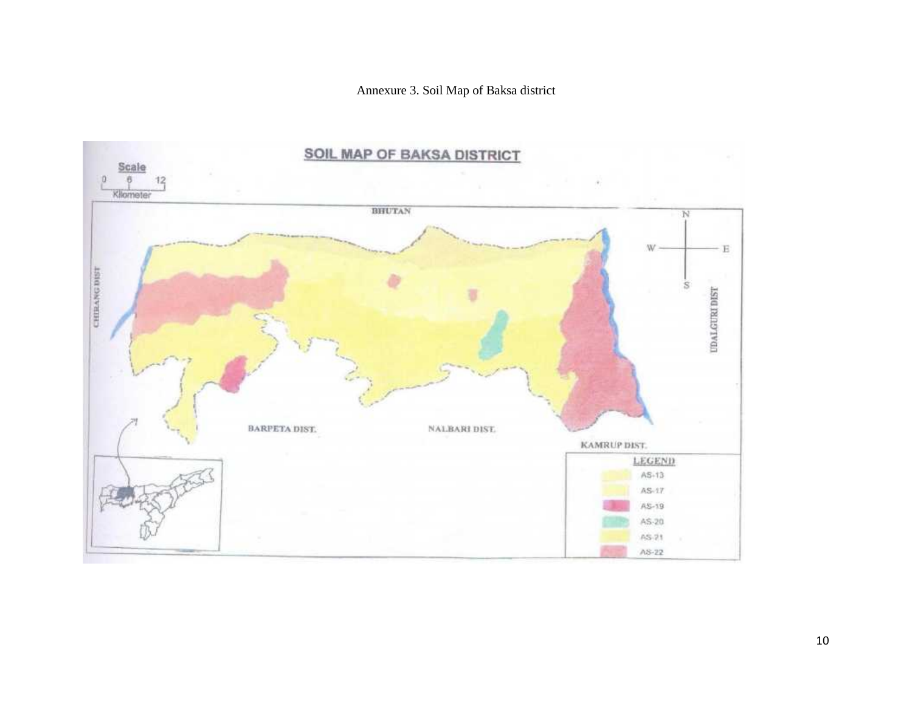Annexure 3. Soil Map of Baksa district

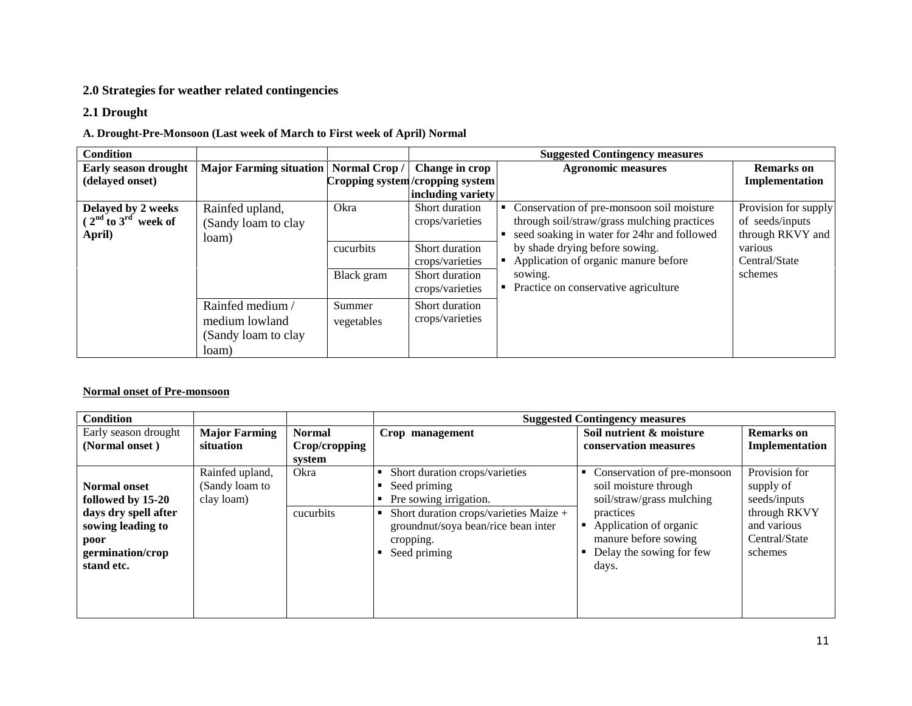### **2.0 Strategies for weather related contingencies**

#### **2.1 Drought**

#### **A. Drought-Pre-Monsoon (Last week of March to First week of April) Normal**

| <b>Condition</b>                                        |                                                                   |                                 |                                                                                                             | <b>Suggested Contingency measures</b>                                                                                                                                                                                                                                                      |                                                                              |
|---------------------------------------------------------|-------------------------------------------------------------------|---------------------------------|-------------------------------------------------------------------------------------------------------------|--------------------------------------------------------------------------------------------------------------------------------------------------------------------------------------------------------------------------------------------------------------------------------------------|------------------------------------------------------------------------------|
| <b>Early season drought</b><br>(delayed onset)          | <b>Major Farming situation</b>                                    | Normal Crop/                    | Change in crop<br>Cropping system/cropping system<br>including variety                                      | <b>Agronomic measures</b>                                                                                                                                                                                                                                                                  | <b>Remarks</b> on<br>Implementation                                          |
| Delayed by 2 weeks<br>$(2nd$ to $3rd$ week of<br>April) | Rainfed upland,<br>(Sandy loam to clay<br>loam)                   | Okra<br>cucurbits<br>Black gram | Short duration<br>crops/varieties<br>Short duration<br>crops/varieties<br>Short duration<br>crops/varieties | Conservation of pre-monsoon soil moisture<br>through soil/straw/grass mulching practices<br>seed soaking in water for 24hr and followed<br>by shade drying before sowing.<br>various<br>Application of organic manure before<br>schemes<br>sowing.<br>Practice on conservative agriculture | Provision for supply<br>of seeds/inputs<br>through RKVY and<br>Central/State |
|                                                         | Rainfed medium/<br>medium lowland<br>(Sandy loam to clay<br>loam) | Summer<br>vegetables            | Short duration<br>crops/varieties                                                                           |                                                                                                                                                                                                                                                                                            |                                                                              |

#### **Normal onset of Pre-monsoon**

| <b>Condition</b>                                                                                                                |                                                 |                                          |                                                                                                                                                                                        | <b>Suggested Contingency measures</b>                                                                                                                                                   |                                                                                                       |
|---------------------------------------------------------------------------------------------------------------------------------|-------------------------------------------------|------------------------------------------|----------------------------------------------------------------------------------------------------------------------------------------------------------------------------------------|-----------------------------------------------------------------------------------------------------------------------------------------------------------------------------------------|-------------------------------------------------------------------------------------------------------|
| Early season drought<br>(Normal onset)                                                                                          | <b>Major Farming</b><br>situation               | <b>Normal</b><br>Crop/cropping<br>system | Crop management                                                                                                                                                                        | Soil nutrient & moisture<br>conservation measures                                                                                                                                       | <b>Remarks</b> on<br>Implementation                                                                   |
| <b>Normal onset</b><br>followed by 15-20<br>days dry spell after<br>sowing leading to<br>poor<br>germination/crop<br>stand etc. | Rainfed upland,<br>(Sandy loam to<br>clay loam) | Okra<br>cucurbits                        | Short duration crops/varieties<br>Seed priming<br>Pre sowing irrigation.<br>Short duration crops/varieties Maize +<br>groundnut/soya bean/rice bean inter<br>cropping.<br>Seed priming | • Conservation of pre-monsoon<br>soil moisture through<br>soil/straw/grass mulching<br>practices<br>Application of organic<br>manure before sowing<br>Delay the sowing for few<br>days. | Provision for<br>supply of<br>seeds/inputs<br>through RKVY<br>and various<br>Central/State<br>schemes |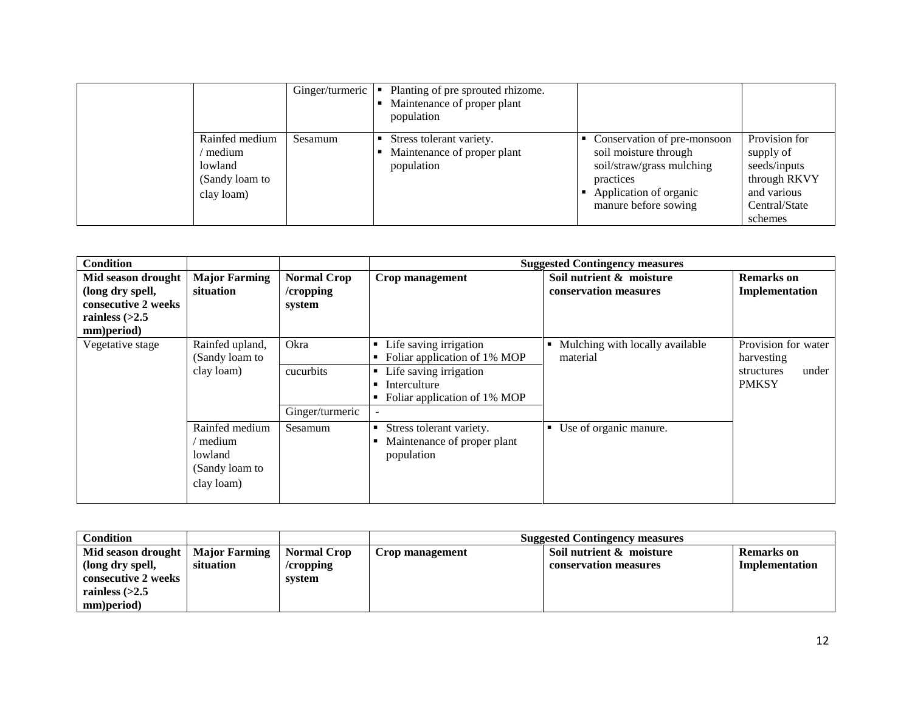|                                                                     |         | Ginger/turmeric $\vert \cdot \vert$ Planting of pre sprouted rhizome.<br>Maintenance of proper plant<br>population |                                                                                                                                                  |                                                                                                       |
|---------------------------------------------------------------------|---------|--------------------------------------------------------------------------------------------------------------------|--------------------------------------------------------------------------------------------------------------------------------------------------|-------------------------------------------------------------------------------------------------------|
| Rainfed medium<br>medium<br>lowland<br>(Sandy loam to<br>clay loam) | Sesamum | Stress tolerant variety.<br>Maintenance of proper plant<br>population                                              | Conservation of pre-monsoon<br>soil moisture through<br>soil/straw/grass mulching<br>practices<br>Application of organic<br>manure before sowing | Provision for<br>supply of<br>seeds/inputs<br>through RKVY<br>and various<br>Central/State<br>schemes |

| <b>Condition</b>                                                                                |                                                                       |                                           |                                                                                                                                      | <b>Suggested Contingency measures</b>             |                                                                          |
|-------------------------------------------------------------------------------------------------|-----------------------------------------------------------------------|-------------------------------------------|--------------------------------------------------------------------------------------------------------------------------------------|---------------------------------------------------|--------------------------------------------------------------------------|
| Mid season drought<br>(long dry spell,<br>consecutive 2 weeks<br>rainless $(>2.5$<br>mm)period) | <b>Major Farming</b><br>situation                                     | <b>Normal Crop</b><br>/cropping<br>system | Crop management                                                                                                                      | Soil nutrient & moisture<br>conservation measures | <b>Remarks</b> on<br>Implementation                                      |
| Vegetative stage                                                                                | Rainfed upland,<br>(Sandy loam to<br>clay loam)                       | Okra<br>cucurbits<br>Ginger/turmeric      | • Life saving irrigation<br>Foliar application of 1% MOP<br>• Life saving irrigation<br>Interculture<br>Foliar application of 1% MOP | Mulching with locally available<br>material       | Provision for water<br>harvesting<br>under<br>structures<br><b>PMKSY</b> |
|                                                                                                 | Rainfed medium<br>' medium<br>lowland<br>(Sandy loam to<br>clay loam) | Sesamum                                   | Stress tolerant variety.<br>Maintenance of proper plant<br>population                                                                | • Use of organic manure.                          |                                                                          |

| Condition           |                      |                    | <b>Suggested Contingency measures</b> |                          |                   |  |
|---------------------|----------------------|--------------------|---------------------------------------|--------------------------|-------------------|--|
| Mid season drought  | <b>Major Farming</b> | <b>Normal Crop</b> | Crop management                       | Soil nutrient & moisture | <b>Remarks</b> on |  |
| (long dry spell,    | situation            | /cropping          |                                       | conservation measures    | Implementation    |  |
| consecutive 2 weeks |                      | svstem             |                                       |                          |                   |  |
| rainless $(>2.5$    |                      |                    |                                       |                          |                   |  |
| mm)period)          |                      |                    |                                       |                          |                   |  |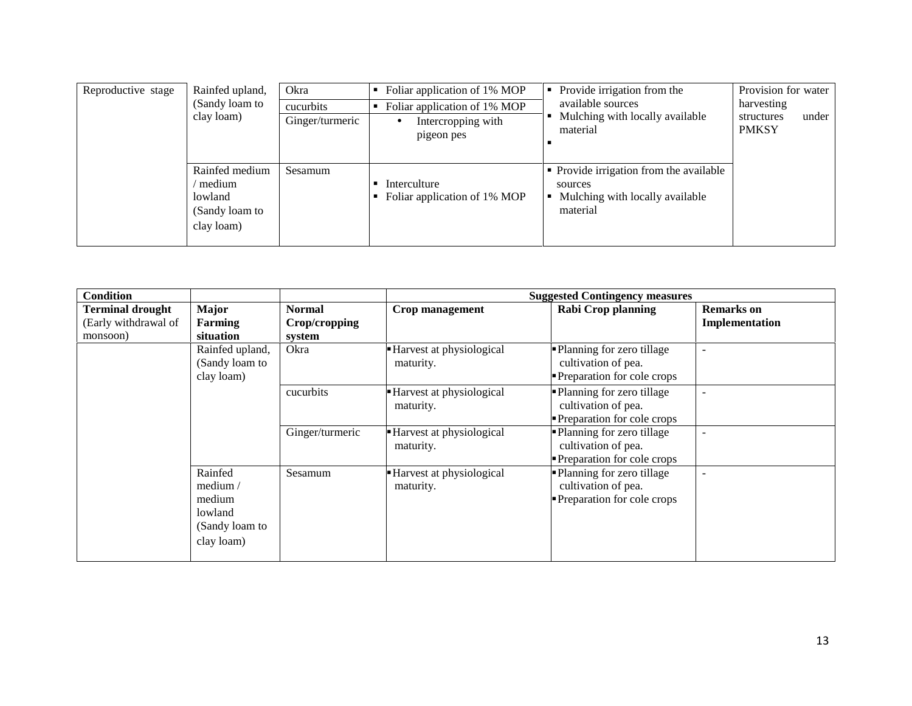| Reproductive stage | Rainfed upland,<br>(Sandy loam to<br>clay loam)                     | Okra<br>cucurbits<br>Ginger/turmeric | Foliar application of 1% MOP<br>Foliar application of 1% MOP<br>Intercropping with<br>pigeon pes | Provide irrigation from the<br>available sources<br>Mulching with locally available<br>material   | Provision for water<br>harvesting<br>under<br>structures<br><b>PMKSY</b> |
|--------------------|---------------------------------------------------------------------|--------------------------------------|--------------------------------------------------------------------------------------------------|---------------------------------------------------------------------------------------------------|--------------------------------------------------------------------------|
|                    | Rainfed medium<br>medium<br>lowland<br>(Sandy loam to<br>clay loam) | Sesamum                              | Interculture<br>Foliar application of 1% MOP                                                     | • Provide irrigation from the available<br>sources<br>Mulching with locally available<br>material |                                                                          |

| <b>Condition</b>                                            |                                                                          |                                          |                                         | <b>Suggested Contingency measures</b>                                            |                                     |
|-------------------------------------------------------------|--------------------------------------------------------------------------|------------------------------------------|-----------------------------------------|----------------------------------------------------------------------------------|-------------------------------------|
| <b>Terminal drought</b><br>(Early withdrawal of<br>monsoon) | <b>Major</b><br>Farming<br>situation                                     | <b>Normal</b><br>Crop/cropping<br>system | Crop management                         | <b>Rabi Crop planning</b>                                                        | <b>Remarks</b> on<br>Implementation |
|                                                             | Rainfed upland,<br>(Sandy loam to<br>clay loam)                          | Okra                                     | - Harvest at physiological<br>maturity. | • Planning for zero tillage<br>cultivation of pea.<br>Preparation for cole crops |                                     |
|                                                             |                                                                          | cucurbits                                | Harvest at physiological<br>maturity.   | • Planning for zero tillage<br>cultivation of pea.<br>Preparation for cole crops |                                     |
|                                                             |                                                                          | Ginger/turmeric                          | Harvest at physiological<br>maturity.   | • Planning for zero tillage<br>cultivation of pea.<br>Preparation for cole crops |                                     |
|                                                             | Rainfed<br>medium /<br>medium<br>lowland<br>(Sandy loam to<br>clay loam) | Sesamum                                  | Harvest at physiological<br>maturity.   | • Planning for zero tillage<br>cultivation of pea.<br>Preparation for cole crops |                                     |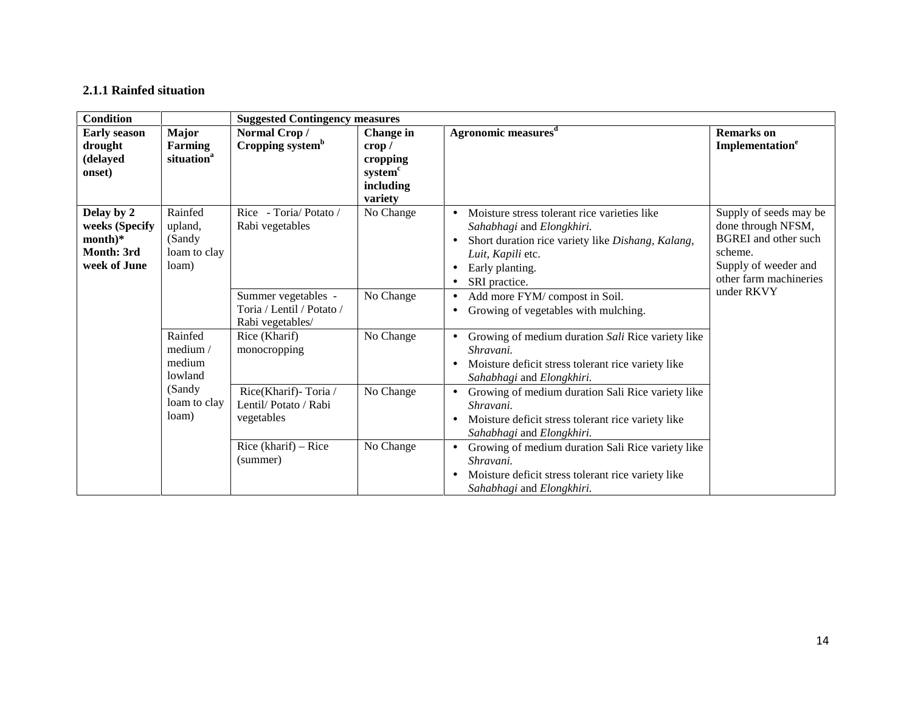## **2.1.1 Rainfed situation**

| Condition                                                               |                                                          |                                                                      | <b>Suggested Contingency measures</b>                                                   |                                                                                                                                                                                              |                                                                                                                                          |  |  |  |
|-------------------------------------------------------------------------|----------------------------------------------------------|----------------------------------------------------------------------|-----------------------------------------------------------------------------------------|----------------------------------------------------------------------------------------------------------------------------------------------------------------------------------------------|------------------------------------------------------------------------------------------------------------------------------------------|--|--|--|
| <b>Early season</b><br>drought<br>(delayed<br>onset)                    | <b>Major</b><br><b>Farming</b><br>situation <sup>a</sup> | Normal Crop/<br>Cropping system <sup>b</sup>                         | Change in<br>$\mathbf{crop}$<br>cropping<br>system <sup>c</sup><br>including<br>variety | Agronomic measures <sup>d</sup>                                                                                                                                                              | <b>Remarks</b> on<br>Implementation <sup>e</sup>                                                                                         |  |  |  |
| Delay by 2<br>weeks (Specify<br>$month)*$<br>Month: 3rd<br>week of June | Rainfed<br>upland,<br>(Sandy<br>loam to clay<br>loam)    | Rice - Toria/Potato /<br>Rabi vegetables                             | No Change                                                                               | Moisture stress tolerant rice varieties like<br>Sahabhagi and Elongkhiri.<br>Short duration rice variety like Dishang, Kalang,<br>Luit, Kapili etc.<br>Early planting.<br>٠<br>SRI practice. | Supply of seeds may be<br>done through NFSM,<br><b>BGREI</b> and other such<br>scheme.<br>Supply of weeder and<br>other farm machineries |  |  |  |
|                                                                         |                                                          | Summer vegetables -<br>Toria / Lentil / Potato /<br>Rabi vegetables/ | No Change                                                                               | Add more FYM/ compost in Soil.<br>Growing of vegetables with mulching.                                                                                                                       | under RKVY                                                                                                                               |  |  |  |
|                                                                         | Rainfed<br>median/<br>medium<br>lowland                  | Rice (Kharif)<br>monocropping                                        | No Change                                                                               | Growing of medium duration Sali Rice variety like<br>Shravani.<br>Moisture deficit stress tolerant rice variety like<br>Sahabhagi and Elongkhiri.                                            |                                                                                                                                          |  |  |  |
|                                                                         | (Sandy<br>loam to clay<br>loam)                          | Rice(Kharif)-Toria /<br>Lentil/Potato / Rabi<br>vegetables           | No Change                                                                               | Growing of medium duration Sali Rice variety like<br>Shravani.<br>Moisture deficit stress tolerant rice variety like<br>Sahabhagi and Elongkhiri.                                            |                                                                                                                                          |  |  |  |
|                                                                         |                                                          | Rice (kharif) $-$ Rice<br>(summer)                                   | No Change                                                                               | Growing of medium duration Sali Rice variety like<br>Shravani.<br>Moisture deficit stress tolerant rice variety like<br>Sahabhagi and Elongkhiri.                                            |                                                                                                                                          |  |  |  |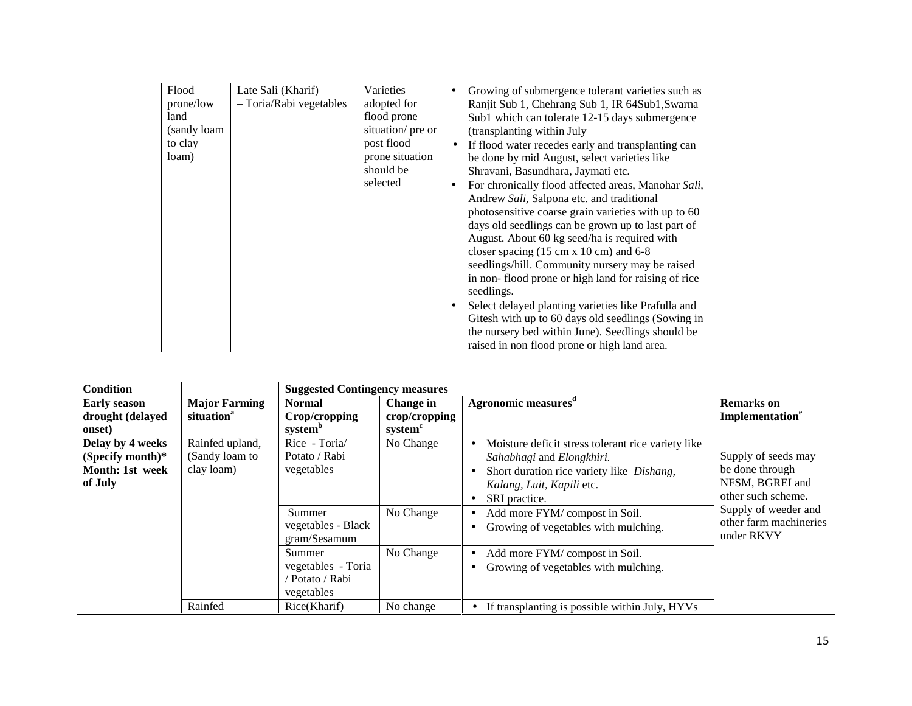|  | Flood<br>prone/low<br>land<br>(sandy loam<br>to clay<br>loam) | Late Sali (Kharif)<br>- Toria/Rabi vegetables | Varieties<br>adopted for<br>flood prone<br>situation/ pre or<br>post flood<br>prone situation<br>should be<br>selected |  | Growing of submergence tolerant varieties such as<br>Ranjit Sub 1, Chehrang Sub 1, IR 64Sub1, Swarna<br>Sub1 which can tolerate 12-15 days submergence<br>(transplanting within July<br>If flood water recedes early and transplanting can<br>be done by mid August, select varieties like<br>Shravani, Basundhara, Jaymati etc.<br>For chronically flood affected areas, Manohar Sali,<br>Andrew Sali, Salpona etc. and traditional<br>photosensitive coarse grain varieties with up to 60<br>days old seedlings can be grown up to last part of<br>August. About 60 kg seed/ha is required with<br>closer spacing $(15 \text{ cm} \times 10 \text{ cm})$ and 6-8<br>seedlings/hill. Community nursery may be raised<br>in non-flood prone or high land for raising of rice<br>seedlings.<br>Select delayed planting varieties like Prafulla and<br>Gitesh with up to 60 days old seedlings (Sowing in<br>the nursery bed within June). Seedlings should be<br>raised in non flood prone or high land area. |  |
|--|---------------------------------------------------------------|-----------------------------------------------|------------------------------------------------------------------------------------------------------------------------|--|--------------------------------------------------------------------------------------------------------------------------------------------------------------------------------------------------------------------------------------------------------------------------------------------------------------------------------------------------------------------------------------------------------------------------------------------------------------------------------------------------------------------------------------------------------------------------------------------------------------------------------------------------------------------------------------------------------------------------------------------------------------------------------------------------------------------------------------------------------------------------------------------------------------------------------------------------------------------------------------------------------------|--|
|--|---------------------------------------------------------------|-----------------------------------------------|------------------------------------------------------------------------------------------------------------------------|--|--------------------------------------------------------------------------------------------------------------------------------------------------------------------------------------------------------------------------------------------------------------------------------------------------------------------------------------------------------------------------------------------------------------------------------------------------------------------------------------------------------------------------------------------------------------------------------------------------------------------------------------------------------------------------------------------------------------------------------------------------------------------------------------------------------------------------------------------------------------------------------------------------------------------------------------------------------------------------------------------------------------|--|

| <b>Condition</b>                                                   |                                                 | <b>Suggested Contingency measures</b>                       |                                                   |                                                                                                                                                                                                              |                                                                                                         |
|--------------------------------------------------------------------|-------------------------------------------------|-------------------------------------------------------------|---------------------------------------------------|--------------------------------------------------------------------------------------------------------------------------------------------------------------------------------------------------------------|---------------------------------------------------------------------------------------------------------|
| <b>Early season</b><br>drought (delayed<br>onset)                  | <b>Major Farming</b><br>situation <sup>a</sup>  | <b>Normal</b><br>Crop/cropping<br>system <sup>b</sup>       | Change in<br>crop/cropping<br>system <sup>c</sup> | Agronomic measures <sup>d</sup>                                                                                                                                                                              | <b>Remarks</b> on<br>Implementation <sup>e</sup>                                                        |
| Delay by 4 weeks<br>(Specify month)*<br>Month: 1st week<br>of July | Rainfed upland,<br>(Sandy loam to<br>clay loam) | Rice - Toria/<br>Potato / Rabi<br>vegetables<br>Summer      | No Change<br>No Change                            | Moisture deficit stress tolerant rice variety like<br>Sahabhagi and Elongkhiri.<br>Short duration rice variety like Dishang,<br>Kalang, Luit, Kapili etc.<br>SRI practice.<br>Add more FYM/ compost in Soil. | Supply of seeds may<br>be done through<br>NFSM, BGREI and<br>other such scheme.<br>Supply of weeder and |
|                                                                    |                                                 | vegetables - Black<br>gram/Sesamum                          |                                                   | Growing of vegetables with mulching.                                                                                                                                                                         | other farm machineries<br>under RKVY                                                                    |
|                                                                    |                                                 | Summer<br>vegetables - Toria<br>Potato / Rabi<br>vegetables | No Change                                         | Add more FYM/ compost in Soil.<br>Growing of vegetables with mulching.                                                                                                                                       |                                                                                                         |
|                                                                    | Rainfed                                         | Rice(Kharif)                                                | No change                                         | If transplanting is possible within July, HYVs                                                                                                                                                               |                                                                                                         |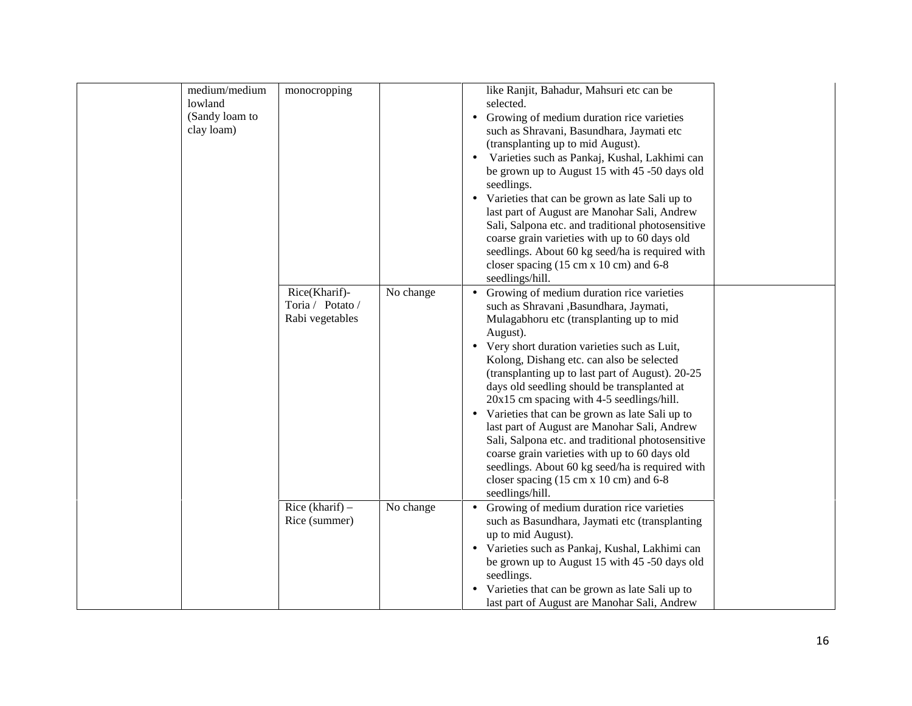| lowland<br>clay loam) | medium/medium<br>monocropping<br>(Sandy loam to<br>Rice(Kharif)-<br>Rabi vegetables | No change<br>Toria / Potato / | like Ranjit, Bahadur, Mahsuri etc can be<br>selected.<br>$\bullet$<br>(transplanting up to mid August).<br>$\bullet$<br>seedlings.<br>closer spacing $(15 \text{ cm} \times 10 \text{ cm})$ and 6-8<br>seedlings/hill.<br>such as Shravani , Basundhara, Jaymati,<br>Mulagabhoru etc (transplanting up to mid<br>August).<br>Very short duration varieties such as Luit,<br>Kolong, Dishang etc. can also be selected<br>20x15 cm spacing with 4-5 seedlings/hill.<br>$\bullet$<br>closer spacing $(15 \text{ cm} \times 10 \text{ cm})$ and 6-8<br>seedlings/hill. | Growing of medium duration rice varieties<br>such as Shravani, Basundhara, Jaymati etc<br>Varieties such as Pankaj, Kushal, Lakhimi can<br>be grown up to August 15 with 45 -50 days old<br>Varieties that can be grown as late Sali up to<br>last part of August are Manohar Sali, Andrew<br>Sali, Salpona etc. and traditional photosensitive<br>coarse grain varieties with up to 60 days old<br>seedlings. About 60 kg seed/ha is required with<br>Growing of medium duration rice varieties<br>(transplanting up to last part of August). 20-25<br>days old seedling should be transplanted at<br>Varieties that can be grown as late Sali up to<br>last part of August are Manohar Sali, Andrew<br>Sali, Salpona etc. and traditional photosensitive<br>coarse grain varieties with up to 60 days old<br>seedlings. About 60 kg seed/ha is required with |  |
|-----------------------|-------------------------------------------------------------------------------------|-------------------------------|---------------------------------------------------------------------------------------------------------------------------------------------------------------------------------------------------------------------------------------------------------------------------------------------------------------------------------------------------------------------------------------------------------------------------------------------------------------------------------------------------------------------------------------------------------------------|----------------------------------------------------------------------------------------------------------------------------------------------------------------------------------------------------------------------------------------------------------------------------------------------------------------------------------------------------------------------------------------------------------------------------------------------------------------------------------------------------------------------------------------------------------------------------------------------------------------------------------------------------------------------------------------------------------------------------------------------------------------------------------------------------------------------------------------------------------------|--|
|                       | Rice (kharif) $-$<br>Rice (summer)                                                  | No change                     | up to mid August).<br>seedlings.<br>$\bullet$                                                                                                                                                                                                                                                                                                                                                                                                                                                                                                                       | Growing of medium duration rice varieties<br>such as Basundhara, Jaymati etc (transplanting<br>· Varieties such as Pankaj, Kushal, Lakhimi can<br>be grown up to August 15 with 45 -50 days old<br>Varieties that can be grown as late Sali up to<br>last part of August are Manohar Sali, Andrew                                                                                                                                                                                                                                                                                                                                                                                                                                                                                                                                                              |  |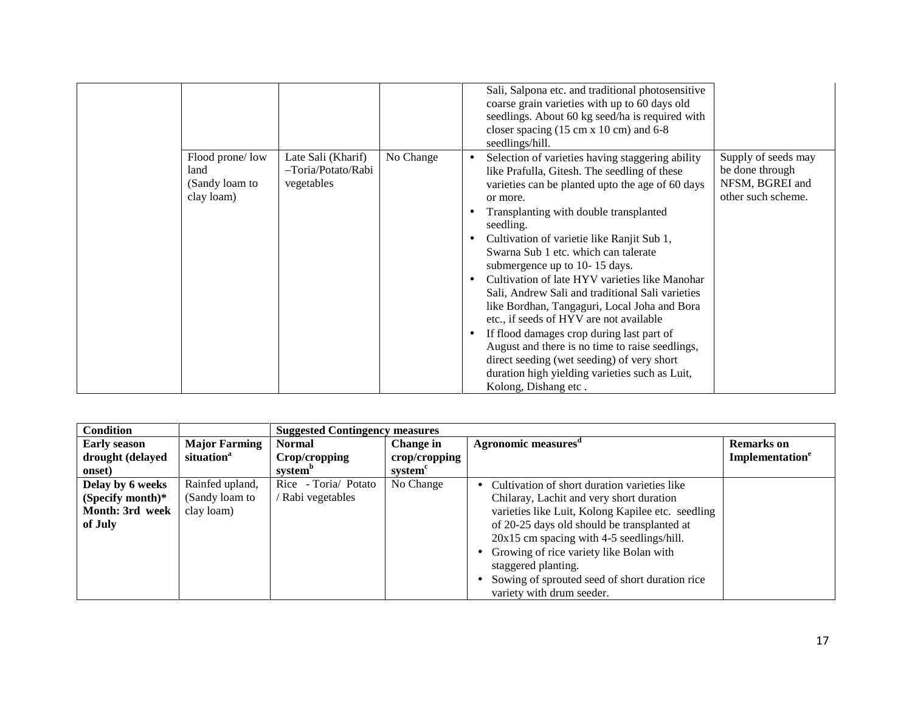|                                                         |                                                        |           | Sali, Salpona etc. and traditional photosensitive<br>coarse grain varieties with up to 60 days old                                                                                                                                                                                                                                                                                                                                                                                                                                                                                                                                                                                                                                                                                                                                                                                   |
|---------------------------------------------------------|--------------------------------------------------------|-----------|--------------------------------------------------------------------------------------------------------------------------------------------------------------------------------------------------------------------------------------------------------------------------------------------------------------------------------------------------------------------------------------------------------------------------------------------------------------------------------------------------------------------------------------------------------------------------------------------------------------------------------------------------------------------------------------------------------------------------------------------------------------------------------------------------------------------------------------------------------------------------------------|
|                                                         |                                                        |           | seedlings. About 60 kg seed/ha is required with<br>closer spacing $(15 \text{ cm} \times 10 \text{ cm})$ and 6-8<br>seedlings/hill.                                                                                                                                                                                                                                                                                                                                                                                                                                                                                                                                                                                                                                                                                                                                                  |
| Flood prone/low<br>land<br>(Sandy loam to<br>clay loam) | Late Sali (Kharif)<br>-Toria/Potato/Rabi<br>vegetables | No Change | Supply of seeds may<br>Selection of varieties having staggering ability<br>be done through<br>like Prafulla, Gitesh. The seedling of these<br>NFSM, BGREI and<br>varieties can be planted upto the age of 60 days<br>other such scheme.<br>or more.<br>Transplanting with double transplanted<br>seedling.<br>Cultivation of varietie like Ranjit Sub 1,<br>$\bullet$<br>Swarna Sub 1 etc. which can talerate<br>submergence up to 10-15 days.<br>Cultivation of late HYV varieties like Manohar<br>$\bullet$<br>Sali, Andrew Sali and traditional Sali varieties<br>like Bordhan, Tangaguri, Local Joha and Bora<br>etc., if seeds of HYV are not available<br>If flood damages crop during last part of<br>August and there is no time to raise seedlings,<br>direct seeding (wet seeding) of very short<br>duration high yielding varieties such as Luit,<br>Kolong, Dishang etc. |

| <b>Condition</b>    |                        | <b>Suggested Contingency measures</b> |               |                                                   |                             |
|---------------------|------------------------|---------------------------------------|---------------|---------------------------------------------------|-----------------------------|
| <b>Early season</b> | <b>Major Farming</b>   | <b>Normal</b>                         | Change in     | Agronomic measures <sup>d</sup>                   | <b>Remarks</b> on           |
| drought (delayed    | situation <sup>a</sup> | Crop/cropping                         | crop/cropping |                                                   | Implementation <sup>e</sup> |
| onset)              |                        | system <sup>o</sup>                   | system        |                                                   |                             |
| Delay by 6 weeks    | Rainfed upland,        | Rice - Toria/ Potato                  | No Change     | Cultivation of short duration varieties like      |                             |
| (Specify month)*    | (Sandy loam to         | / Rabi vegetables                     |               | Chilaray, Lachit and very short duration          |                             |
| Month: 3rd week     | clay loam)             |                                       |               | varieties like Luit, Kolong Kapilee etc. seedling |                             |
| of July             |                        |                                       |               | of 20-25 days old should be transplanted at       |                             |
|                     |                        |                                       |               | 20x15 cm spacing with 4-5 seedlings/hill.         |                             |
|                     |                        |                                       |               | Growing of rice variety like Bolan with           |                             |
|                     |                        |                                       |               | staggered planting.                               |                             |
|                     |                        |                                       |               | Sowing of sprouted seed of short duration rice    |                             |
|                     |                        |                                       |               | variety with drum seeder.                         |                             |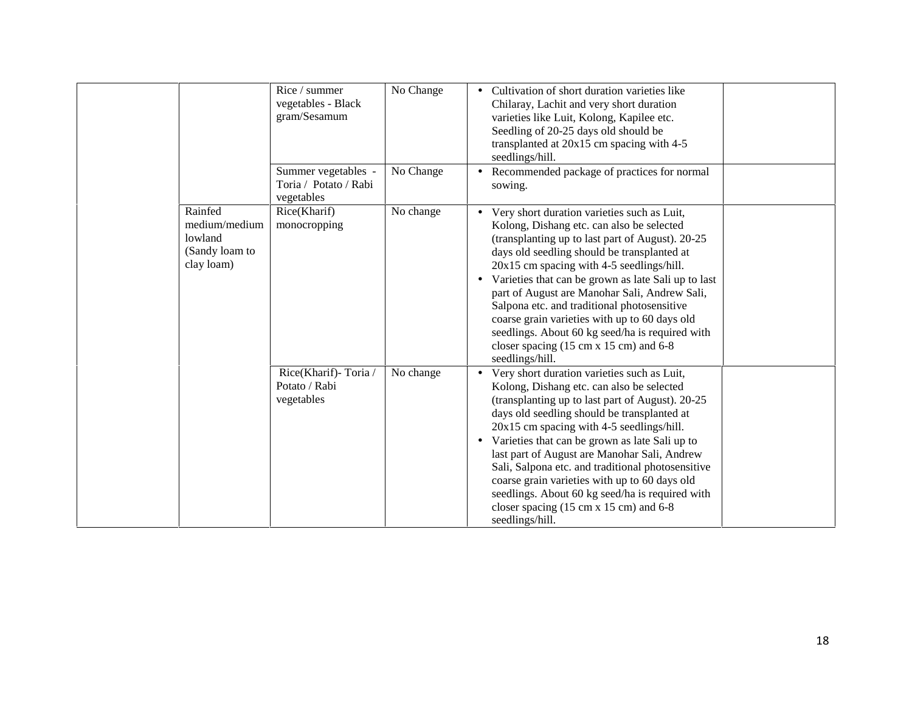|                                                                     | Rice / summer<br>vegetables - Black<br>gram/Sesamum        | No Change | Cultivation of short duration varieties like<br>Chilaray, Lachit and very short duration<br>varieties like Luit, Kolong, Kapilee etc.<br>Seedling of 20-25 days old should be<br>transplanted at $20x15$ cm spacing with 4-5<br>seedlings/hill.                                                                                                                                                                                                                                                                                                                                           |
|---------------------------------------------------------------------|------------------------------------------------------------|-----------|-------------------------------------------------------------------------------------------------------------------------------------------------------------------------------------------------------------------------------------------------------------------------------------------------------------------------------------------------------------------------------------------------------------------------------------------------------------------------------------------------------------------------------------------------------------------------------------------|
|                                                                     | Summer vegetables -<br>Toria / Potato / Rabi<br>vegetables | No Change | Recommended package of practices for normal<br>sowing.                                                                                                                                                                                                                                                                                                                                                                                                                                                                                                                                    |
| Rainfed<br>medium/medium<br>lowland<br>(Sandy loam to<br>clay loam) | Rice(Kharif)<br>monocropping                               | No change | • Very short duration varieties such as Luit,<br>Kolong, Dishang etc. can also be selected<br>(transplanting up to last part of August). 20-25<br>days old seedling should be transplanted at<br>20x15 cm spacing with 4-5 seedlings/hill.<br>Varieties that can be grown as late Sali up to last<br>part of August are Manohar Sali, Andrew Sali,<br>Salpona etc. and traditional photosensitive<br>coarse grain varieties with up to 60 days old<br>seedlings. About 60 kg seed/ha is required with<br>closer spacing $(15 \text{ cm} \times 15 \text{ cm})$ and 6-8<br>seedlings/hill. |
|                                                                     | Rice(Kharif)-Toria/<br>Potato / Rabi<br>vegetables         | No change | Very short duration varieties such as Luit,<br>Kolong, Dishang etc. can also be selected<br>(transplanting up to last part of August). 20-25<br>days old seedling should be transplanted at<br>20x15 cm spacing with 4-5 seedlings/hill.<br>Varieties that can be grown as late Sali up to<br>last part of August are Manohar Sali, Andrew<br>Sali, Salpona etc. and traditional photosensitive<br>coarse grain varieties with up to 60 days old<br>seedlings. About 60 kg seed/ha is required with<br>closer spacing $(15 \text{ cm} \times 15 \text{ cm})$ and 6-8<br>seedlings/hill.   |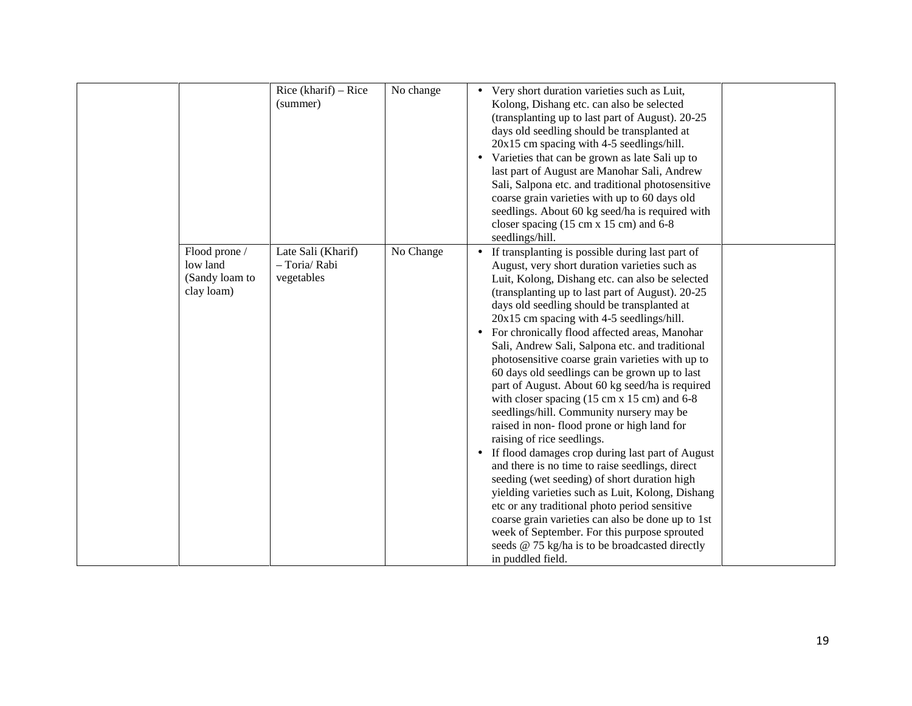|                                                           | Rice (kharif) $-$ Rice<br>(summer)                | No change | Very short duration varieties such as Luit,<br>Kolong, Dishang etc. can also be selected<br>(transplanting up to last part of August). 20-25<br>days old seedling should be transplanted at<br>20x15 cm spacing with 4-5 seedlings/hill.<br>Varieties that can be grown as late Sali up to<br>last part of August are Manohar Sali, Andrew<br>Sali, Salpona etc. and traditional photosensitive<br>coarse grain varieties with up to 60 days old<br>seedlings. About 60 kg seed/ha is required with<br>closer spacing $(15 \text{ cm} \times 15 \text{ cm})$ and 6-8<br>seedlings/hill.                                                                                                                                                                                                                                                                                                                                                                                                                                                                                                                                                                                                                |  |
|-----------------------------------------------------------|---------------------------------------------------|-----------|--------------------------------------------------------------------------------------------------------------------------------------------------------------------------------------------------------------------------------------------------------------------------------------------------------------------------------------------------------------------------------------------------------------------------------------------------------------------------------------------------------------------------------------------------------------------------------------------------------------------------------------------------------------------------------------------------------------------------------------------------------------------------------------------------------------------------------------------------------------------------------------------------------------------------------------------------------------------------------------------------------------------------------------------------------------------------------------------------------------------------------------------------------------------------------------------------------|--|
| Flood prone /<br>low land<br>(Sandy loam to<br>clay loam) | Late Sali (Kharif)<br>- Toria/ Rabi<br>vegetables | No Change | If transplanting is possible during last part of<br>August, very short duration varieties such as<br>Luit, Kolong, Dishang etc. can also be selected<br>(transplanting up to last part of August). 20-25<br>days old seedling should be transplanted at<br>20x15 cm spacing with 4-5 seedlings/hill.<br>For chronically flood affected areas, Manohar<br>Sali, Andrew Sali, Salpona etc. and traditional<br>photosensitive coarse grain varieties with up to<br>60 days old seedlings can be grown up to last<br>part of August. About 60 kg seed/ha is required<br>with closer spacing $(15 \text{ cm} \times 15 \text{ cm})$ and 6-8<br>seedlings/hill. Community nursery may be<br>raised in non-flood prone or high land for<br>raising of rice seedlings.<br>If flood damages crop during last part of August<br>and there is no time to raise seedlings, direct<br>seeding (wet seeding) of short duration high<br>yielding varieties such as Luit, Kolong, Dishang<br>etc or any traditional photo period sensitive<br>coarse grain varieties can also be done up to 1st<br>week of September. For this purpose sprouted<br>seeds @ 75 kg/ha is to be broadcasted directly<br>in puddled field. |  |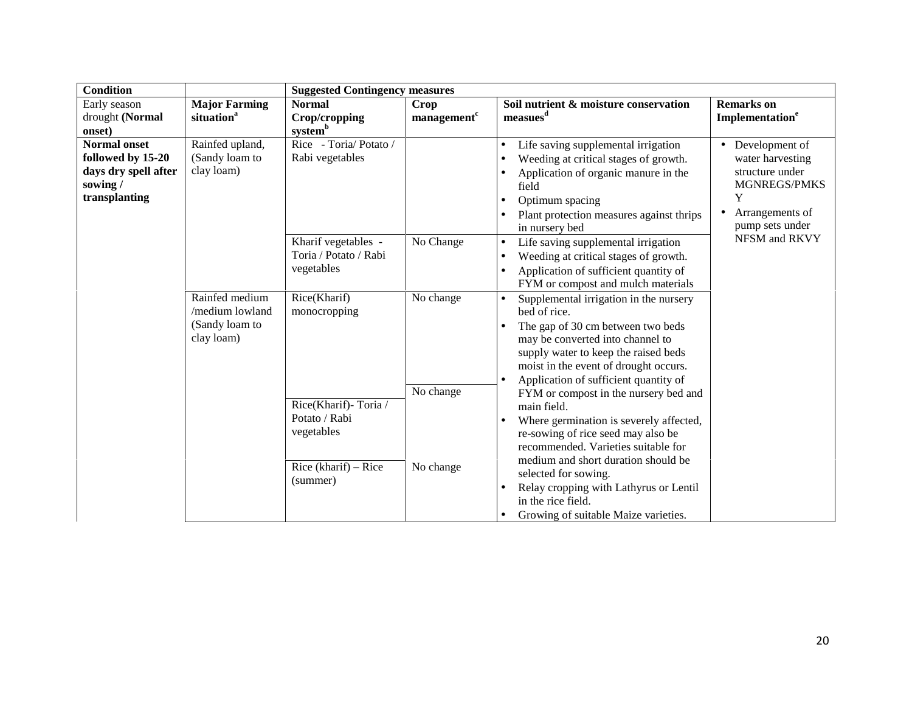| <b>Condition</b>                                                                              |                                                                   | <b>Suggested Contingency measures</b>                      |                         |                                                                                                                                                                                                                                                                                     |                                                                                                                                 |  |  |
|-----------------------------------------------------------------------------------------------|-------------------------------------------------------------------|------------------------------------------------------------|-------------------------|-------------------------------------------------------------------------------------------------------------------------------------------------------------------------------------------------------------------------------------------------------------------------------------|---------------------------------------------------------------------------------------------------------------------------------|--|--|
| Early season                                                                                  | <b>Major Farming</b>                                              | <b>Normal</b>                                              | Crop                    | Soil nutrient & moisture conservation                                                                                                                                                                                                                                               | <b>Remarks</b> on                                                                                                               |  |  |
| drought (Normal                                                                               | situation <sup>a</sup>                                            | Crop/cropping                                              | management <sup>c</sup> | measures <sup>d</sup>                                                                                                                                                                                                                                                               | Implementation <sup>e</sup>                                                                                                     |  |  |
| onset)                                                                                        |                                                                   | systemb                                                    |                         |                                                                                                                                                                                                                                                                                     |                                                                                                                                 |  |  |
| <b>Normal onset</b><br>followed by 15-20<br>days dry spell after<br>sowing /<br>transplanting | Rainfed upland,<br>(Sandy loam to<br>clay loam)                   | Rice - Toria/ Potato /<br>Rabi vegetables                  |                         | Life saving supplemental irrigation<br>$\bullet$<br>Weeding at critical stages of growth.<br>Application of organic manure in the<br>$\bullet$<br>field<br>Optimum spacing<br>٠<br>Plant protection measures against thrips<br>in nursery bed                                       | • Development of<br>water harvesting<br>structure under<br>MGNREGS/PMKS<br>Y<br>Arrangements of<br>$\bullet$<br>pump sets under |  |  |
|                                                                                               |                                                                   | Kharif vegetables -<br>Toria / Potato / Rabi<br>vegetables | No Change               | Life saving supplemental irrigation<br>$\bullet$<br>Weeding at critical stages of growth.<br>$\bullet$<br>Application of sufficient quantity of<br>FYM or compost and mulch materials                                                                                               | NFSM and RKVY                                                                                                                   |  |  |
|                                                                                               | Rainfed medium<br>/medium lowland<br>(Sandy loam to<br>clay loam) | Rice(Kharif)<br>monocropping                               | No change               | Supplemental irrigation in the nursery<br>$\bullet$<br>bed of rice.<br>The gap of 30 cm between two beds<br>$\bullet$<br>may be converted into channel to<br>supply water to keep the raised beds<br>moist in the event of drought occurs.<br>Application of sufficient quantity of |                                                                                                                                 |  |  |
|                                                                                               |                                                                   | Rice(Kharif)-Toria /<br>Potato / Rabi<br>vegetables        | No change               | FYM or compost in the nursery bed and<br>main field.<br>Where germination is severely affected,<br>re-sowing of rice seed may also be<br>recommended. Varieties suitable for<br>medium and short duration should be                                                                 |                                                                                                                                 |  |  |
|                                                                                               |                                                                   | Rice (kharif) $-$ Rice<br>(summer)                         | No change               | selected for sowing.<br>Relay cropping with Lathyrus or Lentil<br>in the rice field.<br>Growing of suitable Maize varieties.                                                                                                                                                        |                                                                                                                                 |  |  |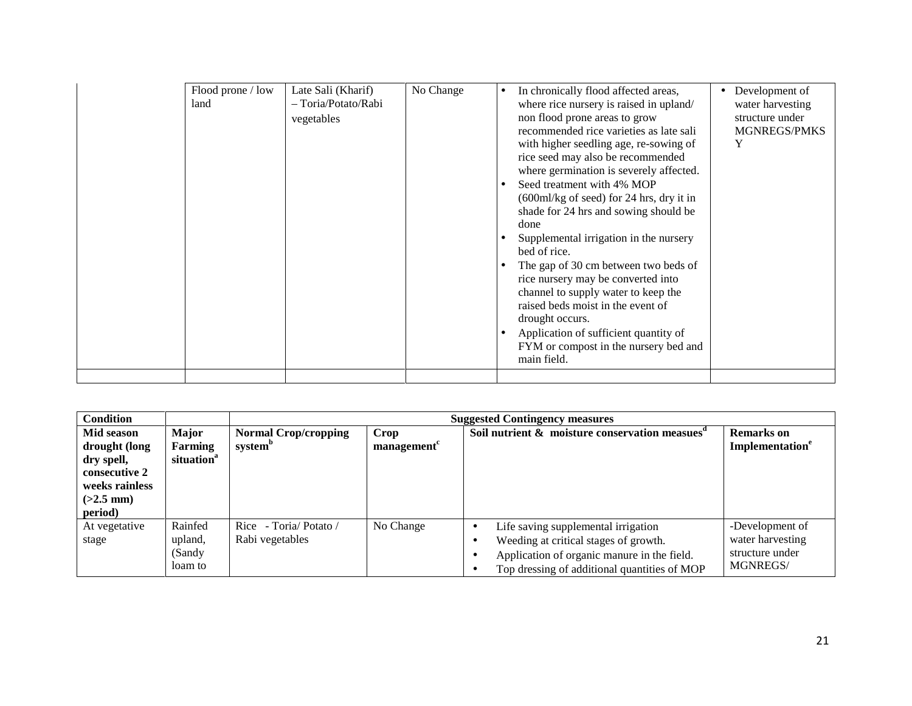| Flood prone / low<br>land | Late Sali (Kharif)<br>- Toria/Potato/Rabi<br>vegetables | No Change | In chronically flood affected areas,<br>where rice nursery is raised in upland/<br>non flood prone areas to grow<br>recommended rice varieties as late sali<br>with higher seedling age, re-sowing of<br>rice seed may also be recommended<br>where germination is severely affected.<br>Seed treatment with 4% MOP<br>$(600 \text{ml/kg of seed})$ for 24 hrs, dry it in<br>shade for 24 hrs and sowing should be<br>done<br>Supplemental irrigation in the nursery<br>bed of rice.<br>The gap of 30 cm between two beds of<br>rice nursery may be converted into<br>channel to supply water to keep the<br>raised beds moist in the event of<br>drought occurs.<br>Application of sufficient quantity of<br>FYM or compost in the nursery bed and<br>main field. | Development of<br>water harvesting<br>structure under<br><b>MGNREGS/PMKS</b><br>Y |
|---------------------------|---------------------------------------------------------|-----------|--------------------------------------------------------------------------------------------------------------------------------------------------------------------------------------------------------------------------------------------------------------------------------------------------------------------------------------------------------------------------------------------------------------------------------------------------------------------------------------------------------------------------------------------------------------------------------------------------------------------------------------------------------------------------------------------------------------------------------------------------------------------|-----------------------------------------------------------------------------------|
|                           |                                                         |           |                                                                                                                                                                                                                                                                                                                                                                                                                                                                                                                                                                                                                                                                                                                                                                    |                                                                                   |

| <b>Condition</b>                                                                                       |                                                   |                                                    |                    | <b>Suggested Contingency measures</b>                                                                                                                                                                 |                                                                           |
|--------------------------------------------------------------------------------------------------------|---------------------------------------------------|----------------------------------------------------|--------------------|-------------------------------------------------------------------------------------------------------------------------------------------------------------------------------------------------------|---------------------------------------------------------------------------|
| Mid season<br>drought (long<br>dry spell,<br>consecutive 2<br>weeks rainless<br>$(>2.5$ mm)<br>period) | <b>Major</b><br>Farming<br>situation <sup>a</sup> | <b>Normal Crop/cropping</b><br>system <sup>b</sup> | Crop<br>management | Soil nutrient $\&$ moisture conservation measues <sup><math>d</math></sup>                                                                                                                            | <b>Remarks</b> on<br>Implementation <sup>e</sup>                          |
| At vegetative<br>stage                                                                                 | Rainfed<br>upland,<br>(Sandy)<br>loam to          | Rice - Toria/ Potato /<br>Rabi vegetables          | No Change          | Life saving supplemental irrigation<br>$\bullet$<br>Weeding at critical stages of growth.<br>$\bullet$<br>Application of organic manure in the field.<br>Top dressing of additional quantities of MOP | -Development of<br>water harvesting<br>structure under<br><b>MGNREGS/</b> |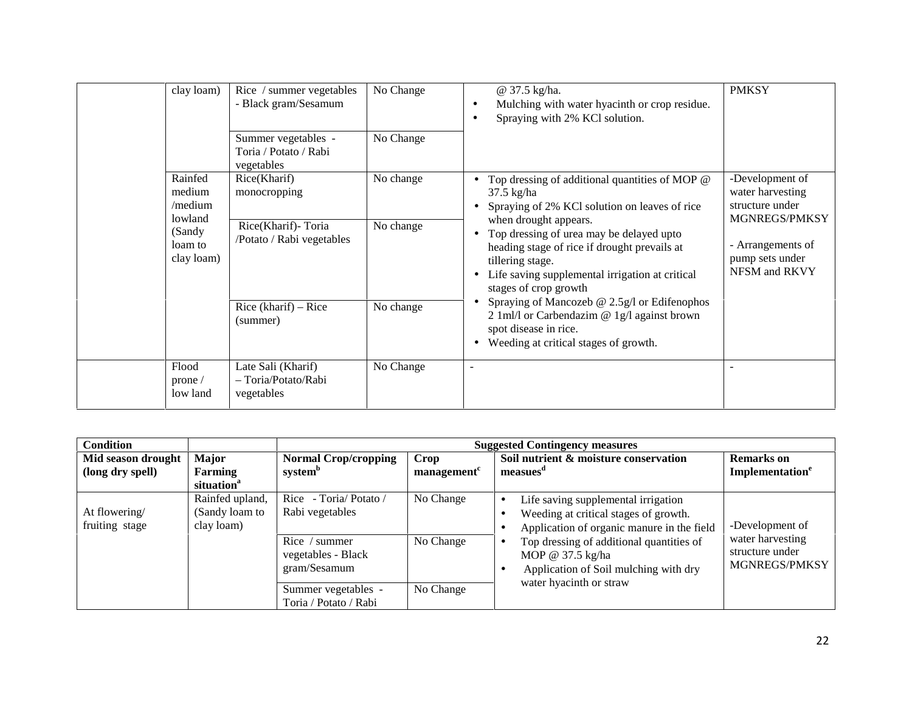| clay loam)                                  | Rice / summer vegetables<br>- Black gram/Sesamum           | No Change | @ 37.5 kg/ha.<br>Mulching with water hyacinth or crop residue.<br>$\bullet$<br>Spraying with 2% KCl solution.<br>٠                                                                                                                                                                                                                                                                     | <b>PMKSY</b>                                                           |
|---------------------------------------------|------------------------------------------------------------|-----------|----------------------------------------------------------------------------------------------------------------------------------------------------------------------------------------------------------------------------------------------------------------------------------------------------------------------------------------------------------------------------------------|------------------------------------------------------------------------|
|                                             | Summer vegetables -<br>Toria / Potato / Rabi<br>vegetables | No Change |                                                                                                                                                                                                                                                                                                                                                                                        |                                                                        |
| Rainfed<br>medium<br>$/$ medium             | Rice(Kharif)<br>monocropping                               | No change | Top dressing of additional quantities of MOP $@$<br>$\bullet$<br>$37.5 \text{ kg/ha}$<br>Spraying of 2% KCl solution on leaves of rice                                                                                                                                                                                                                                                 | -Development of<br>water harvesting<br>structure under                 |
| lowland<br>(Sandy)<br>loam to<br>clay loam) | Rice(Kharif)-Toria<br>/Potato / Rabi vegetables            | No change | when drought appears.<br>Top dressing of urea may be delayed upto<br>heading stage of rice if drought prevails at<br>tillering stage.<br>Life saving supplemental irrigation at critical<br>stages of crop growth<br>Spraying of Mancozeb @ 2.5g/l or Edifenophos<br>2 1 ml/l or Carbendazim $@$ 1 g/l against brown<br>spot disease in rice.<br>Weeding at critical stages of growth. | MGNREGS/PMKSY<br>- Arrangements of<br>pump sets under<br>NFSM and RKVY |
|                                             | Rice (kharif) $-$ Rice<br>(summer)                         | No change |                                                                                                                                                                                                                                                                                                                                                                                        |                                                                        |
| Flood<br>prone/<br>low land                 | Late Sali (Kharif)<br>- Toria/Potato/Rabi<br>vegetables    | No Change | $\overline{\phantom{a}}$                                                                                                                                                                                                                                                                                                                                                               |                                                                        |

| Condition                              |                                                   |                                                     |                           | <b>Suggested Contingency measures</b>                                                                                                                                                                                                                                    |                                                      |  |
|----------------------------------------|---------------------------------------------------|-----------------------------------------------------|---------------------------|--------------------------------------------------------------------------------------------------------------------------------------------------------------------------------------------------------------------------------------------------------------------------|------------------------------------------------------|--|
| Mid season drought<br>(long dry spell) | <b>Major</b><br>Farming<br>situation <sup>a</sup> | <b>Normal Crop/cropping</b><br>system <sup>b</sup>  | <b>Crop</b><br>management | Soil nutrient & moisture conservation<br>measues <sup>a</sup>                                                                                                                                                                                                            | <b>Remarks</b> on<br>Implementation <sup>e</sup>     |  |
| At flowering/<br>fruiting stage        | Rainfed upland,<br>(Sandy loam to<br>clay loam)   | Rice - Toria/Potato /<br>Rabi vegetables            | No Change                 | Life saving supplemental irrigation<br>Weeding at critical stages of growth.<br>Application of organic manure in the field<br>Top dressing of additional quantities of<br>MOP @ $37.5 \text{ kg/ha}$<br>Application of Soil mulching with dry<br>water hyacinth or straw | -Development of                                      |  |
|                                        |                                                   | Rice / summer<br>vegetables - Black<br>gram/Sesamum | No Change                 |                                                                                                                                                                                                                                                                          | water harvesting<br>structure under<br>MGNREGS/PMKSY |  |
|                                        |                                                   | Summer vegetables -<br>Toria / Potato / Rabi        | No Change                 |                                                                                                                                                                                                                                                                          |                                                      |  |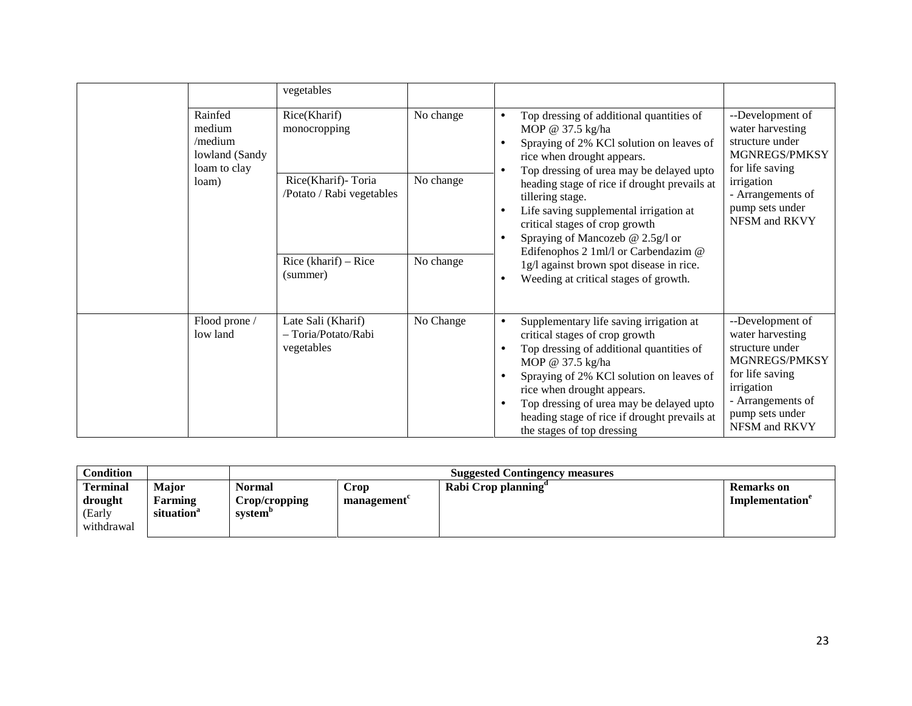|                                                                | vegetables                                                                                                                                                                  |                                                                                                                                                                |                                                                                                                                                                                                  |                                                                                             |
|----------------------------------------------------------------|-----------------------------------------------------------------------------------------------------------------------------------------------------------------------------|----------------------------------------------------------------------------------------------------------------------------------------------------------------|--------------------------------------------------------------------------------------------------------------------------------------------------------------------------------------------------|---------------------------------------------------------------------------------------------|
| Rainfed<br>medium<br>/medium<br>lowland (Sandy<br>loam to clay | Rice(Kharif)<br>monocropping                                                                                                                                                | No change                                                                                                                                                      | Top dressing of additional quantities of<br>MOP @ 37.5 kg/ha<br>Spraying of 2% KCl solution on leaves of<br>rice when drought appears.<br>Top dressing of urea may be delayed upto               | --Development of<br>water harvesting<br>structure under<br>MGNREGS/PMKSY<br>for life saving |
| loam)                                                          | Rice(Kharif)-Toria<br>No change<br>/Potato / Rabi vegetables<br>tillering stage.<br>Edifenophos 2 1ml/l or Carbendazim @<br>Rice (kharif) $-$ Rice<br>No change<br>(summer) | heading stage of rice if drought prevails at<br>Life saving supplemental irrigation at<br>critical stages of crop growth<br>Spraying of Mancozeb $@$ 2.5g/l or | irrigation<br>- Arrangements of<br>pump sets under<br>NFSM and RKVY                                                                                                                              |                                                                                             |
|                                                                |                                                                                                                                                                             |                                                                                                                                                                | 1g/l against brown spot disease in rice.<br>Weeding at critical stages of growth.                                                                                                                |                                                                                             |
| Flood prone /<br>low land                                      | Late Sali (Kharif)<br>- Toria/Potato/Rabi<br>vegetables                                                                                                                     | No Change                                                                                                                                                      | Supplementary life saving irrigation at<br>$\bullet$<br>critical stages of crop growth<br>Top dressing of additional quantities of<br>MOP @ 37.5 kg/ha                                           | --Development of<br>water harvesting<br>structure under<br>MGNREGS/PMKSY<br>for life saving |
|                                                                |                                                                                                                                                                             |                                                                                                                                                                | Spraying of 2% KCl solution on leaves of<br>rice when drought appears.<br>Top dressing of urea may be delayed upto<br>heading stage of rice if drought prevails at<br>the stages of top dressing | irrigation<br>- Arrangements of<br>pump sets under<br>NFSM and RKVY                         |

| Condition                                          |                                            |                                    |                    | <b>Suggested Contingency measures</b> |                                                  |
|----------------------------------------------------|--------------------------------------------|------------------------------------|--------------------|---------------------------------------|--------------------------------------------------|
| <b>Terminal</b><br>drought<br>(Early<br>withdrawal | Major<br>Farming<br>situation <sup>a</sup> | Normal<br>Crop/cropping<br>svstem" | Crop<br>management | Rabi Crop planning                    | <b>Remarks</b> on<br>Implementation <sup>e</sup> |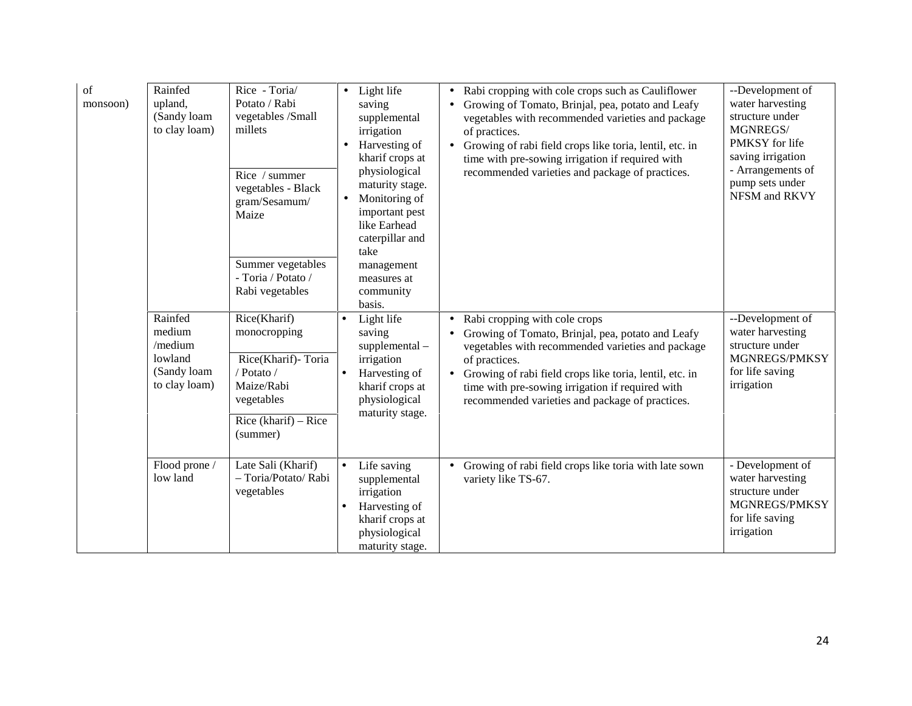| of<br>monsoon) | Rainfed<br>upland,<br>(Sandy loam<br>to clay loam)                      | Rice - Toria/<br>Potato / Rabi<br>vegetables /Small<br>millets<br>Rice / summer<br>vegetables - Black<br>gram/Sesamum/<br>Maize<br>Summer vegetables<br>- Toria / Potato /<br>Rabi vegetables | Light life<br>saving<br>supplemental<br>irrigation<br>Harvesting of<br>kharif crops at<br>physiological<br>maturity stage.<br>Monitoring of<br>important pest<br>like Earhead<br>caterpillar and<br>take<br>management<br>measures at<br>community<br>basis. | Rabi cropping with cole crops such as Cauliflower<br>$\bullet$<br>Growing of Tomato, Brinjal, pea, potato and Leafy<br>vegetables with recommended varieties and package<br>of practices.<br>• Growing of rabi field crops like toria, lentil, etc. in<br>time with pre-sowing irrigation if required with<br>recommended varieties and package of practices. | --Development of<br>water harvesting<br>structure under<br>MGNREGS/<br>PMKSY for life<br>saving irrigation<br>- Arrangements of<br>pump sets under<br>NFSM and RKVY |
|----------------|-------------------------------------------------------------------------|-----------------------------------------------------------------------------------------------------------------------------------------------------------------------------------------------|--------------------------------------------------------------------------------------------------------------------------------------------------------------------------------------------------------------------------------------------------------------|---------------------------------------------------------------------------------------------------------------------------------------------------------------------------------------------------------------------------------------------------------------------------------------------------------------------------------------------------------------|---------------------------------------------------------------------------------------------------------------------------------------------------------------------|
|                | Rainfed<br>medium<br>/medium<br>lowland<br>(Sandy loam<br>to clay loam) | Rice(Kharif)<br>monocropping<br>Rice(Kharif)-Toria<br>/ Potato /<br>Maize/Rabi<br>vegetables<br>Rice (kharif) $-$ Rice<br>(summer)                                                            | Light life<br>$\bullet$<br>saving<br>$supplemental -$<br>irrigation<br>Harvesting of<br>$\bullet$<br>kharif crops at<br>physiological<br>maturity stage.                                                                                                     | Rabi cropping with cole crops<br>$\bullet$<br>Growing of Tomato, Brinjal, pea, potato and Leafy<br>$\bullet$<br>vegetables with recommended varieties and package<br>of practices.<br>• Growing of rabi field crops like toria, lentil, etc. in<br>time with pre-sowing irrigation if required with<br>recommended varieties and package of practices.        | --Development of<br>water harvesting<br>structure under<br>MGNREGS/PMKSY<br>for life saving<br>irrigation                                                           |
|                | Flood prone /<br>low land                                               | Late Sali (Kharif)<br>- Toria/Potato/ Rabi<br>vegetables                                                                                                                                      | Life saving<br>supplemental<br>irrigation<br>Harvesting of<br>$\bullet$<br>kharif crops at<br>physiological<br>maturity stage.                                                                                                                               | Growing of rabi field crops like toria with late sown<br>$\bullet$<br>variety like TS-67.                                                                                                                                                                                                                                                                     | - Development of<br>water harvesting<br>structure under<br>MGNREGS/PMKSY<br>for life saving<br>irrigation                                                           |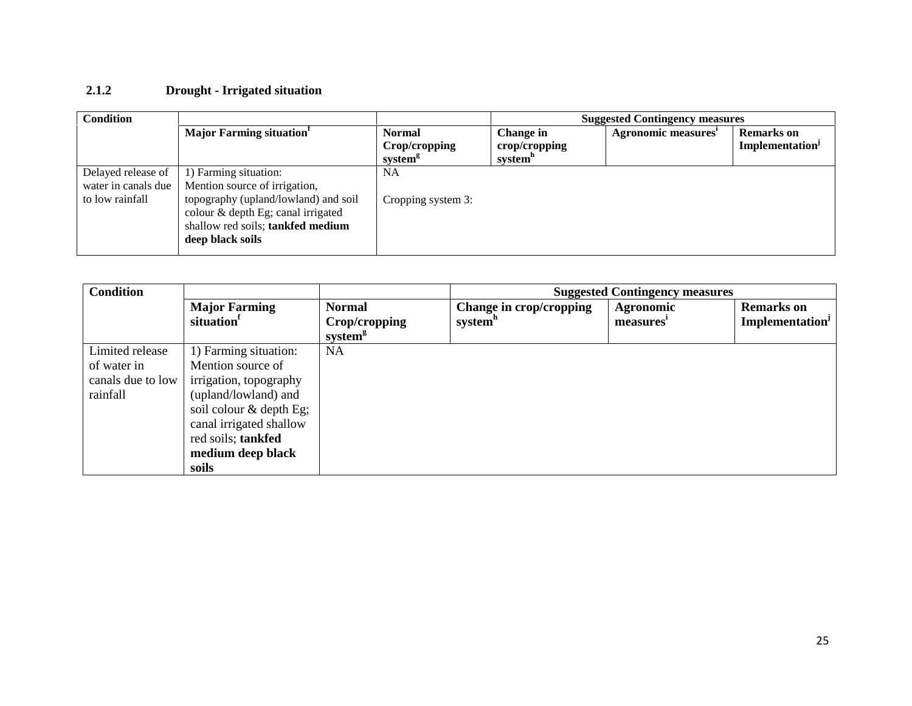## **2.1.2 Drought - Irrigated situation**

| <b>Condition</b>    |                                                                                                                                     | <b>Suggested Contingency measures</b>                 |                                       |                     |                                                  |  |
|---------------------|-------------------------------------------------------------------------------------------------------------------------------------|-------------------------------------------------------|---------------------------------------|---------------------|--------------------------------------------------|--|
|                     | <b>Major Farming situation</b>                                                                                                      | <b>Normal</b><br>Crop/cropping<br>system <sup>8</sup> | Change in<br>crop/cropping<br>system" | Agronomic measures' | <b>Remarks</b> on<br>Implementation <sup>J</sup> |  |
| Delayed release of  | 1) Farming situation:                                                                                                               | NA                                                    |                                       |                     |                                                  |  |
| water in canals due | Mention source of irrigation,                                                                                                       |                                                       |                                       |                     |                                                  |  |
| to low rainfall     | topography (upland/lowland) and soil<br>colour & depth Eg; canal irrigated<br>shallow red soils; tankfed medium<br>deep black soils | Cropping system 3:                                    |                                       |                     |                                                  |  |

| <b>Condition</b>                                                |                                                                                                                                                                                                          |                                                       |                                                | <b>Suggested Contingency measures</b> |                                            |
|-----------------------------------------------------------------|----------------------------------------------------------------------------------------------------------------------------------------------------------------------------------------------------------|-------------------------------------------------------|------------------------------------------------|---------------------------------------|--------------------------------------------|
|                                                                 | <b>Major Farming</b><br>situation                                                                                                                                                                        | <b>Normal</b><br>Crop/cropping<br>system <sup>g</sup> | Change in crop/cropping<br>system <sup>h</sup> | <b>Agronomic</b><br>measures'         | <b>Remarks</b> on<br><b>Implementation</b> |
| Limited release<br>of water in<br>canals due to low<br>rainfall | 1) Farming situation:<br>Mention source of<br>irrigation, topography<br>(upland/lowland) and<br>soil colour $&$ depth Eg;<br>canal irrigated shallow<br>red soils; tankfed<br>medium deep black<br>soils | <b>NA</b>                                             |                                                |                                       |                                            |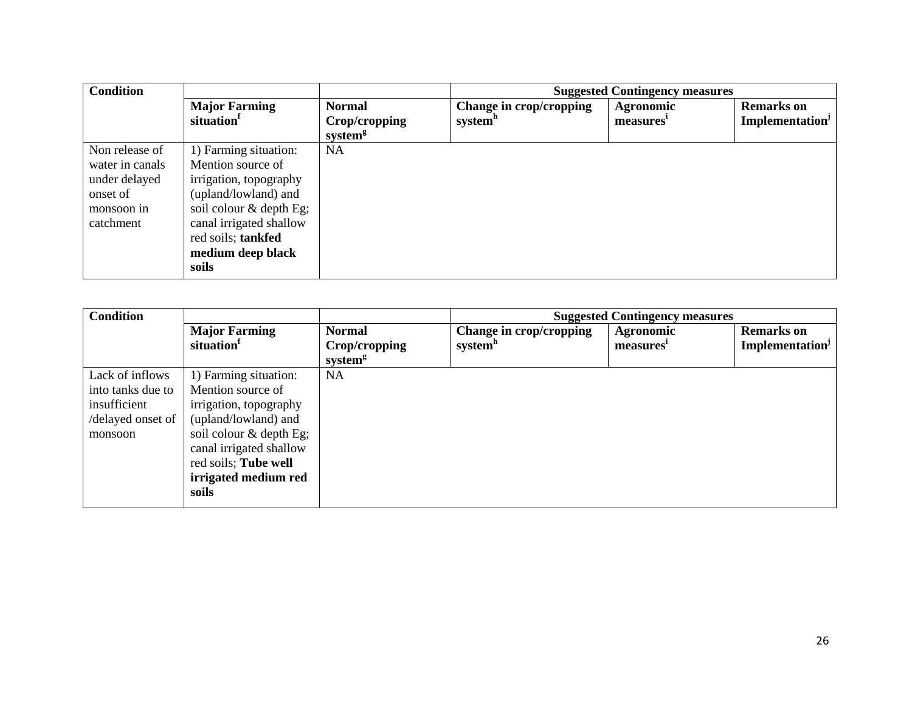| <b>Condition</b>                                                                          |                                                                                                                                                                                                        | <b>Suggested Contingency measures</b>                 |                                                |                        |                                                         |  |
|-------------------------------------------------------------------------------------------|--------------------------------------------------------------------------------------------------------------------------------------------------------------------------------------------------------|-------------------------------------------------------|------------------------------------------------|------------------------|---------------------------------------------------------|--|
|                                                                                           | <b>Major Farming</b><br>situation                                                                                                                                                                      | <b>Normal</b><br>Crop/cropping<br>system <sup>g</sup> | Change in crop/cropping<br>system <sup>h</sup> | Agronomic<br>measures' | <b>Remarks</b> on<br><b>Implementation</b> <sup>J</sup> |  |
| Non release of<br>water in canals<br>under delayed<br>onset of<br>monsoon in<br>catchment | 1) Farming situation:<br>Mention source of<br>irrigation, topography<br>(upland/lowland) and<br>soil colour & depth Eg;<br>canal irrigated shallow<br>red soils; tankfed<br>medium deep black<br>soils | <b>NA</b>                                             |                                                |                        |                                                         |  |

| <b>Condition</b>  |                                   | <b>Suggested Contingency measures</b>                 |                                                |                                           |                                     |  |
|-------------------|-----------------------------------|-------------------------------------------------------|------------------------------------------------|-------------------------------------------|-------------------------------------|--|
|                   | <b>Major Farming</b><br>situation | <b>Normal</b><br>Crop/cropping<br>system <sup>g</sup> | Change in crop/cropping<br>system <sup>h</sup> | <b>Agronomic</b><br>measures <sup>1</sup> | <b>Remarks</b> on<br>Implementation |  |
| Lack of inflows   | 1) Farming situation:             | <b>NA</b>                                             |                                                |                                           |                                     |  |
| into tanks due to | Mention source of                 |                                                       |                                                |                                           |                                     |  |
| insufficient      | irrigation, topography            |                                                       |                                                |                                           |                                     |  |
| /delayed onset of | (upland/lowland) and              |                                                       |                                                |                                           |                                     |  |
| monsoon           | soil colour & depth Eg;           |                                                       |                                                |                                           |                                     |  |
|                   | canal irrigated shallow           |                                                       |                                                |                                           |                                     |  |
|                   | red soils; Tube well              |                                                       |                                                |                                           |                                     |  |
|                   | irrigated medium red              |                                                       |                                                |                                           |                                     |  |
|                   | soils                             |                                                       |                                                |                                           |                                     |  |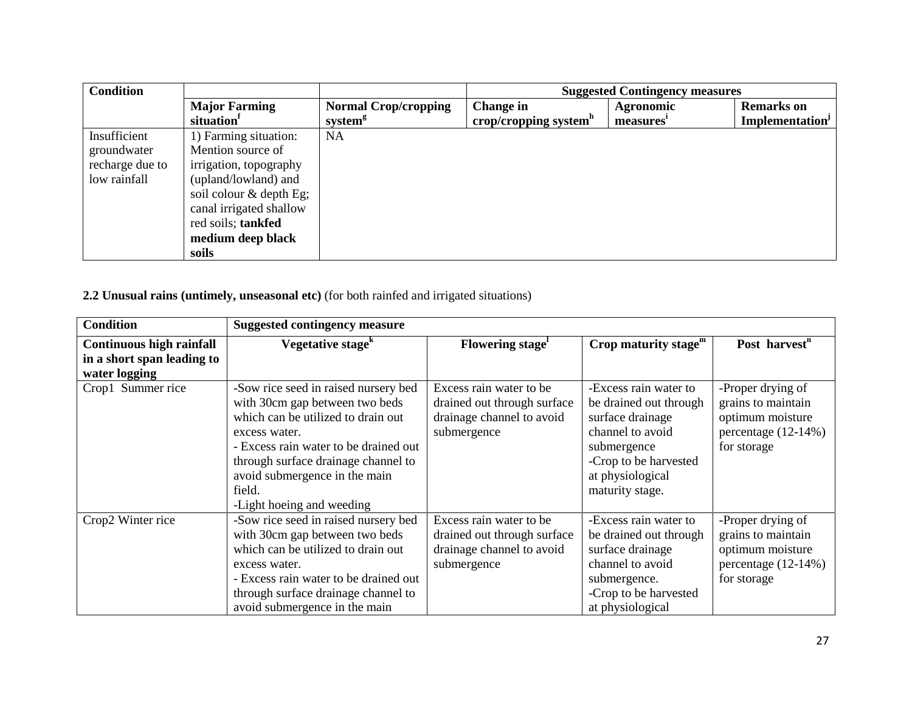| <b>Condition</b> |                         |                             | <b>Suggested Contingency measures</b> |                  |                       |
|------------------|-------------------------|-----------------------------|---------------------------------------|------------------|-----------------------|
|                  | <b>Major Farming</b>    | <b>Normal Crop/cropping</b> | <b>Change in</b>                      | <b>Agronomic</b> | <b>Remarks</b> on     |
|                  | situation <sup>1</sup>  | system <sup>g</sup>         | crop/cropping system $h$              | measures'        | <b>Implementation</b> |
| Insufficient     | 1) Farming situation:   | NA                          |                                       |                  |                       |
| groundwater      | Mention source of       |                             |                                       |                  |                       |
| recharge due to  | irrigation, topography  |                             |                                       |                  |                       |
| low rainfall     | (upland/lowland) and    |                             |                                       |                  |                       |
|                  | soil colour & depth Eg; |                             |                                       |                  |                       |
|                  | canal irrigated shallow |                             |                                       |                  |                       |
|                  | red soils; tankfed      |                             |                                       |                  |                       |
|                  | medium deep black       |                             |                                       |                  |                       |
|                  | soils                   |                             |                                       |                  |                       |

# **2.2 Unusual rains (untimely, unseasonal etc)** (for both rainfed and irrigated situations)

| <b>Condition</b>                                              | <b>Suggested contingency measure</b>                                                                                                                                                                                                                                                  |                                                                                                    |                                                                                                                                                                        |                                                                                                   |
|---------------------------------------------------------------|---------------------------------------------------------------------------------------------------------------------------------------------------------------------------------------------------------------------------------------------------------------------------------------|----------------------------------------------------------------------------------------------------|------------------------------------------------------------------------------------------------------------------------------------------------------------------------|---------------------------------------------------------------------------------------------------|
| <b>Continuous high rainfall</b><br>in a short span leading to | Vegetative stage <sup>k</sup>                                                                                                                                                                                                                                                         | Flowering stage <sup>1</sup>                                                                       | Crop maturity stage $m$                                                                                                                                                | Post harvest <sup>n</sup>                                                                         |
| water logging                                                 |                                                                                                                                                                                                                                                                                       |                                                                                                    |                                                                                                                                                                        |                                                                                                   |
| Crop1 Summer rice                                             | -Sow rice seed in raised nursery bed<br>with 30cm gap between two beds<br>which can be utilized to drain out<br>excess water.<br>- Excess rain water to be drained out<br>through surface drainage channel to<br>avoid submergence in the main<br>field.<br>-Light hoeing and weeding | Excess rain water to be<br>drained out through surface<br>drainage channel to avoid<br>submergence | -Excess rain water to<br>be drained out through<br>surface drainage<br>channel to avoid<br>submergence<br>-Crop to be harvested<br>at physiological<br>maturity stage. | -Proper drying of<br>grains to maintain<br>optimum moisture<br>percentage (12-14%)<br>for storage |
| Crop2 Winter rice                                             | -Sow rice seed in raised nursery bed<br>with 30cm gap between two beds<br>which can be utilized to drain out<br>excess water.<br>- Excess rain water to be drained out<br>through surface drainage channel to<br>avoid submergence in the main                                        | Excess rain water to be<br>drained out through surface<br>drainage channel to avoid<br>submergence | -Excess rain water to<br>be drained out through<br>surface drainage<br>channel to avoid<br>submergence.<br>-Crop to be harvested<br>at physiological                   | -Proper drying of<br>grains to maintain<br>optimum moisture<br>percentage (12-14%)<br>for storage |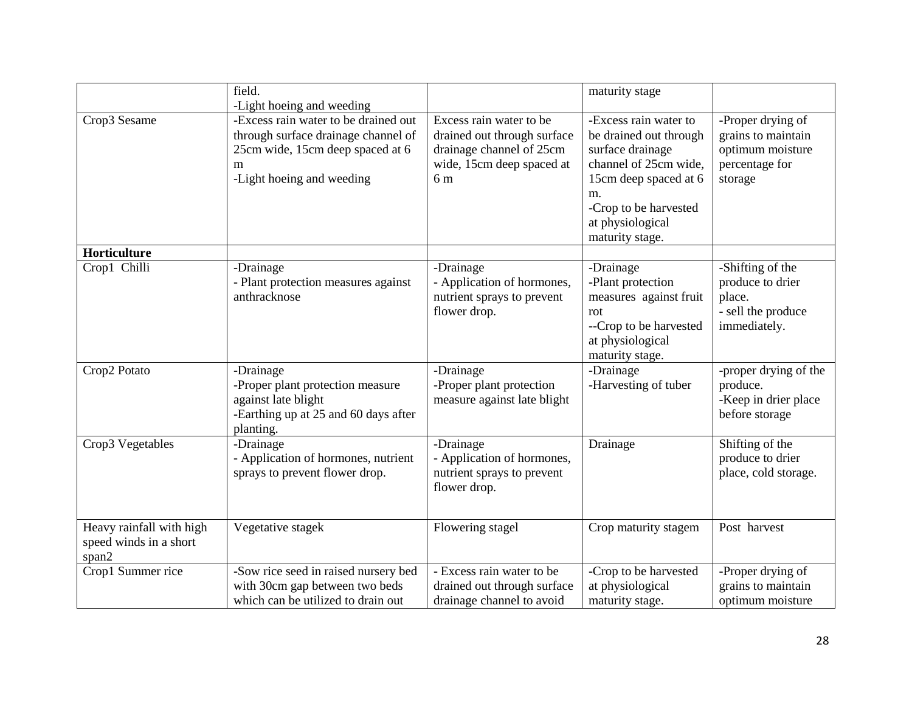|                                                             | field.                                                                                                                                                                         |                                                                                                                        | maturity stage                                                                                                                                                                              |                                                                                          |
|-------------------------------------------------------------|--------------------------------------------------------------------------------------------------------------------------------------------------------------------------------|------------------------------------------------------------------------------------------------------------------------|---------------------------------------------------------------------------------------------------------------------------------------------------------------------------------------------|------------------------------------------------------------------------------------------|
| Crop3 Sesame                                                | -Light hoeing and weeding<br>-Excess rain water to be drained out<br>through surface drainage channel of<br>25cm wide, 15cm deep spaced at 6<br>m<br>-Light hoeing and weeding | Excess rain water to be<br>drained out through surface<br>drainage channel of 25cm<br>wide, 15cm deep spaced at<br>6 m | -Excess rain water to<br>be drained out through<br>surface drainage<br>channel of 25cm wide,<br>15cm deep spaced at 6<br>m.<br>-Crop to be harvested<br>at physiological<br>maturity stage. | -Proper drying of<br>grains to maintain<br>optimum moisture<br>percentage for<br>storage |
| Horticulture<br>Crop1 Chilli                                | -Drainage                                                                                                                                                                      | -Drainage                                                                                                              | -Drainage                                                                                                                                                                                   | -Shifting of the                                                                         |
|                                                             | - Plant protection measures against<br>anthracknose                                                                                                                            | - Application of hormones,<br>nutrient sprays to prevent<br>flower drop.                                               | -Plant protection<br>measures against fruit<br>rot<br>--Crop to be harvested<br>at physiological<br>maturity stage.                                                                         | produce to drier<br>place.<br>- sell the produce<br>immediately.                         |
| Crop2 Potato                                                | -Drainage<br>-Proper plant protection measure<br>against late blight<br>-Earthing up at 25 and 60 days after<br>planting.                                                      | -Drainage<br>-Proper plant protection<br>measure against late blight                                                   | -Drainage<br>-Harvesting of tuber                                                                                                                                                           | -proper drying of the<br>produce.<br>-Keep in drier place<br>before storage              |
| Crop3 Vegetables                                            | -Drainage<br>- Application of hormones, nutrient<br>sprays to prevent flower drop.                                                                                             | -Drainage<br>- Application of hormones,<br>nutrient sprays to prevent<br>flower drop.                                  | Drainage                                                                                                                                                                                    | Shifting of the<br>produce to drier<br>place, cold storage.                              |
| Heavy rainfall with high<br>speed winds in a short<br>span2 | Vegetative stagek                                                                                                                                                              | Flowering stagel                                                                                                       | Crop maturity stagem                                                                                                                                                                        | Post harvest                                                                             |
| Crop1 Summer rice                                           | -Sow rice seed in raised nursery bed<br>with 30cm gap between two beds<br>which can be utilized to drain out                                                                   | - Excess rain water to be<br>drained out through surface<br>drainage channel to avoid                                  | -Crop to be harvested<br>at physiological<br>maturity stage.                                                                                                                                | -Proper drying of<br>grains to maintain<br>optimum moisture                              |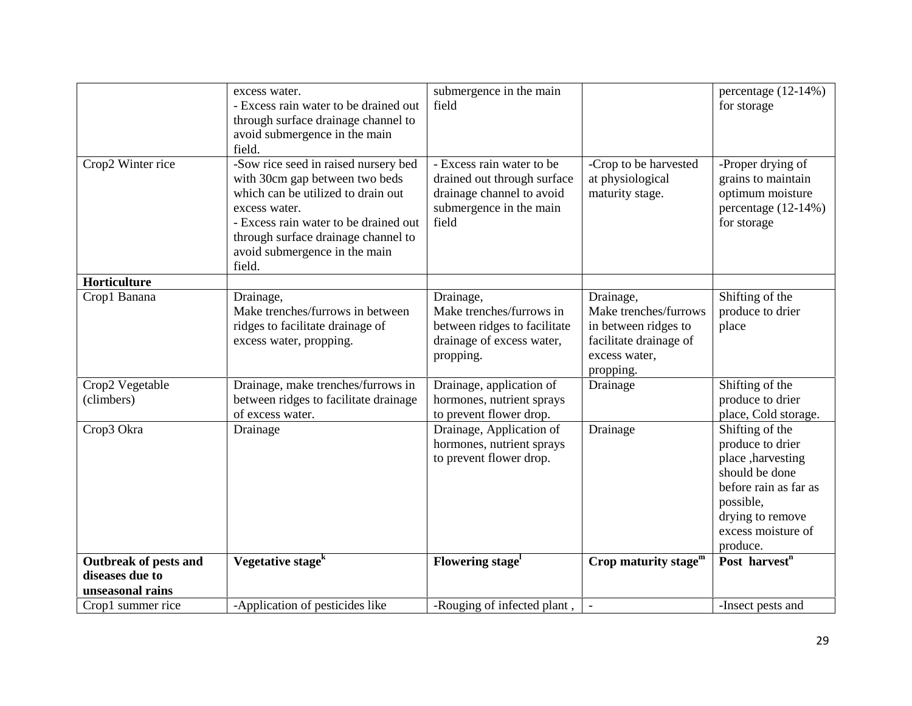|                                                                     | excess water.<br>- Excess rain water to be drained out<br>through surface drainage channel to<br>avoid submergence in the main<br>field.                                                                                                                 | submergence in the main<br>field                                                                                          |                                                                                                                    | percentage (12-14%)<br>for storage                                                                                                                                      |
|---------------------------------------------------------------------|----------------------------------------------------------------------------------------------------------------------------------------------------------------------------------------------------------------------------------------------------------|---------------------------------------------------------------------------------------------------------------------------|--------------------------------------------------------------------------------------------------------------------|-------------------------------------------------------------------------------------------------------------------------------------------------------------------------|
| Crop2 Winter rice                                                   | -Sow rice seed in raised nursery bed<br>with 30cm gap between two beds<br>which can be utilized to drain out<br>excess water.<br>- Excess rain water to be drained out<br>through surface drainage channel to<br>avoid submergence in the main<br>field. | - Excess rain water to be<br>drained out through surface<br>drainage channel to avoid<br>submergence in the main<br>field | -Crop to be harvested<br>at physiological<br>maturity stage.                                                       | -Proper drying of<br>grains to maintain<br>optimum moisture<br>percentage $(12-14%)$<br>for storage                                                                     |
| Horticulture                                                        |                                                                                                                                                                                                                                                          |                                                                                                                           |                                                                                                                    |                                                                                                                                                                         |
| Crop1 Banana                                                        | Drainage,<br>Make trenches/furrows in between<br>ridges to facilitate drainage of<br>excess water, propping.                                                                                                                                             | Drainage,<br>Make trenches/furrows in<br>between ridges to facilitate<br>drainage of excess water,<br>propping.           | Drainage,<br>Make trenches/furrows<br>in between ridges to<br>facilitate drainage of<br>excess water,<br>propping. | Shifting of the<br>produce to drier<br>place                                                                                                                            |
| Crop2 Vegetable<br>(climbers)                                       | Drainage, make trenches/furrows in<br>between ridges to facilitate drainage<br>of excess water.                                                                                                                                                          | Drainage, application of<br>hormones, nutrient sprays<br>to prevent flower drop.                                          | Drainage                                                                                                           | Shifting of the<br>produce to drier<br>place, Cold storage.                                                                                                             |
| Crop3 Okra                                                          | Drainage                                                                                                                                                                                                                                                 | Drainage, Application of<br>hormones, nutrient sprays<br>to prevent flower drop.                                          | Drainage                                                                                                           | Shifting of the<br>produce to drier<br>place , harvesting<br>should be done<br>before rain as far as<br>possible,<br>drying to remove<br>excess moisture of<br>produce. |
| <b>Outbreak of pests and</b><br>diseases due to<br>unseasonal rains | Vegetative stage <sup>k</sup>                                                                                                                                                                                                                            | Flowering stage <sup>1</sup>                                                                                              | Crop maturity stage $m$                                                                                            | Post harvest <sup>n</sup>                                                                                                                                               |
| Crop1 summer rice                                                   | -Application of pesticides like                                                                                                                                                                                                                          | -Rouging of infected plant,                                                                                               |                                                                                                                    | -Insect pests and                                                                                                                                                       |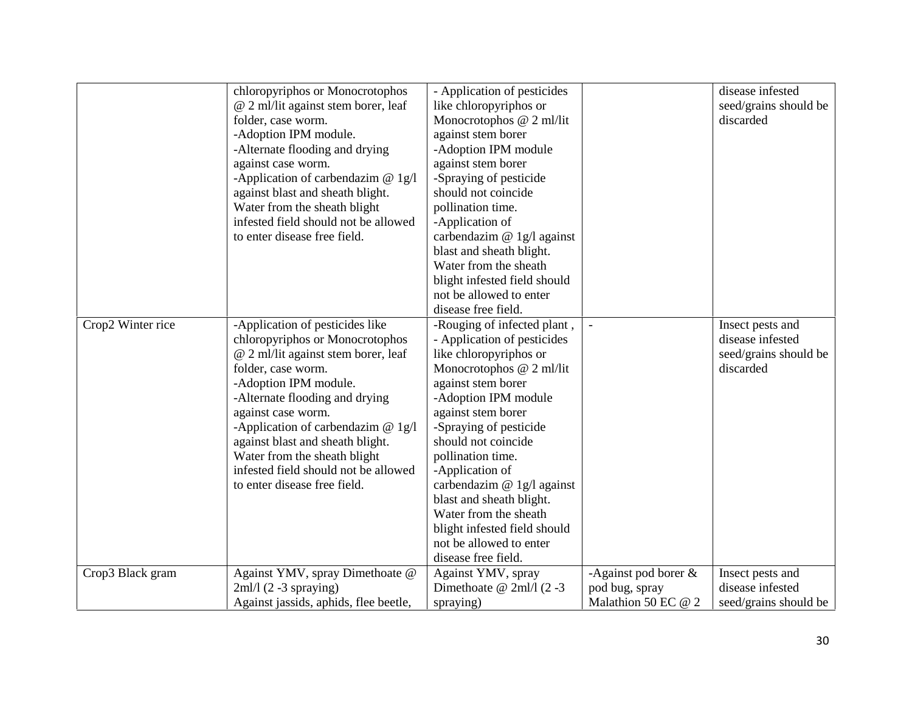|                   | chloropyriphos or Monocrotophos       | - Application of pesticides  |                         | disease infested      |
|-------------------|---------------------------------------|------------------------------|-------------------------|-----------------------|
|                   | @ 2 ml/lit against stem borer, leaf   | like chloropyriphos or       |                         | seed/grains should be |
|                   | folder, case worm.                    | Monocrotophos @ 2 ml/lit     |                         | discarded             |
|                   | -Adoption IPM module.                 | against stem borer           |                         |                       |
|                   | -Alternate flooding and drying        | -Adoption IPM module         |                         |                       |
|                   | against case worm.                    | against stem borer           |                         |                       |
|                   | -Application of carbendazim $@ 1g/1$  | -Spraying of pesticide       |                         |                       |
|                   | against blast and sheath blight.      | should not coincide          |                         |                       |
|                   | Water from the sheath blight          | pollination time.            |                         |                       |
|                   | infested field should not be allowed  | -Application of              |                         |                       |
|                   | to enter disease free field.          | carbendazim $@$ 1g/l against |                         |                       |
|                   |                                       | blast and sheath blight.     |                         |                       |
|                   |                                       | Water from the sheath        |                         |                       |
|                   |                                       | blight infested field should |                         |                       |
|                   |                                       | not be allowed to enter      |                         |                       |
|                   |                                       | disease free field.          |                         |                       |
| Crop2 Winter rice | -Application of pesticides like       | -Rouging of infected plant,  |                         | Insect pests and      |
|                   | chloropyriphos or Monocrotophos       | - Application of pesticides  |                         | disease infested      |
|                   | @ 2 ml/lit against stem borer, leaf   | like chloropyriphos or       |                         | seed/grains should be |
|                   | folder, case worm.                    | Monocrotophos @ 2 ml/lit     |                         | discarded             |
|                   | -Adoption IPM module.                 | against stem borer           |                         |                       |
|                   | -Alternate flooding and drying        | -Adoption IPM module         |                         |                       |
|                   | against case worm.                    | against stem borer           |                         |                       |
|                   | -Application of carbendazim $@$ 1g/l  | -Spraying of pesticide       |                         |                       |
|                   | against blast and sheath blight.      | should not coincide          |                         |                       |
|                   | Water from the sheath blight          | pollination time.            |                         |                       |
|                   | infested field should not be allowed  | -Application of              |                         |                       |
|                   | to enter disease free field.          | carbendazim @ 1g/l against   |                         |                       |
|                   |                                       | blast and sheath blight.     |                         |                       |
|                   |                                       | Water from the sheath        |                         |                       |
|                   |                                       | blight infested field should |                         |                       |
|                   |                                       | not be allowed to enter      |                         |                       |
|                   |                                       | disease free field.          |                         |                       |
| Crop3 Black gram  | Against YMV, spray Dimethoate @       | Against YMV, spray           | -Against pod borer $\&$ | Insect pests and      |
|                   | $2ml/1(2-3$ spraying)                 | Dimethoate @ $2ml/1$ (2 -3)  | pod bug, spray          | disease infested      |
|                   | Against jassids, aphids, flee beetle, | spraying)                    | Malathion 50 EC @ 2     | seed/grains should be |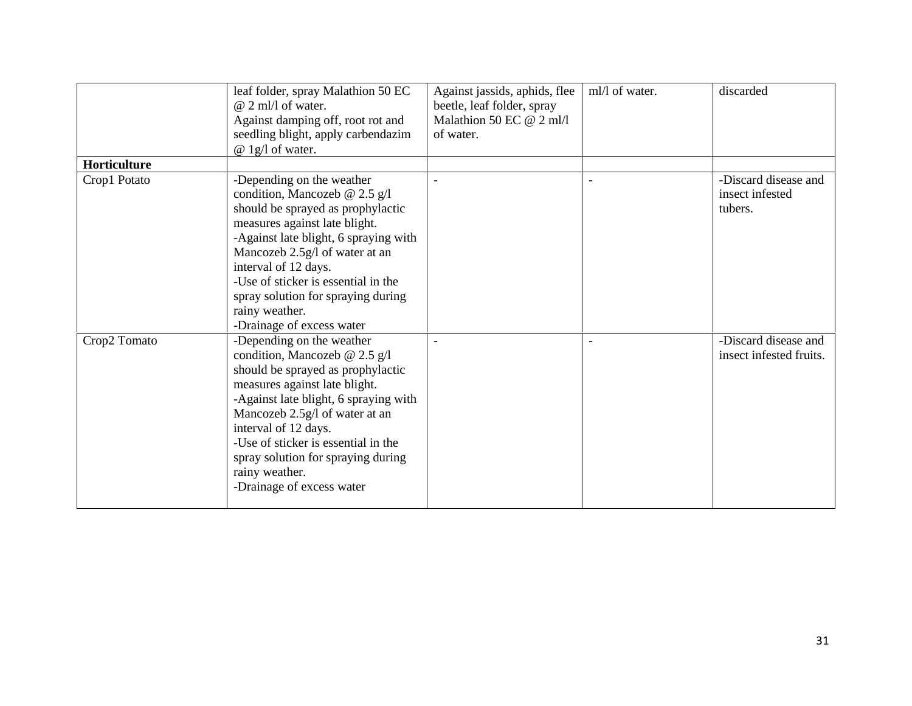|              | leaf folder, spray Malathion 50 EC<br>$@$ 2 ml/l of water.<br>Against damping off, root rot and<br>seedling blight, apply carbendazim<br>@ 1g/1 of water.                                                                                                                                                                                                       | Against jassids, aphids, flee<br>beetle, leaf folder, spray<br>Malathion 50 EC @ 2 ml/l<br>of water. | ml/l of water.           | discarded                                          |
|--------------|-----------------------------------------------------------------------------------------------------------------------------------------------------------------------------------------------------------------------------------------------------------------------------------------------------------------------------------------------------------------|------------------------------------------------------------------------------------------------------|--------------------------|----------------------------------------------------|
| Horticulture |                                                                                                                                                                                                                                                                                                                                                                 |                                                                                                      |                          |                                                    |
| Crop1 Potato | -Depending on the weather<br>condition, Mancozeb @ 2.5 g/l<br>should be sprayed as prophylactic<br>measures against late blight.<br>-Against late blight, 6 spraying with<br>Mancozeb 2.5g/l of water at an<br>interval of 12 days.<br>-Use of sticker is essential in the<br>spray solution for spraying during<br>rainy weather.<br>-Drainage of excess water |                                                                                                      |                          | -Discard disease and<br>insect infested<br>tubers. |
| Crop2 Tomato | -Depending on the weather<br>condition, Mancozeb @ 2.5 g/l<br>should be sprayed as prophylactic<br>measures against late blight.<br>-Against late blight, 6 spraying with<br>Mancozeb 2.5g/l of water at an<br>interval of 12 days.<br>-Use of sticker is essential in the<br>spray solution for spraying during<br>rainy weather.<br>-Drainage of excess water |                                                                                                      | $\overline{\phantom{a}}$ | -Discard disease and<br>insect infested fruits.    |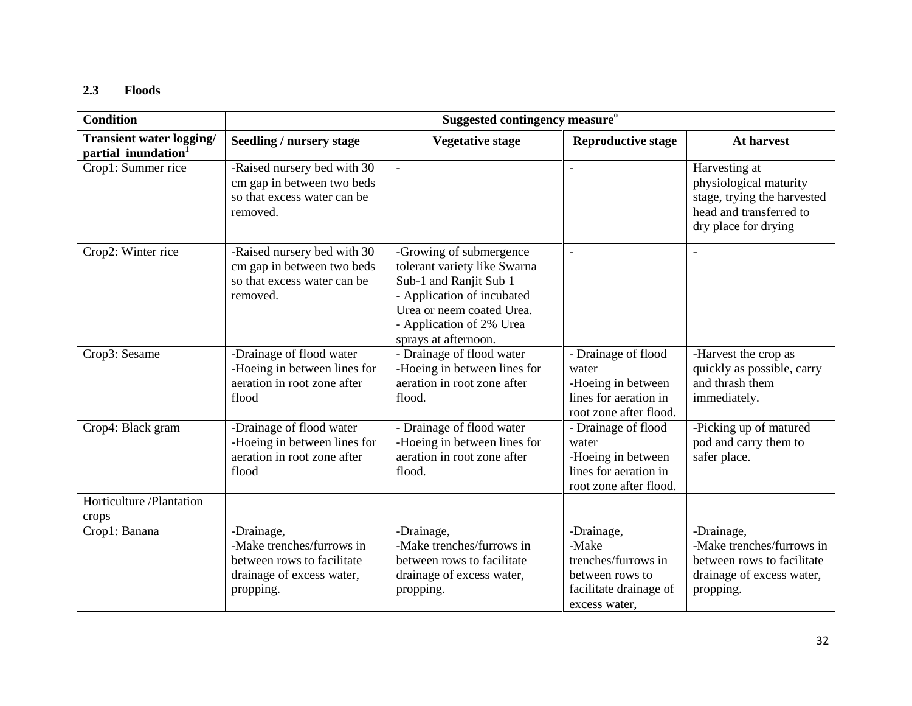# **2.3 Floods**

| <b>Condition</b>                                                   | Suggested contingency measure <sup>o</sup>                                                                      |                                                                                                                                                                                                  |                                                                                                          |                                                                                                                           |
|--------------------------------------------------------------------|-----------------------------------------------------------------------------------------------------------------|--------------------------------------------------------------------------------------------------------------------------------------------------------------------------------------------------|----------------------------------------------------------------------------------------------------------|---------------------------------------------------------------------------------------------------------------------------|
| <b>Transient water logging/</b><br>partial inundation <sup>1</sup> | Seedling / nursery stage                                                                                        | <b>Vegetative stage</b>                                                                                                                                                                          | <b>Reproductive stage</b>                                                                                | At harvest                                                                                                                |
| Crop1: Summer rice                                                 | -Raised nursery bed with 30<br>cm gap in between two beds<br>so that excess water can be<br>removed.            | $\equiv$                                                                                                                                                                                         |                                                                                                          | Harvesting at<br>physiological maturity<br>stage, trying the harvested<br>head and transferred to<br>dry place for drying |
| Crop2: Winter rice                                                 | -Raised nursery bed with 30<br>cm gap in between two beds<br>so that excess water can be<br>removed.            | -Growing of submergence<br>tolerant variety like Swarna<br>Sub-1 and Ranjit Sub 1<br>- Application of incubated<br>Urea or neem coated Urea.<br>- Application of 2% Urea<br>sprays at afternoon. | $\blacksquare$                                                                                           |                                                                                                                           |
| Crop3: Sesame                                                      | -Drainage of flood water<br>-Hoeing in between lines for<br>aeration in root zone after<br>flood                | - Drainage of flood water<br>-Hoeing in between lines for<br>aeration in root zone after<br>flood.                                                                                               | - Drainage of flood<br>water<br>-Hoeing in between<br>lines for aeration in<br>root zone after flood.    | -Harvest the crop as<br>quickly as possible, carry<br>and thrash them<br>immediately.                                     |
| Crop4: Black gram                                                  | -Drainage of flood water<br>-Hoeing in between lines for<br>aeration in root zone after<br>flood                | - Drainage of flood water<br>-Hoeing in between lines for<br>aeration in root zone after<br>flood.                                                                                               | - Drainage of flood<br>water<br>-Hoeing in between<br>lines for aeration in<br>root zone after flood.    | -Picking up of matured<br>pod and carry them to<br>safer place.                                                           |
| Horticulture /Plantation<br>crops                                  |                                                                                                                 |                                                                                                                                                                                                  |                                                                                                          |                                                                                                                           |
| Crop1: Banana                                                      | -Drainage,<br>-Make trenches/furrows in<br>between rows to facilitate<br>drainage of excess water,<br>propping. | -Drainage,<br>-Make trenches/furrows in<br>between rows to facilitate<br>drainage of excess water,<br>propping.                                                                                  | -Drainage,<br>-Make<br>trenches/furrows in<br>between rows to<br>facilitate drainage of<br>excess water, | -Drainage,<br>-Make trenches/furrows in<br>between rows to facilitate<br>drainage of excess water,<br>propping.           |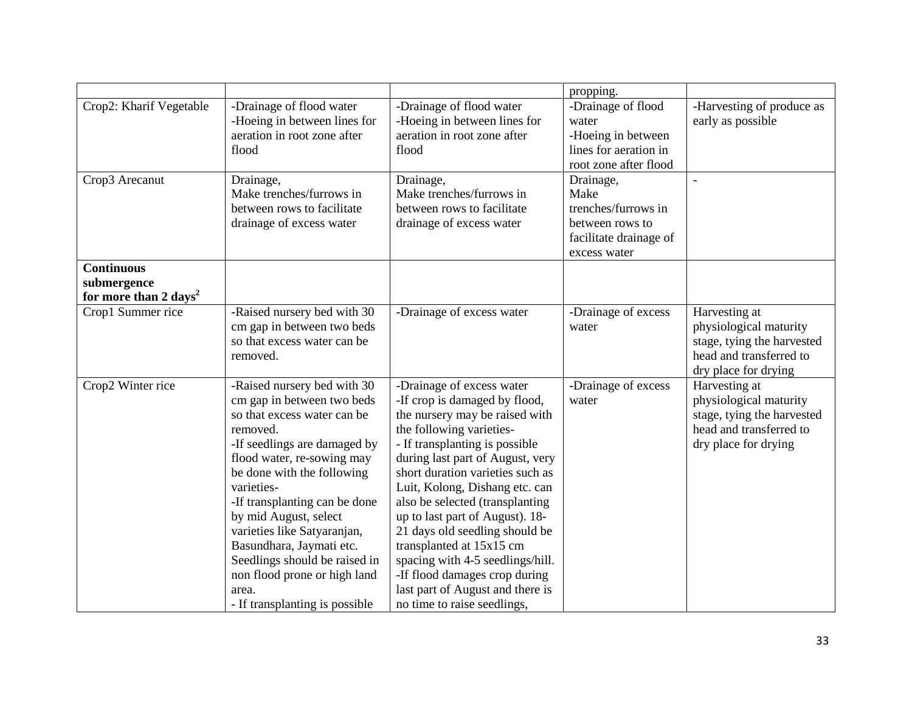|                                   |                                          |                                                                      | propping.                                   |                            |
|-----------------------------------|------------------------------------------|----------------------------------------------------------------------|---------------------------------------------|----------------------------|
| Crop2: Kharif Vegetable           | -Drainage of flood water                 | -Drainage of flood water                                             | -Drainage of flood                          | -Harvesting of produce as  |
|                                   | -Hoeing in between lines for             | -Hoeing in between lines for                                         | water                                       | early as possible          |
|                                   | aeration in root zone after<br>flood     | aeration in root zone after                                          | -Hoeing in between<br>lines for aeration in |                            |
|                                   |                                          | flood                                                                | root zone after flood                       |                            |
| Crop3 Arecanut                    | Drainage,                                | Drainage,                                                            | Drainage,                                   |                            |
|                                   | Make trenches/furrows in                 | Make trenches/furrows in                                             | Make                                        |                            |
|                                   | between rows to facilitate               | between rows to facilitate                                           | trenches/furrows in                         |                            |
|                                   | drainage of excess water                 | drainage of excess water                                             | between rows to                             |                            |
|                                   |                                          |                                                                      | facilitate drainage of                      |                            |
|                                   |                                          |                                                                      | excess water                                |                            |
| <b>Continuous</b>                 |                                          |                                                                      |                                             |                            |
| submergence                       |                                          |                                                                      |                                             |                            |
| for more than 2 days <sup>2</sup> |                                          |                                                                      |                                             |                            |
| Crop1 Summer rice                 | -Raised nursery bed with 30              | -Drainage of excess water                                            | -Drainage of excess                         | Harvesting at              |
|                                   | cm gap in between two beds               |                                                                      | water                                       | physiological maturity     |
|                                   | so that excess water can be              |                                                                      |                                             | stage, tying the harvested |
|                                   | removed.                                 |                                                                      |                                             | head and transferred to    |
|                                   |                                          |                                                                      |                                             | dry place for drying       |
| Crop2 Winter rice                 | -Raised nursery bed with 30              | -Drainage of excess water                                            | -Drainage of excess                         | Harvesting at              |
|                                   | cm gap in between two beds               | -If crop is damaged by flood,                                        | water                                       | physiological maturity     |
|                                   | so that excess water can be              | the nursery may be raised with                                       |                                             | stage, tying the harvested |
|                                   | removed.                                 | the following varieties-                                             |                                             | head and transferred to    |
|                                   | -If seedlings are damaged by             | - If transplanting is possible                                       |                                             | dry place for drying       |
|                                   | flood water, re-sowing may               | during last part of August, very<br>short duration varieties such as |                                             |                            |
|                                   | be done with the following<br>varieties- | Luit, Kolong, Dishang etc. can                                       |                                             |                            |
|                                   | -If transplanting can be done            | also be selected (transplanting                                      |                                             |                            |
|                                   | by mid August, select                    | up to last part of August). 18-                                      |                                             |                            |
|                                   | varieties like Satyaranjan,              | 21 days old seedling should be                                       |                                             |                            |
|                                   | Basundhara, Jaymati etc.                 | transplanted at 15x15 cm                                             |                                             |                            |
|                                   | Seedlings should be raised in            | spacing with 4-5 seedlings/hill.                                     |                                             |                            |
|                                   | non flood prone or high land             | -If flood damages crop during                                        |                                             |                            |
|                                   | area.                                    | last part of August and there is                                     |                                             |                            |
|                                   | - If transplanting is possible           | no time to raise seedlings,                                          |                                             |                            |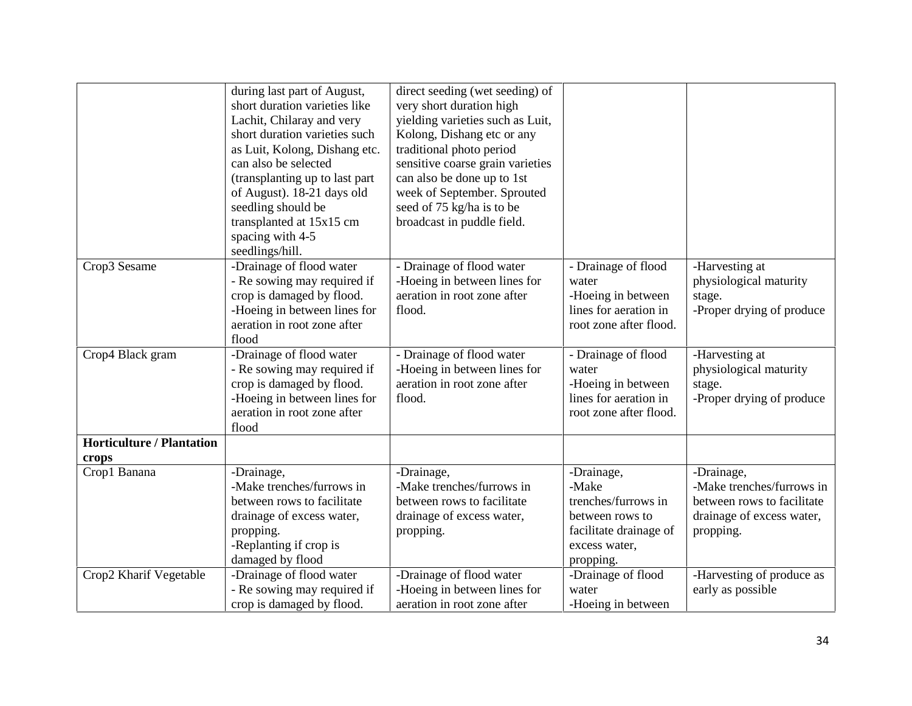|                                           | during last part of August,<br>short duration varieties like<br>Lachit, Chilaray and very<br>short duration varieties such<br>as Luit, Kolong, Dishang etc.<br>can also be selected<br>(transplanting up to last part<br>of August). 18-21 days old<br>seedling should be<br>transplanted at 15x15 cm<br>spacing with 4-5<br>seedlings/hill. | direct seeding (wet seeding) of<br>very short duration high<br>yielding varieties such as Luit,<br>Kolong, Dishang etc or any<br>traditional photo period<br>sensitive coarse grain varieties<br>can also be done up to 1st<br>week of September. Sprouted<br>seed of 75 kg/ha is to be<br>broadcast in puddle field. |                                                                                                                       |                                                                                                                 |
|-------------------------------------------|----------------------------------------------------------------------------------------------------------------------------------------------------------------------------------------------------------------------------------------------------------------------------------------------------------------------------------------------|-----------------------------------------------------------------------------------------------------------------------------------------------------------------------------------------------------------------------------------------------------------------------------------------------------------------------|-----------------------------------------------------------------------------------------------------------------------|-----------------------------------------------------------------------------------------------------------------|
| Crop3 Sesame                              | -Drainage of flood water<br>- Re sowing may required if<br>crop is damaged by flood.<br>-Hoeing in between lines for<br>aeration in root zone after<br>flood                                                                                                                                                                                 | - Drainage of flood water<br>-Hoeing in between lines for<br>aeration in root zone after<br>flood.                                                                                                                                                                                                                    | - Drainage of flood<br>water<br>-Hoeing in between<br>lines for aeration in<br>root zone after flood.                 | -Harvesting at<br>physiological maturity<br>stage.<br>-Proper drying of produce                                 |
| Crop4 Black gram                          | -Drainage of flood water<br>- Re sowing may required if<br>crop is damaged by flood.<br>-Hoeing in between lines for<br>aeration in root zone after<br>flood                                                                                                                                                                                 | - Drainage of flood water<br>-Hoeing in between lines for<br>aeration in root zone after<br>flood.                                                                                                                                                                                                                    | - Drainage of flood<br>water<br>-Hoeing in between<br>lines for aeration in<br>root zone after flood.                 | -Harvesting at<br>physiological maturity<br>stage.<br>-Proper drying of produce                                 |
| <b>Horticulture / Plantation</b><br>crops |                                                                                                                                                                                                                                                                                                                                              |                                                                                                                                                                                                                                                                                                                       |                                                                                                                       |                                                                                                                 |
| Crop1 Banana                              | -Drainage,<br>-Make trenches/furrows in<br>between rows to facilitate<br>drainage of excess water,<br>propping.<br>-Replanting if crop is<br>damaged by flood                                                                                                                                                                                | -Drainage,<br>-Make trenches/furrows in<br>between rows to facilitate<br>drainage of excess water,<br>propping.                                                                                                                                                                                                       | -Drainage,<br>-Make<br>trenches/furrows in<br>between rows to<br>facilitate drainage of<br>excess water,<br>propping. | -Drainage,<br>-Make trenches/furrows in<br>between rows to facilitate<br>drainage of excess water,<br>propping. |
| Crop2 Kharif Vegetable                    | -Drainage of flood water<br>- Re sowing may required if<br>crop is damaged by flood.                                                                                                                                                                                                                                                         | -Drainage of flood water<br>-Hoeing in between lines for<br>aeration in root zone after                                                                                                                                                                                                                               | -Drainage of flood<br>water<br>-Hoeing in between                                                                     | -Harvesting of produce as<br>early as possible                                                                  |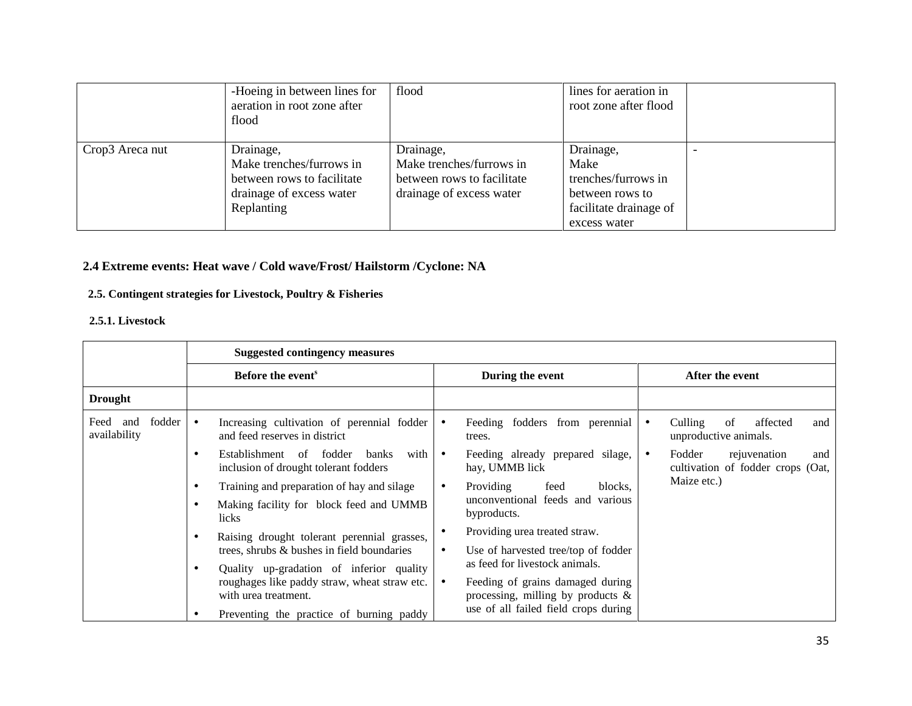|                 | -Hoeing in between lines for<br>aeration in root zone after<br>flood                                          | flood                                                                                           | lines for aeration in<br>root zone after flood                                                        |
|-----------------|---------------------------------------------------------------------------------------------------------------|-------------------------------------------------------------------------------------------------|-------------------------------------------------------------------------------------------------------|
| Crop3 Areca nut | Drainage,<br>Make trenches/furrows in<br>between rows to facilitate<br>drainage of excess water<br>Replanting | Drainage,<br>Make trenches/furrows in<br>between rows to facilitate<br>drainage of excess water | Drainage,<br>Make<br>trenches/furrows in<br>between rows to<br>facilitate drainage of<br>excess water |

### **2.4 Extreme events: Heat wave / Cold wave/Frost/ Hailstorm /Cyclone: NA**

### **2.5. Contingent strategies for Livestock, Poultry & Fisheries**

#### **2.5.1. Livestock**

|                                    | <b>Suggested contingency measures</b>                                                                                 |                                                                                                                         |                                                                    |  |
|------------------------------------|-----------------------------------------------------------------------------------------------------------------------|-------------------------------------------------------------------------------------------------------------------------|--------------------------------------------------------------------|--|
|                                    | Before the event <sup>s</sup>                                                                                         | During the event                                                                                                        | After the event                                                    |  |
| <b>Drought</b>                     |                                                                                                                       |                                                                                                                         |                                                                    |  |
| fodder<br>Feed and<br>availability | Increasing cultivation of perennial fodder<br>$\bullet$<br>and feed reserves in district                              | Feeding fodders from perennial<br>$\bullet$<br>trees.                                                                   | Culling<br>of<br>affected<br>and<br>unproductive animals.          |  |
|                                    | Establishment of fodder<br>with<br>banks<br>٠<br>inclusion of drought tolerant fodders                                | Feeding already prepared silage,<br>$\bullet$<br>hay, UMMB lick                                                         | Fodder<br>rejuvenation<br>and<br>cultivation of fodder crops (Oat, |  |
|                                    | Training and preparation of hay and silage<br>٠<br>Making facility for block feed and UMMB                            | Providing<br>feed<br>blocks.<br>$\bullet$<br>unconventional feeds and various                                           | Maize etc.)                                                        |  |
|                                    | licks                                                                                                                 | byproducts.<br>Providing urea treated straw.<br>$\bullet$                                                               |                                                                    |  |
|                                    | Raising drought tolerant perennial grasses,<br>٠<br>trees, shrubs & bushes in field boundaries                        | Use of harvested tree/top of fodder<br>$\bullet$                                                                        |                                                                    |  |
|                                    | Quality up-gradation of inferior quality<br>٠<br>roughages like paddy straw, wheat straw etc.<br>with urea treatment. | as feed for livestock animals.<br>Feeding of grains damaged during<br>$\bullet$<br>processing, milling by products $\&$ |                                                                    |  |
|                                    | Preventing the practice of burning paddy                                                                              | use of all failed field crops during                                                                                    |                                                                    |  |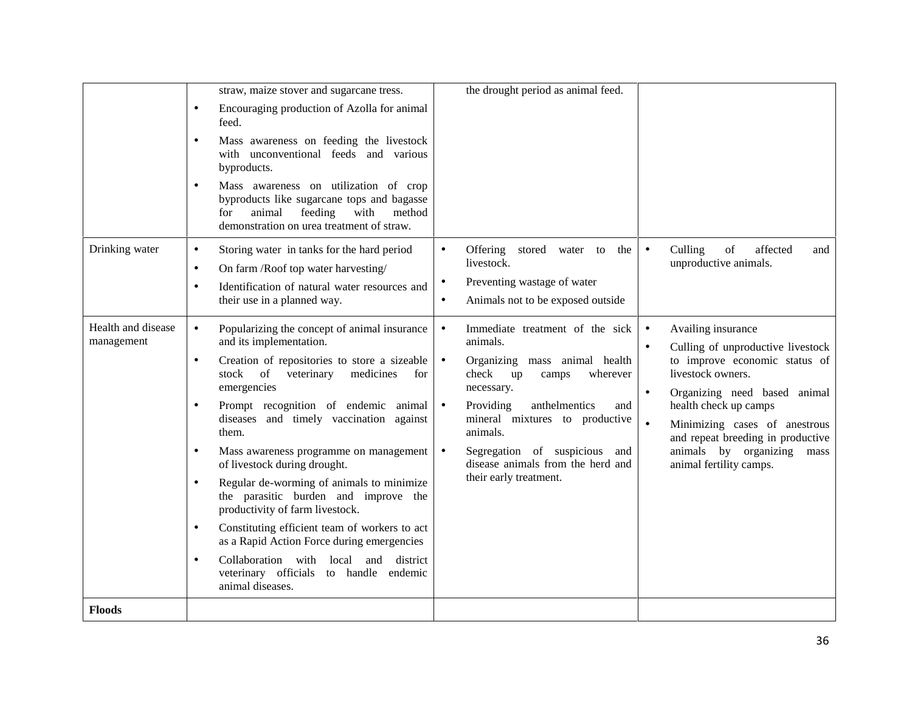|                                  | straw, maize stover and sugarcane tress.<br>Encouraging production of Azolla for animal<br>$\bullet$<br>feed.<br>Mass awareness on feeding the livestock<br>$\bullet$<br>with unconventional feeds and various<br>byproducts.<br>Mass awareness on utilization of crop<br>$\bullet$                                                                                                                                                                                                                                                                                                                                                                                                                                                                                                                                                        | the drought period as animal feed.                                                                                                                                                                                                                                                                                |                                                                                                                                                                                                                                                                                                                                                              |
|----------------------------------|--------------------------------------------------------------------------------------------------------------------------------------------------------------------------------------------------------------------------------------------------------------------------------------------------------------------------------------------------------------------------------------------------------------------------------------------------------------------------------------------------------------------------------------------------------------------------------------------------------------------------------------------------------------------------------------------------------------------------------------------------------------------------------------------------------------------------------------------|-------------------------------------------------------------------------------------------------------------------------------------------------------------------------------------------------------------------------------------------------------------------------------------------------------------------|--------------------------------------------------------------------------------------------------------------------------------------------------------------------------------------------------------------------------------------------------------------------------------------------------------------------------------------------------------------|
|                                  | byproducts like sugarcane tops and bagasse<br>with<br>animal<br>feeding<br>method<br>for<br>demonstration on urea treatment of straw.                                                                                                                                                                                                                                                                                                                                                                                                                                                                                                                                                                                                                                                                                                      |                                                                                                                                                                                                                                                                                                                   |                                                                                                                                                                                                                                                                                                                                                              |
| Drinking water                   | Storing water in tanks for the hard period<br>$\bullet$<br>$\bullet$<br>On farm /Roof top water harvesting/<br>$\bullet$<br>$\bullet$<br>Identification of natural water resources and<br>$\bullet$<br>their use in a planned way.<br>$\bullet$                                                                                                                                                                                                                                                                                                                                                                                                                                                                                                                                                                                            | Offering stored water to<br>the<br>livestock.<br>Preventing wastage of water<br>Animals not to be exposed outside                                                                                                                                                                                                 | Culling<br>$% \left( \left( \mathcal{A},\mathcal{A}\right) \right) =\left( \mathcal{A},\mathcal{A}\right)$ of<br>affected<br>$\bullet$<br>and<br>unproductive animals.                                                                                                                                                                                       |
| Health and disease<br>management | Popularizing the concept of animal insurance<br>$\bullet$<br>$\bullet$<br>and its implementation.<br>Creation of repositories to store a sizeable<br>$\bullet$<br>$\bullet$<br>stock of<br>veterinary<br>medicines<br>for<br>emergencies<br>Prompt recognition of endemic animal<br>$\bullet$<br>$\bullet$<br>diseases and timely vaccination against<br>them.<br>Mass awareness programme on management<br>$\bullet$<br>$\bullet$<br>of livestock during drought.<br>Regular de-worming of animals to minimize<br>$\bullet$<br>the parasitic burden and improve the<br>productivity of farm livestock.<br>Constituting efficient team of workers to act<br>$\bullet$<br>as a Rapid Action Force during emergencies<br>Collaboration with local and district<br>$\bullet$<br>veterinary officials to handle<br>endemic<br>animal diseases. | Immediate treatment of the sick<br>animals.<br>Organizing mass animal health<br>check<br>wherever<br>up<br>camps<br>necessary.<br>Providing<br>anthelmentics<br>and<br>mineral mixtures to productive<br>animals.<br>Segregation of suspicious and<br>disease animals from the herd and<br>their early treatment. | Availing insurance<br>$\bullet$<br>Culling of unproductive livestock<br>$\bullet$<br>to improve economic status of<br>livestock owners.<br>Organizing need based animal<br>$\bullet$<br>health check up camps<br>$\bullet$<br>Minimizing cases of anestrous<br>and repeat breeding in productive<br>animals by organizing<br>mass<br>animal fertility camps. |
| <b>Floods</b>                    |                                                                                                                                                                                                                                                                                                                                                                                                                                                                                                                                                                                                                                                                                                                                                                                                                                            |                                                                                                                                                                                                                                                                                                                   |                                                                                                                                                                                                                                                                                                                                                              |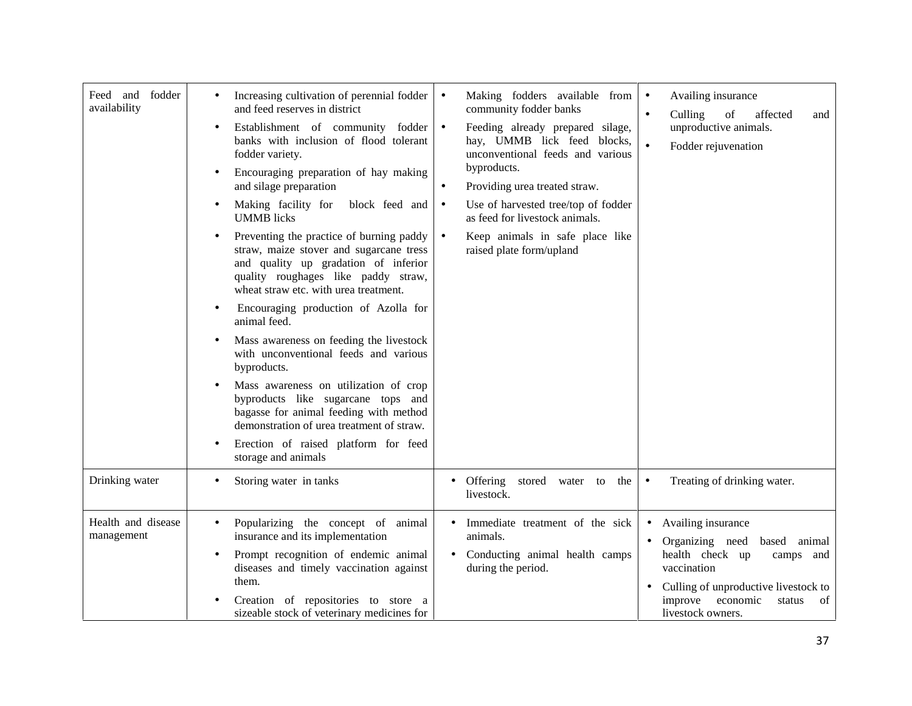| Feed and fodder<br>availability  | Increasing cultivation of perennial fodder<br>and feed reserves in district<br>Establishment of community fodder<br>$\bullet$<br>banks with inclusion of flood tolerant<br>fodder variety.<br>Encouraging preparation of hay making<br>$\bullet$<br>and silage preparation<br>Making facility for<br>block feed and<br>$\bullet$<br><b>UMMB</b> licks<br>Preventing the practice of burning paddy<br>$\bullet$<br>straw, maize stover and sugarcane tress<br>and quality up gradation of inferior<br>quality roughages like paddy straw,<br>wheat straw etc. with urea treatment.<br>Encouraging production of Azolla for<br>$\bullet$<br>animal feed.<br>Mass awareness on feeding the livestock<br>with unconventional feeds and various<br>byproducts.<br>Mass awareness on utilization of crop<br>$\bullet$<br>byproducts like sugarcane tops and<br>bagasse for animal feeding with method<br>demonstration of urea treatment of straw.<br>Erection of raised platform for feed<br>$\bullet$<br>storage and animals | Making fodders available from<br>$\bullet$<br>community fodder banks<br>Feeding already prepared silage,<br>$\bullet$<br>hay, UMMB lick feed blocks,<br>unconventional feeds and various<br>byproducts.<br>Providing urea treated straw.<br>$\bullet$<br>Use of harvested tree/top of fodder<br>$\bullet$<br>as feed for livestock animals.<br>Keep animals in safe place like<br>$\bullet$<br>raised plate form/upland | Availing insurance<br>$\bullet$<br>Culling<br>of<br>affected<br>$\bullet$<br>and<br>unproductive animals.<br>Fodder rejuvenation<br>$\bullet$                                                         |
|----------------------------------|--------------------------------------------------------------------------------------------------------------------------------------------------------------------------------------------------------------------------------------------------------------------------------------------------------------------------------------------------------------------------------------------------------------------------------------------------------------------------------------------------------------------------------------------------------------------------------------------------------------------------------------------------------------------------------------------------------------------------------------------------------------------------------------------------------------------------------------------------------------------------------------------------------------------------------------------------------------------------------------------------------------------------|-------------------------------------------------------------------------------------------------------------------------------------------------------------------------------------------------------------------------------------------------------------------------------------------------------------------------------------------------------------------------------------------------------------------------|-------------------------------------------------------------------------------------------------------------------------------------------------------------------------------------------------------|
| Drinking water                   | Storing water in tanks                                                                                                                                                                                                                                                                                                                                                                                                                                                                                                                                                                                                                                                                                                                                                                                                                                                                                                                                                                                                   | • Offering stored water to<br>the<br>livestock.                                                                                                                                                                                                                                                                                                                                                                         | Treating of drinking water.<br>$\bullet$                                                                                                                                                              |
| Health and disease<br>management | Popularizing the concept of animal<br>$\bullet$<br>insurance and its implementation<br>Prompt recognition of endemic animal<br>$\bullet$<br>diseases and timely vaccination against<br>them.<br>Creation of repositories to store a<br>sizeable stock of veterinary medicines for                                                                                                                                                                                                                                                                                                                                                                                                                                                                                                                                                                                                                                                                                                                                        | Immediate treatment of the sick<br>animals.<br>Conducting animal health camps<br>during the period.                                                                                                                                                                                                                                                                                                                     | Availing insurance<br>Organizing need based<br>animal<br>health check up<br>camps and<br>vaccination<br>Culling of unproductive livestock to<br>improve economic<br>status<br>of<br>livestock owners. |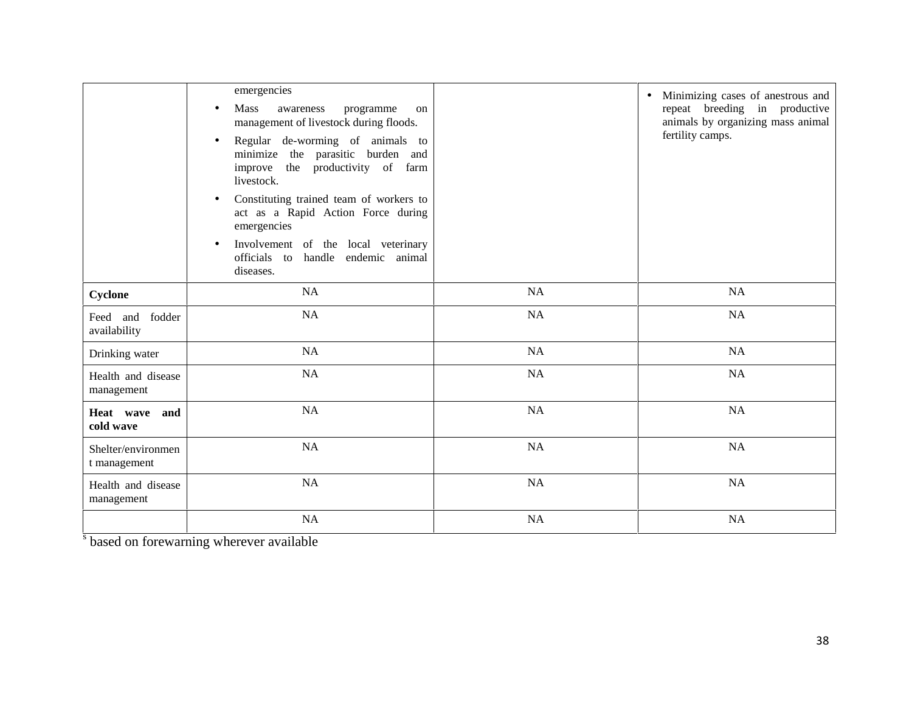|                                    | emergencies<br>Mass<br>awareness<br>programme<br>on<br>$\bullet$<br>management of livestock during floods.<br>Regular de-worming of animals to<br>$\bullet$<br>minimize the parasitic burden and<br>improve the productivity of farm<br>livestock.<br>Constituting trained team of workers to<br>$\bullet$<br>act as a Rapid Action Force during<br>emergencies<br>Involvement of the local veterinary<br>$\bullet$<br>officials to handle endemic animal<br>diseases. |           | Minimizing cases of anestrous and<br>$\bullet$<br>repeat breeding in productive<br>animals by organizing mass animal<br>fertility camps. |
|------------------------------------|------------------------------------------------------------------------------------------------------------------------------------------------------------------------------------------------------------------------------------------------------------------------------------------------------------------------------------------------------------------------------------------------------------------------------------------------------------------------|-----------|------------------------------------------------------------------------------------------------------------------------------------------|
| Cyclone                            | NA                                                                                                                                                                                                                                                                                                                                                                                                                                                                     | NA        | <b>NA</b>                                                                                                                                |
| Feed and fodder<br>availability    | NA                                                                                                                                                                                                                                                                                                                                                                                                                                                                     | NA        | <b>NA</b>                                                                                                                                |
| Drinking water                     | NA                                                                                                                                                                                                                                                                                                                                                                                                                                                                     | <b>NA</b> | <b>NA</b>                                                                                                                                |
| Health and disease<br>management   | <b>NA</b>                                                                                                                                                                                                                                                                                                                                                                                                                                                              | <b>NA</b> | <b>NA</b>                                                                                                                                |
| Heat wave and<br>cold wave         | <b>NA</b>                                                                                                                                                                                                                                                                                                                                                                                                                                                              | <b>NA</b> | <b>NA</b>                                                                                                                                |
| Shelter/environmen<br>t management | <b>NA</b>                                                                                                                                                                                                                                                                                                                                                                                                                                                              | <b>NA</b> | <b>NA</b>                                                                                                                                |
| Health and disease<br>management   | NA                                                                                                                                                                                                                                                                                                                                                                                                                                                                     | NA        | <b>NA</b>                                                                                                                                |
|                                    | NA                                                                                                                                                                                                                                                                                                                                                                                                                                                                     | <b>NA</b> | NA                                                                                                                                       |

s based on forewarning wherever available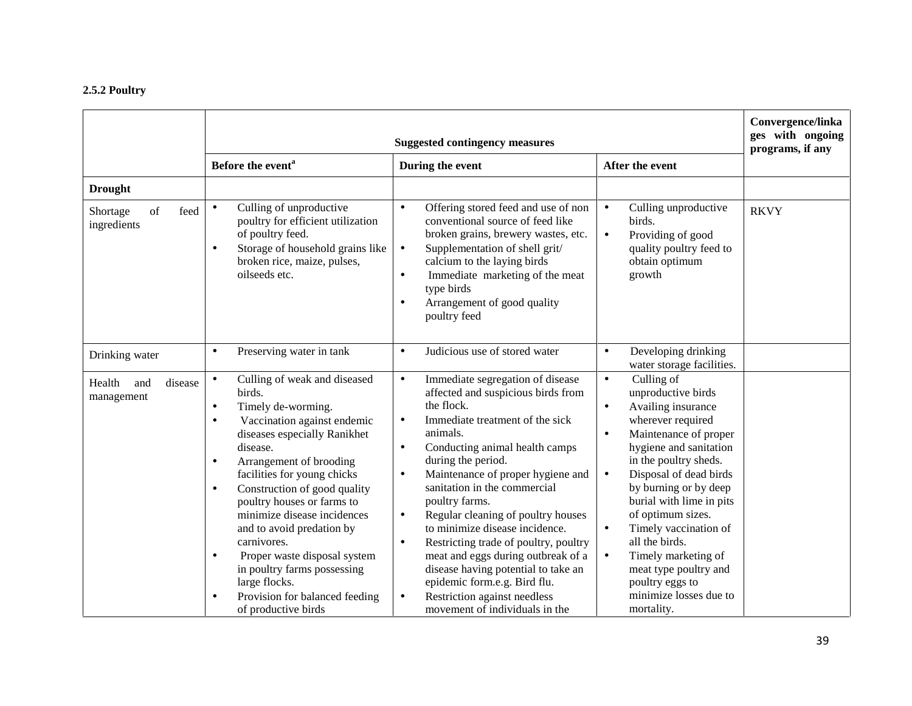#### **2.5.2 Poultry**

|                                        | <b>Suggested contingency measures</b>                                                                                                                                                                                                                                                                                                                                                                                                                                                                    |                                                                                                                                                                                                                                                                                                                                                                                                                                                                                                                                                                                                |                                                                                                                                                                                                                                                                                                                                                                                                                                                         | Convergence/linka<br>ges with ongoing<br>programs, if any |  |
|----------------------------------------|----------------------------------------------------------------------------------------------------------------------------------------------------------------------------------------------------------------------------------------------------------------------------------------------------------------------------------------------------------------------------------------------------------------------------------------------------------------------------------------------------------|------------------------------------------------------------------------------------------------------------------------------------------------------------------------------------------------------------------------------------------------------------------------------------------------------------------------------------------------------------------------------------------------------------------------------------------------------------------------------------------------------------------------------------------------------------------------------------------------|---------------------------------------------------------------------------------------------------------------------------------------------------------------------------------------------------------------------------------------------------------------------------------------------------------------------------------------------------------------------------------------------------------------------------------------------------------|-----------------------------------------------------------|--|
|                                        | Before the event <sup>a</sup>                                                                                                                                                                                                                                                                                                                                                                                                                                                                            | During the event                                                                                                                                                                                                                                                                                                                                                                                                                                                                                                                                                                               | After the event                                                                                                                                                                                                                                                                                                                                                                                                                                         |                                                           |  |
| <b>Drought</b>                         |                                                                                                                                                                                                                                                                                                                                                                                                                                                                                                          |                                                                                                                                                                                                                                                                                                                                                                                                                                                                                                                                                                                                |                                                                                                                                                                                                                                                                                                                                                                                                                                                         |                                                           |  |
| of<br>feed<br>Shortage<br>ingredients  | Culling of unproductive<br>$\bullet$<br>poultry for efficient utilization<br>of poultry feed.<br>Storage of household grains like<br>$\bullet$<br>broken rice, maize, pulses,<br>oilseeds etc.                                                                                                                                                                                                                                                                                                           | Offering stored feed and use of non<br>$\bullet$<br>conventional source of feed like<br>broken grains, brewery wastes, etc.<br>Supplementation of shell grit/<br>$\bullet$<br>calcium to the laying birds<br>Immediate marketing of the meat<br>$\bullet$<br>type birds<br>Arrangement of good quality<br>$\bullet$<br>poultry feed                                                                                                                                                                                                                                                            | Culling unproductive<br>$\bullet$<br>birds.<br>Providing of good<br>$\bullet$<br>quality poultry feed to<br>obtain optimum<br>growth                                                                                                                                                                                                                                                                                                                    | <b>RKVY</b>                                               |  |
| Drinking water                         | Preserving water in tank<br>$\bullet$                                                                                                                                                                                                                                                                                                                                                                                                                                                                    | Judicious use of stored water<br>$\bullet$                                                                                                                                                                                                                                                                                                                                                                                                                                                                                                                                                     | Developing drinking<br>$\bullet$<br>water storage facilities.                                                                                                                                                                                                                                                                                                                                                                                           |                                                           |  |
| Health<br>disease<br>and<br>management | Culling of weak and diseased<br>$\bullet$<br>birds.<br>Timely de-worming.<br>$\bullet$<br>Vaccination against endemic<br>$\bullet$<br>diseases especially Ranikhet<br>disease.<br>Arrangement of brooding<br>$\bullet$<br>facilities for young chicks<br>Construction of good quality<br>$\bullet$<br>poultry houses or farms to<br>minimize disease incidences<br>and to avoid predation by<br>carnivores.<br>Proper waste disposal system<br>$\bullet$<br>in poultry farms possessing<br>large flocks. | Immediate segregation of disease<br>$\bullet$<br>affected and suspicious birds from<br>the flock.<br>Immediate treatment of the sick<br>$\bullet$<br>animals.<br>Conducting animal health camps<br>$\bullet$<br>during the period.<br>Maintenance of proper hygiene and<br>$\bullet$<br>sanitation in the commercial<br>poultry farms.<br>Regular cleaning of poultry houses<br>$\bullet$<br>to minimize disease incidence.<br>$\bullet$<br>Restricting trade of poultry, poultry<br>meat and eggs during outbreak of a<br>disease having potential to take an<br>epidemic form.e.g. Bird flu. | Culling of<br>$\bullet$<br>unproductive birds<br>Availing insurance<br>$\bullet$<br>wherever required<br>Maintenance of proper<br>$\bullet$<br>hygiene and sanitation<br>in the poultry sheds.<br>Disposal of dead birds<br>$\bullet$<br>by burning or by deep<br>burial with lime in pits<br>of optimum sizes.<br>Timely vaccination of<br>$\bullet$<br>all the birds.<br>Timely marketing of<br>$\bullet$<br>meat type poultry and<br>poultry eggs to |                                                           |  |
|                                        | Provision for balanced feeding<br>$\bullet$<br>of productive birds                                                                                                                                                                                                                                                                                                                                                                                                                                       | Restriction against needless<br>$\bullet$<br>movement of individuals in the                                                                                                                                                                                                                                                                                                                                                                                                                                                                                                                    | minimize losses due to<br>mortality.                                                                                                                                                                                                                                                                                                                                                                                                                    |                                                           |  |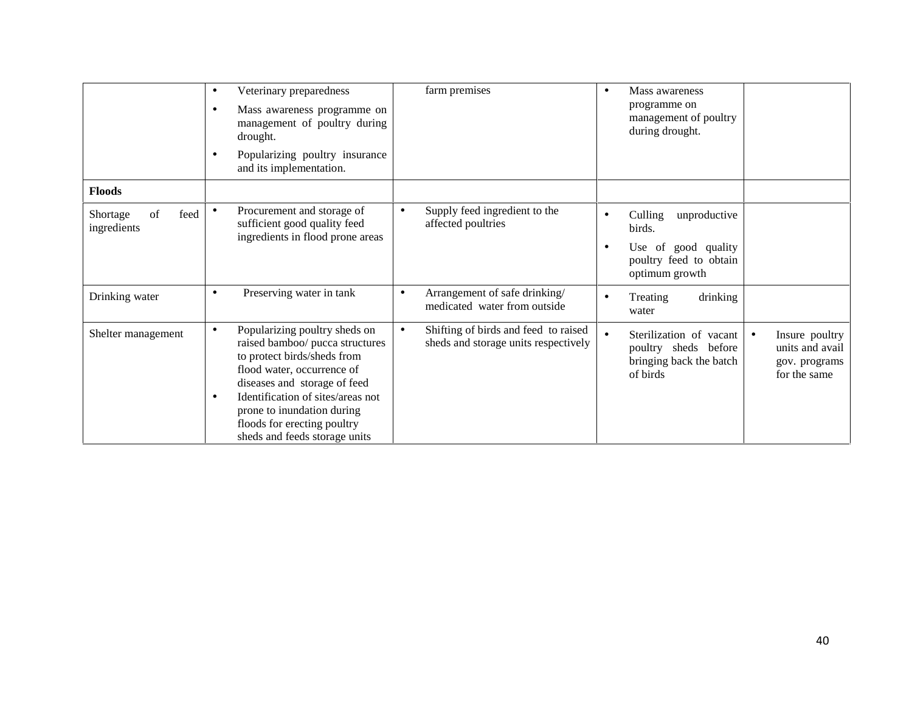|                                       | Veterinary preparedness<br>$\bullet$<br>Mass awareness programme on<br>$\bullet$<br>management of poultry during<br>drought.<br>Popularizing poultry insurance<br>٠<br>and its implementation.                                                                                                                     | farm premises                                                                             | Mass awareness<br>$\bullet$<br>programme on<br>management of poultry<br>during drought.                                                                                   |  |
|---------------------------------------|--------------------------------------------------------------------------------------------------------------------------------------------------------------------------------------------------------------------------------------------------------------------------------------------------------------------|-------------------------------------------------------------------------------------------|---------------------------------------------------------------------------------------------------------------------------------------------------------------------------|--|
| <b>Floods</b>                         |                                                                                                                                                                                                                                                                                                                    |                                                                                           |                                                                                                                                                                           |  |
| feed<br>of<br>Shortage<br>ingredients | Procurement and storage of<br>sufficient good quality feed<br>ingredients in flood prone areas                                                                                                                                                                                                                     | Supply feed ingredient to the<br>$\bullet$<br>affected poultries                          | Culling<br>unproductive<br>birds.<br>Use of good quality<br>poultry feed to obtain<br>optimum growth                                                                      |  |
| Drinking water                        | Preserving water in tank<br>٠                                                                                                                                                                                                                                                                                      | Arrangement of safe drinking/<br>$\bullet$<br>medicated water from outside                | drinking<br>Treating<br>water                                                                                                                                             |  |
| Shelter management                    | Popularizing poultry sheds on<br>$\bullet$<br>raised bamboo/ pucca structures<br>to protect birds/sheds from<br>flood water, occurrence of<br>diseases and storage of feed<br>Identification of sites/areas not<br>٠<br>prone to inundation during<br>floods for erecting poultry<br>sheds and feeds storage units | Shifting of birds and feed to raised<br>$\bullet$<br>sheds and storage units respectively | Sterilization of vacant<br>Insure poultry<br>$\bullet$<br>units and avail<br>poultry sheds before<br>bringing back the batch<br>gov. programs<br>of birds<br>for the same |  |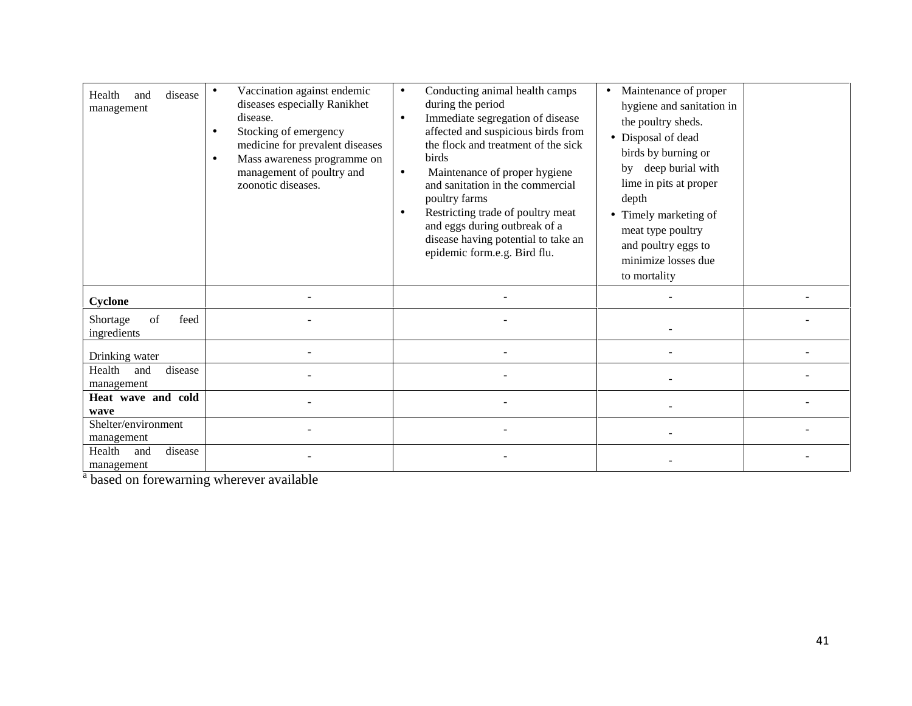| disease<br>Health<br>and<br>management | Vaccination against endemic<br>diseases especially Ranikhet<br>disease.<br>Stocking of emergency<br>medicine for prevalent diseases<br>Mass awareness programme on<br>management of poultry and<br>zoonotic diseases. | Conducting animal health camps<br>$\bullet$<br>during the period<br>Immediate segregation of disease<br>$\bullet$<br>affected and suspicious birds from<br>the flock and treatment of the sick<br>birds<br>Maintenance of proper hygiene<br>$\bullet$<br>and sanitation in the commercial<br>poultry farms<br>Restricting trade of poultry meat<br>and eggs during outbreak of a<br>disease having potential to take an<br>epidemic form.e.g. Bird flu. | Maintenance of proper<br>$\bullet$<br>hygiene and sanitation in<br>the poultry sheds.<br>• Disposal of dead<br>birds by burning or<br>deep burial with<br>bv<br>lime in pits at proper<br>depth<br>Timely marketing of<br>meat type poultry<br>and poultry eggs to<br>minimize losses due<br>to mortality |  |
|----------------------------------------|-----------------------------------------------------------------------------------------------------------------------------------------------------------------------------------------------------------------------|---------------------------------------------------------------------------------------------------------------------------------------------------------------------------------------------------------------------------------------------------------------------------------------------------------------------------------------------------------------------------------------------------------------------------------------------------------|-----------------------------------------------------------------------------------------------------------------------------------------------------------------------------------------------------------------------------------------------------------------------------------------------------------|--|
| Cyclone                                |                                                                                                                                                                                                                       |                                                                                                                                                                                                                                                                                                                                                                                                                                                         |                                                                                                                                                                                                                                                                                                           |  |
| of<br>Shortage<br>feed<br>ingredients  |                                                                                                                                                                                                                       |                                                                                                                                                                                                                                                                                                                                                                                                                                                         |                                                                                                                                                                                                                                                                                                           |  |
| Drinking water                         |                                                                                                                                                                                                                       |                                                                                                                                                                                                                                                                                                                                                                                                                                                         |                                                                                                                                                                                                                                                                                                           |  |
| Health<br>disease<br>and<br>management |                                                                                                                                                                                                                       |                                                                                                                                                                                                                                                                                                                                                                                                                                                         |                                                                                                                                                                                                                                                                                                           |  |
| Heat wave and cold<br>wave             |                                                                                                                                                                                                                       |                                                                                                                                                                                                                                                                                                                                                                                                                                                         |                                                                                                                                                                                                                                                                                                           |  |
| Shelter/environment<br>management      |                                                                                                                                                                                                                       |                                                                                                                                                                                                                                                                                                                                                                                                                                                         |                                                                                                                                                                                                                                                                                                           |  |
| disease<br>Health<br>and<br>management |                                                                                                                                                                                                                       |                                                                                                                                                                                                                                                                                                                                                                                                                                                         |                                                                                                                                                                                                                                                                                                           |  |

<sup>a</sup> based on forewarning wherever available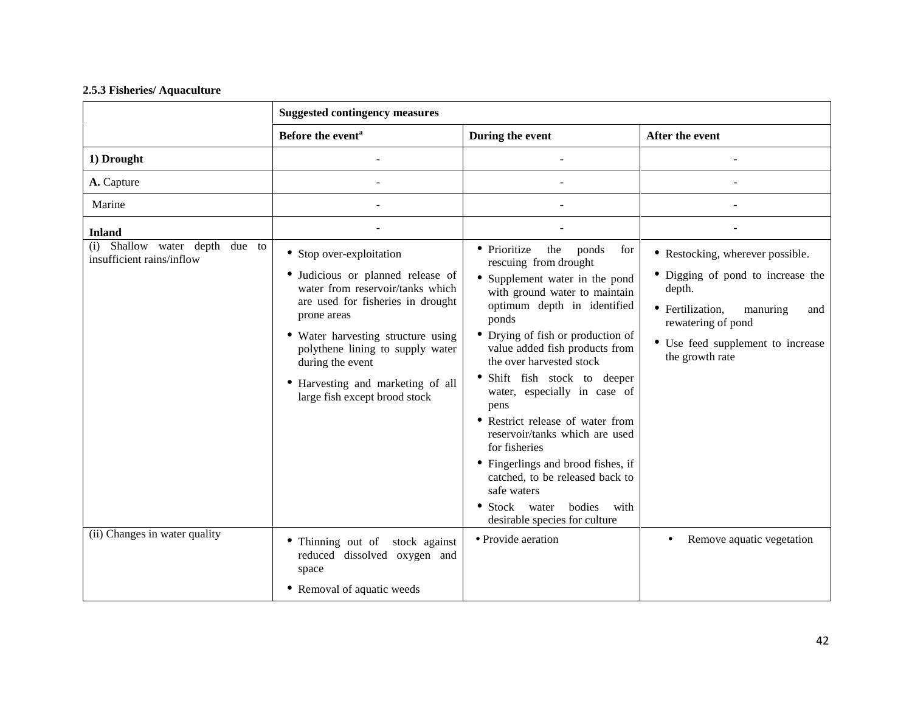#### **2.5.3 Fisheries/ Aquaculture**

|                                                             | <b>Suggested contingency measures</b>                                                                                                                                                                                                                                                                                     |                                                                                                                                                                                                                                                                                                                                                                                                                                                                                                                                                                                                |                                                                                                                                                                                                      |
|-------------------------------------------------------------|---------------------------------------------------------------------------------------------------------------------------------------------------------------------------------------------------------------------------------------------------------------------------------------------------------------------------|------------------------------------------------------------------------------------------------------------------------------------------------------------------------------------------------------------------------------------------------------------------------------------------------------------------------------------------------------------------------------------------------------------------------------------------------------------------------------------------------------------------------------------------------------------------------------------------------|------------------------------------------------------------------------------------------------------------------------------------------------------------------------------------------------------|
|                                                             | Before the event <sup>a</sup>                                                                                                                                                                                                                                                                                             | During the event                                                                                                                                                                                                                                                                                                                                                                                                                                                                                                                                                                               | After the event                                                                                                                                                                                      |
| 1) Drought                                                  |                                                                                                                                                                                                                                                                                                                           |                                                                                                                                                                                                                                                                                                                                                                                                                                                                                                                                                                                                |                                                                                                                                                                                                      |
| A. Capture                                                  |                                                                                                                                                                                                                                                                                                                           |                                                                                                                                                                                                                                                                                                                                                                                                                                                                                                                                                                                                |                                                                                                                                                                                                      |
| Marine                                                      |                                                                                                                                                                                                                                                                                                                           |                                                                                                                                                                                                                                                                                                                                                                                                                                                                                                                                                                                                |                                                                                                                                                                                                      |
| <b>Inland</b>                                               |                                                                                                                                                                                                                                                                                                                           |                                                                                                                                                                                                                                                                                                                                                                                                                                                                                                                                                                                                |                                                                                                                                                                                                      |
| (i) Shallow water depth due to<br>insufficient rains/inflow | • Stop over-exploitation<br>· Judicious or planned release of<br>water from reservoir/tanks which<br>are used for fisheries in drought<br>prone areas<br>• Water harvesting structure using<br>polythene lining to supply water<br>during the event<br>• Harvesting and marketing of all<br>large fish except brood stock | the<br>• Prioritize<br>ponds<br>for<br>rescuing from drought<br>• Supplement water in the pond<br>with ground water to maintain<br>optimum depth in identified<br>ponds<br>Drying of fish or production of<br>value added fish products from<br>the over harvested stock<br>Shift fish stock to deeper<br>water, especially in case of<br>pens<br>• Restrict release of water from<br>reservoir/tanks which are used<br>for fisheries<br>• Fingerlings and brood fishes, if<br>catched, to be released back to<br>safe waters<br>• Stock water bodies<br>with<br>desirable species for culture | • Restocking, wherever possible.<br>• Digging of pond to increase the<br>depth.<br>• Fertilization,<br>manuring<br>and<br>rewatering of pond<br>• Use feed supplement to increase<br>the growth rate |
| (ii) Changes in water quality                               | • Thinning out of stock against<br>reduced dissolved oxygen and<br>space                                                                                                                                                                                                                                                  | • Provide aeration                                                                                                                                                                                                                                                                                                                                                                                                                                                                                                                                                                             | Remove aquatic vegetation<br>$\bullet$                                                                                                                                                               |
|                                                             | • Removal of aquatic weeds                                                                                                                                                                                                                                                                                                |                                                                                                                                                                                                                                                                                                                                                                                                                                                                                                                                                                                                |                                                                                                                                                                                                      |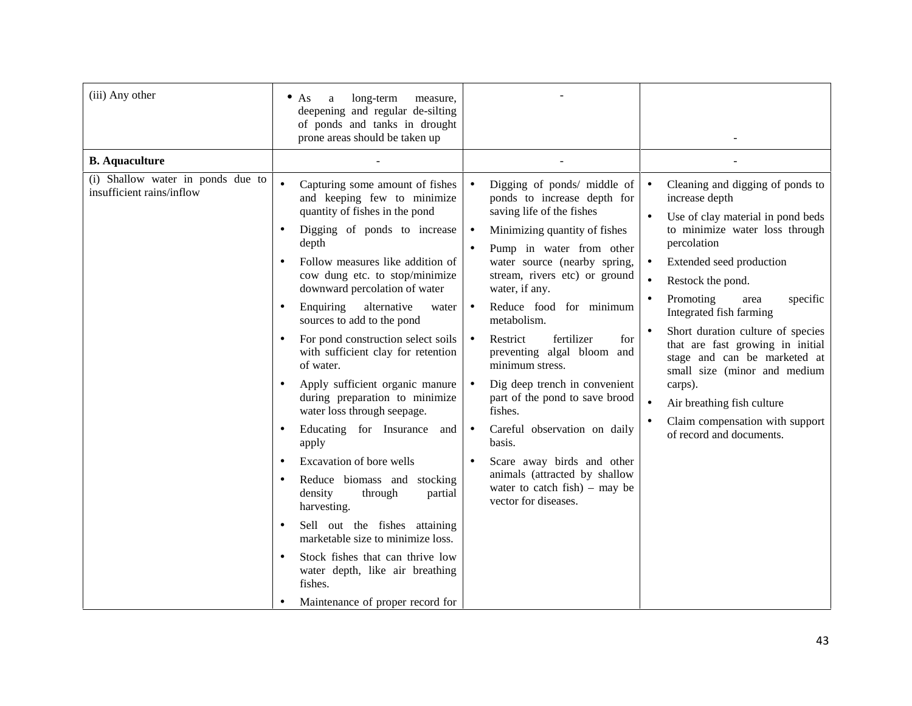| (iii) Any other                                                                         | long-term<br>$\bullet$ As<br>a<br>measure,<br>deepening and regular de-silting<br>of ponds and tanks in drought<br>prone areas should be taken up                                                                                                                                                                                                                                                                                                                                                                                                                                                                                                                                                                                                                                                                                                      |                                                                                                                                                                                                                                                                                                                                                                                                                                                                                                                                                                                                                                                                                                      |                                                                                                                                                                                                                                                                                                                                                                                                                                                                                                                                                            |
|-----------------------------------------------------------------------------------------|--------------------------------------------------------------------------------------------------------------------------------------------------------------------------------------------------------------------------------------------------------------------------------------------------------------------------------------------------------------------------------------------------------------------------------------------------------------------------------------------------------------------------------------------------------------------------------------------------------------------------------------------------------------------------------------------------------------------------------------------------------------------------------------------------------------------------------------------------------|------------------------------------------------------------------------------------------------------------------------------------------------------------------------------------------------------------------------------------------------------------------------------------------------------------------------------------------------------------------------------------------------------------------------------------------------------------------------------------------------------------------------------------------------------------------------------------------------------------------------------------------------------------------------------------------------------|------------------------------------------------------------------------------------------------------------------------------------------------------------------------------------------------------------------------------------------------------------------------------------------------------------------------------------------------------------------------------------------------------------------------------------------------------------------------------------------------------------------------------------------------------------|
| <b>B.</b> Aquaculture<br>(i) Shallow water in ponds due to<br>insufficient rains/inflow | Capturing some amount of fishes<br>and keeping few to minimize<br>quantity of fishes in the pond<br>Digging of ponds to increase<br>٠<br>depth<br>Follow measures like addition of<br>cow dung etc. to stop/minimize<br>downward percolation of water<br>Enquiring<br>alternative<br>water<br>$\bullet$<br>sources to add to the pond<br>For pond construction select soils<br>$\bullet$<br>with sufficient clay for retention<br>of water.<br>Apply sufficient organic manure<br>during preparation to minimize<br>water loss through seepage.<br>Educating for Insurance<br>and<br>$\bullet$<br>apply<br>Excavation of bore wells<br>$\bullet$<br>Reduce biomass and stocking<br>$\bullet$<br>density<br>through<br>partial<br>harvesting.<br>Sell out the fishes attaining<br>marketable size to minimize loss.<br>Stock fishes that can thrive low | Digging of ponds/ middle of<br>$\bullet$<br>ponds to increase depth for<br>saving life of the fishes<br>Minimizing quantity of fishes<br>$\bullet$<br>Pump in water from other<br>water source (nearby spring,<br>stream, rivers etc) or ground<br>water, if any.<br>Reduce food for minimum<br>$\bullet$<br>metabolism.<br>fertilizer<br>Restrict<br>for<br>$\bullet$<br>preventing algal bloom and<br>minimum stress.<br>Dig deep trench in convenient<br>$\bullet$<br>part of the pond to save brood<br>fishes.<br>Careful observation on daily<br>$\bullet$<br>basis.<br>Scare away birds and other<br>animals (attracted by shallow<br>water to catch $fish$ ) – may be<br>vector for diseases. | Cleaning and digging of ponds to<br>$\bullet$<br>increase depth<br>Use of clay material in pond beds<br>$\bullet$<br>to minimize water loss through<br>percolation<br>Extended seed production<br>Restock the pond.<br>$\bullet$<br>Promoting<br>specific<br>area<br>Integrated fish farming<br>Short duration culture of species<br>that are fast growing in initial<br>stage and can be marketed at<br>small size (minor and medium<br>carps).<br>Air breathing fish culture<br>$\bullet$<br>Claim compensation with support<br>of record and documents. |
|                                                                                         | water depth, like air breathing<br>fishes.<br>Maintenance of proper record for                                                                                                                                                                                                                                                                                                                                                                                                                                                                                                                                                                                                                                                                                                                                                                         |                                                                                                                                                                                                                                                                                                                                                                                                                                                                                                                                                                                                                                                                                                      |                                                                                                                                                                                                                                                                                                                                                                                                                                                                                                                                                            |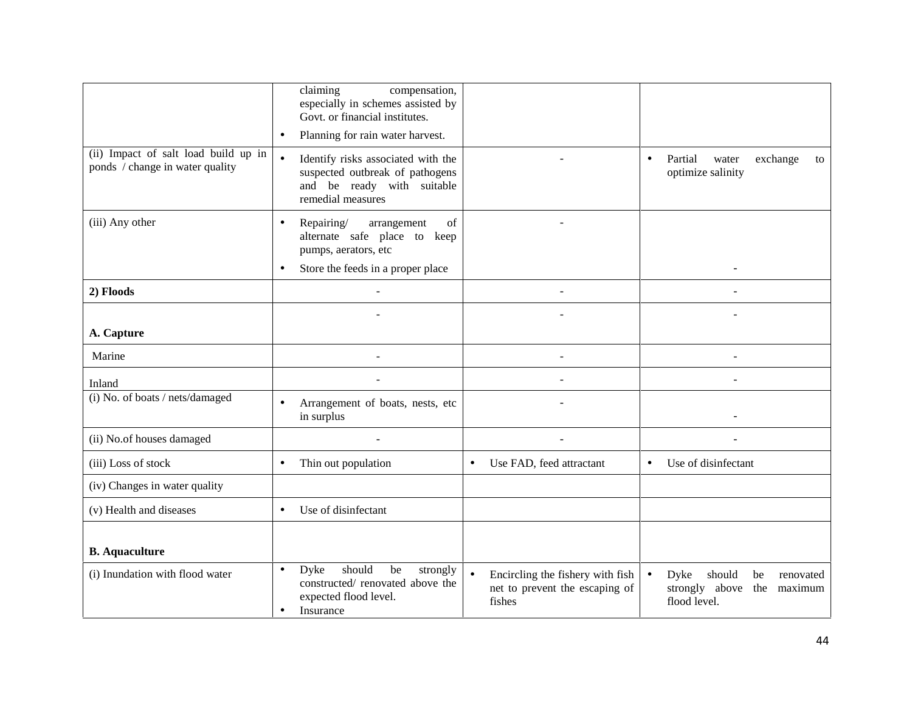|                                                                         | claiming<br>compensation,<br>especially in schemes assisted by<br>Govt. or financial institutes.<br>Planning for rain water harvest.<br>$\bullet$      |                                                                              |                                                                                                 |
|-------------------------------------------------------------------------|--------------------------------------------------------------------------------------------------------------------------------------------------------|------------------------------------------------------------------------------|-------------------------------------------------------------------------------------------------|
| (ii) Impact of salt load build up in<br>ponds / change in water quality | Identify risks associated with the<br>$\bullet$<br>suspected outbreak of pathogens<br>and be ready with suitable<br>remedial measures                  |                                                                              | Partial<br>exchange<br>water<br>$\bullet$<br>to<br>optimize salinity                            |
| (iii) Any other                                                         | Repairing/<br>arrangement<br>of<br>$\bullet$<br>alternate safe place to keep<br>pumps, aerators, etc<br>Store the feeds in a proper place<br>$\bullet$ |                                                                              |                                                                                                 |
| 2) Floods                                                               | $\overline{a}$                                                                                                                                         | ÷.                                                                           |                                                                                                 |
|                                                                         |                                                                                                                                                        |                                                                              |                                                                                                 |
| A. Capture                                                              |                                                                                                                                                        |                                                                              |                                                                                                 |
| Marine                                                                  | ÷,                                                                                                                                                     | ÷,                                                                           | $\overline{a}$                                                                                  |
| Inland                                                                  |                                                                                                                                                        | ÷,                                                                           | $\overline{a}$                                                                                  |
| (i) No. of boats / nets/damaged                                         | Arrangement of boats, nests, etc<br>$\bullet$<br>in surplus                                                                                            |                                                                              |                                                                                                 |
| (ii) No.of houses damaged                                               |                                                                                                                                                        |                                                                              |                                                                                                 |
| (iii) Loss of stock                                                     | Thin out population<br>$\bullet$                                                                                                                       | Use FAD, feed attractant<br>$\bullet$                                        | Use of disinfectant<br>$\bullet$                                                                |
| (iv) Changes in water quality                                           |                                                                                                                                                        |                                                                              |                                                                                                 |
| (v) Health and diseases                                                 | Use of disinfectant<br>$\bullet$                                                                                                                       |                                                                              |                                                                                                 |
| <b>B.</b> Aquaculture                                                   |                                                                                                                                                        |                                                                              |                                                                                                 |
| (i) Inundation with flood water                                         | should<br>Dyke<br>be<br>strongly<br>$\bullet$<br>constructed/ renovated above the<br>expected flood level.<br>Insurance<br>$\bullet$                   | Encircling the fishery with fish<br>net to prevent the escaping of<br>fishes | Dyke<br>should<br>renovated<br>$\bullet$<br>be<br>strongly above the<br>maximum<br>flood level. |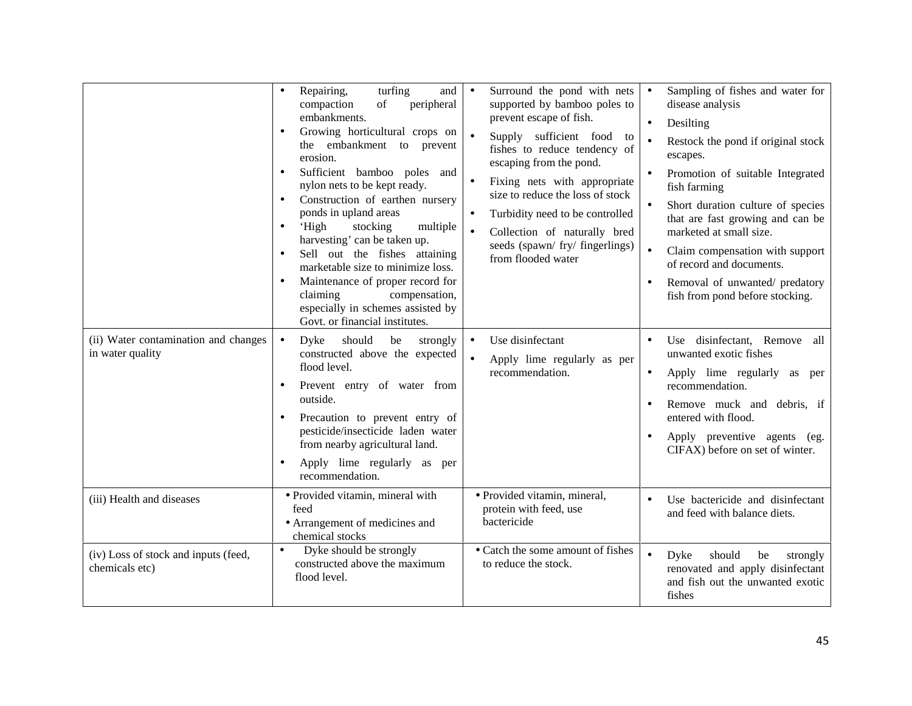| (ii) Water contamination and changes<br>in water quality | Repairing,<br>turfing<br>and<br>$\bullet$<br>compaction<br>peripheral<br>of<br>embankments.<br>Growing horticultural crops on<br>$\bullet$<br>the embankment to prevent<br>erosion.<br>Sufficient bamboo poles and<br>nylon nets to be kept ready.<br>Construction of earthen nursery<br>$\bullet$<br>ponds in upland areas<br>'High<br>stocking<br>multiple<br>$\bullet$<br>harvesting' can be taken up.<br>Sell out the fishes attaining<br>marketable size to minimize loss.<br>Maintenance of proper record for<br>claiming<br>compensation,<br>especially in schemes assisted by<br>Govt. or financial institutes.<br>Dyke<br>should<br>strongly<br>$\bullet$<br>be<br>constructed above the expected<br>flood level.<br>Prevent entry of water from<br>$\bullet$<br>outside.<br>Precaution to prevent entry of<br>pesticide/insecticide laden water<br>from nearby agricultural land.<br>Apply lime regularly as per<br>recommendation. | Surround the pond with nets<br>supported by bamboo poles to<br>prevent escape of fish.<br>Supply sufficient food to<br>fishes to reduce tendency of<br>escaping from the pond.<br>Fixing nets with appropriate<br>$\bullet$<br>size to reduce the loss of stock<br>Turbidity need to be controlled<br>Collection of naturally bred<br>$\bullet$<br>seeds (spawn/ fry/ fingerlings)<br>from flooded water<br>Use disinfectant<br>$\bullet$<br>$\bullet$<br>Apply lime regularly as per<br>recommendation. | Sampling of fishes and water for<br>$\bullet$<br>disease analysis<br>Desilting<br>Restock the pond if original stock<br>escapes.<br>Promotion of suitable Integrated<br>fish farming<br>Short duration culture of species<br>$\bullet$<br>that are fast growing and can be<br>marketed at small size.<br>Claim compensation with support<br>$\bullet$<br>of record and documents.<br>Removal of unwanted/ predatory<br>$\bullet$<br>fish from pond before stocking.<br>Use disinfectant, Remove all<br>unwanted exotic fishes<br>Apply lime regularly as per<br>$\bullet$<br>recommendation.<br>Remove muck and debris, if<br>entered with flood.<br>Apply preventive agents (eg.<br>CIFAX) before on set of winter. |
|----------------------------------------------------------|-----------------------------------------------------------------------------------------------------------------------------------------------------------------------------------------------------------------------------------------------------------------------------------------------------------------------------------------------------------------------------------------------------------------------------------------------------------------------------------------------------------------------------------------------------------------------------------------------------------------------------------------------------------------------------------------------------------------------------------------------------------------------------------------------------------------------------------------------------------------------------------------------------------------------------------------------|----------------------------------------------------------------------------------------------------------------------------------------------------------------------------------------------------------------------------------------------------------------------------------------------------------------------------------------------------------------------------------------------------------------------------------------------------------------------------------------------------------|----------------------------------------------------------------------------------------------------------------------------------------------------------------------------------------------------------------------------------------------------------------------------------------------------------------------------------------------------------------------------------------------------------------------------------------------------------------------------------------------------------------------------------------------------------------------------------------------------------------------------------------------------------------------------------------------------------------------|
| (iii) Health and diseases                                | · Provided vitamin, mineral with<br>feed<br>• Arrangement of medicines and<br>chemical stocks                                                                                                                                                                                                                                                                                                                                                                                                                                                                                                                                                                                                                                                                                                                                                                                                                                                 | · Provided vitamin, mineral,<br>protein with feed, use<br>bactericide                                                                                                                                                                                                                                                                                                                                                                                                                                    | Use bactericide and disinfectant<br>and feed with balance diets.                                                                                                                                                                                                                                                                                                                                                                                                                                                                                                                                                                                                                                                     |
| (iv) Loss of stock and inputs (feed,<br>chemicals etc)   | Dyke should be strongly<br>$\bullet$<br>constructed above the maximum<br>flood level.                                                                                                                                                                                                                                                                                                                                                                                                                                                                                                                                                                                                                                                                                                                                                                                                                                                         | • Catch the some amount of fishes<br>to reduce the stock.                                                                                                                                                                                                                                                                                                                                                                                                                                                | $\bullet$<br>Dyke<br>should<br>strongly<br>be<br>renovated and apply disinfectant<br>and fish out the unwanted exotic<br>fishes                                                                                                                                                                                                                                                                                                                                                                                                                                                                                                                                                                                      |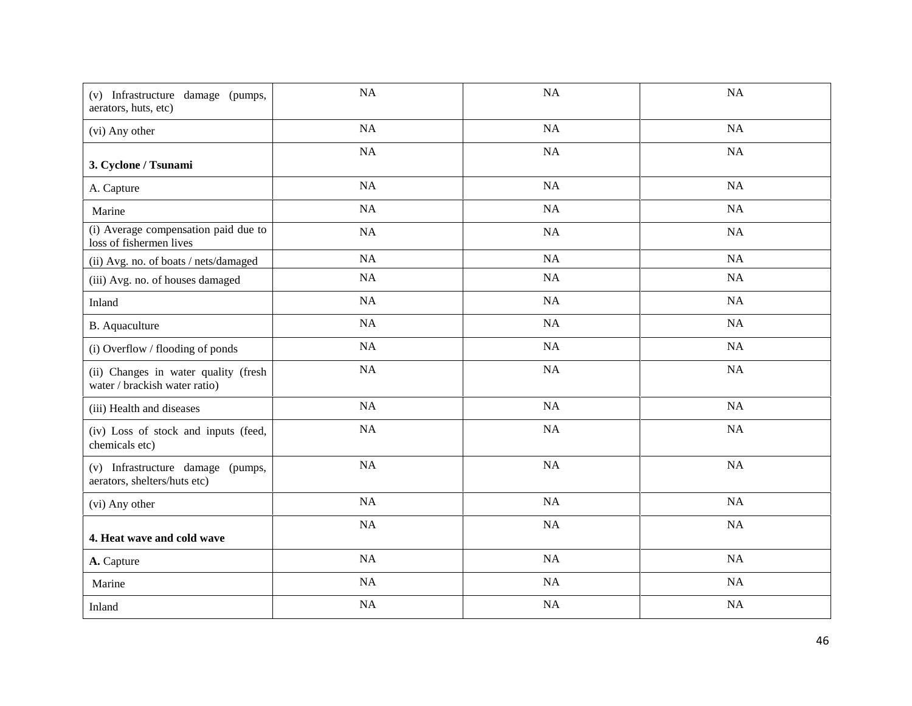| (v) Infrastructure damage (pumps,<br>aerators, huts, etc)             | NA        | NA | NA        |
|-----------------------------------------------------------------------|-----------|----|-----------|
| (vi) Any other                                                        | NA        | NA | NA        |
| 3. Cyclone / Tsunami                                                  | NA        | NA | NA        |
| A. Capture                                                            | NA        | NA | NA        |
| Marine                                                                | NA        | NA | NA        |
| (i) Average compensation paid due to<br>loss of fishermen lives       | NA        | NA | NA        |
| (ii) Avg. no. of boats / nets/damaged                                 | NA        | NA | NA        |
| (iii) Avg. no. of houses damaged                                      | NA        | NA | NA        |
| Inland                                                                | NA        | NA | NA        |
| B. Aquaculture                                                        | NA        | NA | NA        |
| (i) Overflow / flooding of ponds                                      | NA        | NA | NA        |
| (ii) Changes in water quality (fresh<br>water / brackish water ratio) | $\rm NA$  | NA | NA        |
| (iii) Health and diseases                                             | NA        | NA | NA        |
| (iv) Loss of stock and inputs (feed,<br>chemicals etc)                | NA        | NA | NA        |
| (v) Infrastructure damage (pumps,<br>aerators, shelters/huts etc)     | NA        | NA | NA        |
| (vi) Any other                                                        | NA        | NA | NA        |
| 4. Heat wave and cold wave                                            | NA        | NA | NA        |
| A. Capture                                                            | <b>NA</b> | NA | NA        |
| Marine                                                                | NA        | NA | NA        |
| Inland                                                                | NA        | NA | <b>NA</b> |